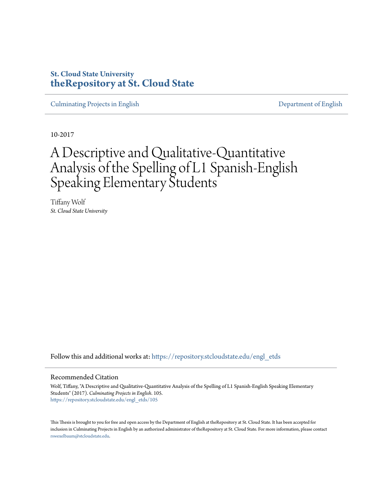## **St. Cloud State University [theRepository at St. Cloud State](https://repository.stcloudstate.edu?utm_source=repository.stcloudstate.edu%2Fengl_etds%2F105&utm_medium=PDF&utm_campaign=PDFCoverPages)**

[Culminating Projects in English](https://repository.stcloudstate.edu/engl_etds?utm_source=repository.stcloudstate.edu%2Fengl_etds%2F105&utm_medium=PDF&utm_campaign=PDFCoverPages) [Department of English](https://repository.stcloudstate.edu/engl?utm_source=repository.stcloudstate.edu%2Fengl_etds%2F105&utm_medium=PDF&utm_campaign=PDFCoverPages)

10-2017

# A Descriptive and Qualitative-Quantitative Analysis of the Spelling of L1 Spanish-English Speaking Elementary Students

Tiffany Wolf *St. Cloud State University*

Follow this and additional works at: [https://repository.stcloudstate.edu/engl\\_etds](https://repository.stcloudstate.edu/engl_etds?utm_source=repository.stcloudstate.edu%2Fengl_etds%2F105&utm_medium=PDF&utm_campaign=PDFCoverPages)

#### Recommended Citation

Wolf, Tiffany, "A Descriptive and Qualitative-Quantitative Analysis of the Spelling of L1 Spanish-English Speaking Elementary Students" (2017). *Culminating Projects in English*. 105. [https://repository.stcloudstate.edu/engl\\_etds/105](https://repository.stcloudstate.edu/engl_etds/105?utm_source=repository.stcloudstate.edu%2Fengl_etds%2F105&utm_medium=PDF&utm_campaign=PDFCoverPages)

This Thesis is brought to you for free and open access by the Department of English at theRepository at St. Cloud State. It has been accepted for inclusion in Culminating Projects in English by an authorized administrator of theRepository at St. Cloud State. For more information, please contact [rswexelbaum@stcloudstate.edu](mailto:rswexelbaum@stcloudstate.edu).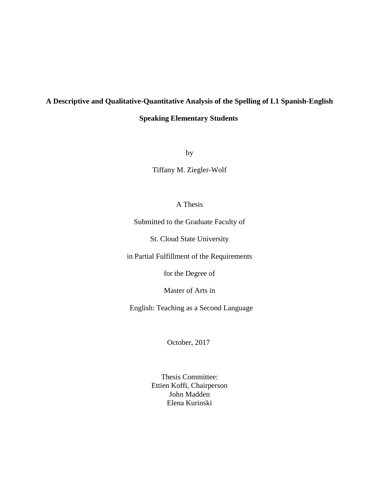# **A Descriptive and Qualitative-Quantitative Analysis of the Spelling of L1 Spanish-English**

## **Speaking Elementary Students**

by

Tiffany M. Ziegler-Wolf

### A Thesis

Submitted to the Graduate Faculty of

St. Cloud State University

in Partial Fulfillment of the Requirements

for the Degree of

Master of Arts in

English: Teaching as a Second Language

October, 2017

Thesis Committee: Ettien Koffi, Chairperson John Madden Elena Kurinski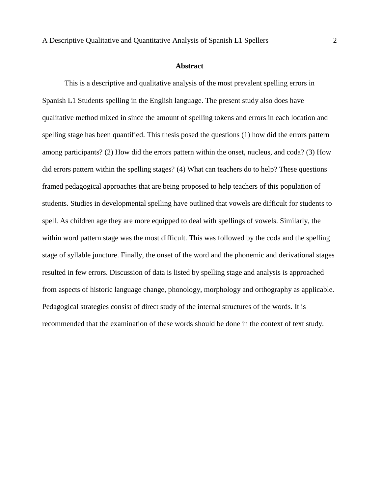#### **Abstract**

This is a descriptive and qualitative analysis of the most prevalent spelling errors in Spanish L1 Students spelling in the English language. The present study also does have qualitative method mixed in since the amount of spelling tokens and errors in each location and spelling stage has been quantified. This thesis posed the questions (1) how did the errors pattern among participants? (2) How did the errors pattern within the onset, nucleus, and coda? (3) How did errors pattern within the spelling stages? (4) What can teachers do to help? These questions framed pedagogical approaches that are being proposed to help teachers of this population of students. Studies in developmental spelling have outlined that vowels are difficult for students to spell. As children age they are more equipped to deal with spellings of vowels. Similarly, the within word pattern stage was the most difficult. This was followed by the coda and the spelling stage of syllable juncture. Finally, the onset of the word and the phonemic and derivational stages resulted in few errors. Discussion of data is listed by spelling stage and analysis is approached from aspects of historic language change, phonology, morphology and orthography as applicable. Pedagogical strategies consist of direct study of the internal structures of the words. It is recommended that the examination of these words should be done in the context of text study.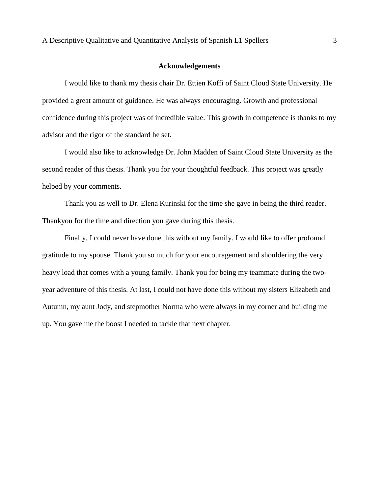#### **Acknowledgements**

I would like to thank my thesis chair Dr. Ettien Koffi of Saint Cloud State University. He provided a great amount of guidance. He was always encouraging. Growth and professional confidence during this project was of incredible value. This growth in competence is thanks to my advisor and the rigor of the standard he set.

I would also like to acknowledge Dr. John Madden of Saint Cloud State University as the second reader of this thesis. Thank you for your thoughtful feedback. This project was greatly helped by your comments.

Thank you as well to Dr. Elena Kurinski for the time she gave in being the third reader. Thankyou for the time and direction you gave during this thesis.

Finally, I could never have done this without my family. I would like to offer profound gratitude to my spouse. Thank you so much for your encouragement and shouldering the very heavy load that comes with a young family. Thank you for being my teammate during the twoyear adventure of this thesis. At last, I could not have done this without my sisters Elizabeth and Autumn, my aunt Jody, and stepmother Norma who were always in my corner and building me up. You gave me the boost I needed to tackle that next chapter.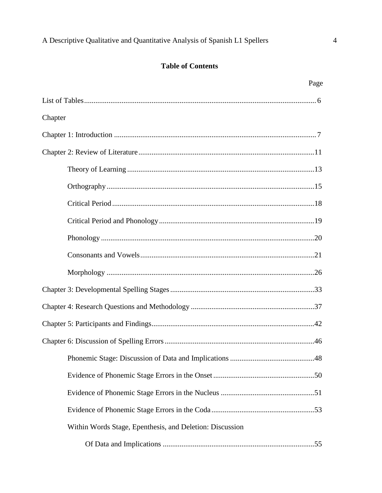## **Table of Contents**

|                                                          | Page |
|----------------------------------------------------------|------|
|                                                          |      |
| Chapter                                                  |      |
|                                                          |      |
|                                                          |      |
|                                                          |      |
|                                                          |      |
|                                                          |      |
|                                                          |      |
|                                                          |      |
|                                                          |      |
|                                                          |      |
|                                                          |      |
|                                                          |      |
|                                                          |      |
|                                                          |      |
|                                                          |      |
|                                                          |      |
|                                                          |      |
|                                                          |      |
| Within Words Stage, Epenthesis, and Deletion: Discussion |      |
|                                                          |      |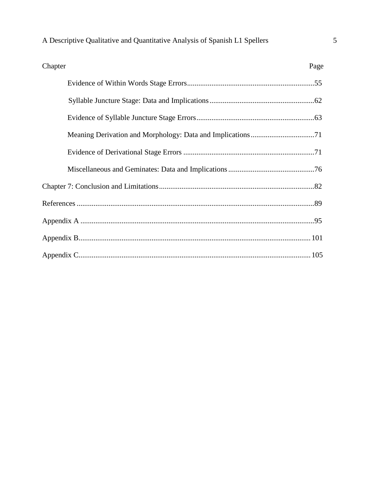| Chapter | Page |
|---------|------|
|         |      |
|         |      |
|         |      |
|         |      |
|         |      |
|         |      |
|         |      |
|         |      |
|         |      |
|         |      |
|         |      |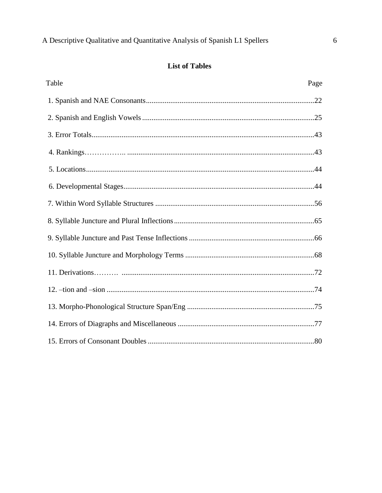# **List of Tables**

| Table | Page |
|-------|------|
|       |      |
|       |      |
|       |      |
|       |      |
|       |      |
|       |      |
|       |      |
|       |      |
|       |      |
|       |      |
|       |      |
|       |      |
|       |      |
|       |      |
|       |      |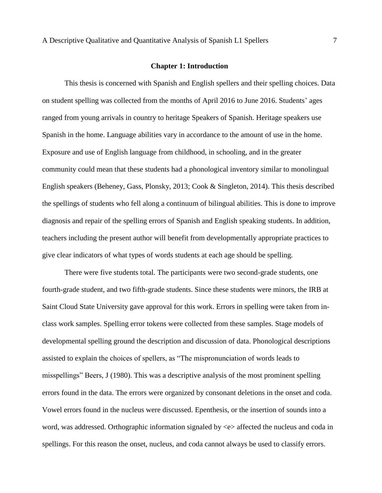#### **Chapter 1: Introduction**

This thesis is concerned with Spanish and English spellers and their spelling choices. Data on student spelling was collected from the months of April 2016 to June 2016. Students' ages ranged from young arrivals in country to heritage Speakers of Spanish. Heritage speakers use Spanish in the home. Language abilities vary in accordance to the amount of use in the home. Exposure and use of English language from childhood, in schooling, and in the greater community could mean that these students had a phonological inventory similar to monolingual English speakers (Beheney, Gass, Plonsky, 2013; Cook & Singleton, 2014). This thesis described the spellings of students who fell along a continuum of bilingual abilities. This is done to improve diagnosis and repair of the spelling errors of Spanish and English speaking students. In addition, teachers including the present author will benefit from developmentally appropriate practices to give clear indicators of what types of words students at each age should be spelling.

There were five students total. The participants were two second-grade students, one fourth-grade student, and two fifth-grade students. Since these students were minors, the IRB at Saint Cloud State University gave approval for this work. Errors in spelling were taken from inclass work samples. Spelling error tokens were collected from these samples. Stage models of developmental spelling ground the description and discussion of data. Phonological descriptions assisted to explain the choices of spellers, as "The mispronunciation of words leads to misspellings" Beers, J (1980). This was a descriptive analysis of the most prominent spelling errors found in the data. The errors were organized by consonant deletions in the onset and coda. Vowel errors found in the nucleus were discussed. Epenthesis, or the insertion of sounds into a word, was addressed. Orthographic information signaled by <e> affected the nucleus and coda in spellings. For this reason the onset, nucleus, and coda cannot always be used to classify errors.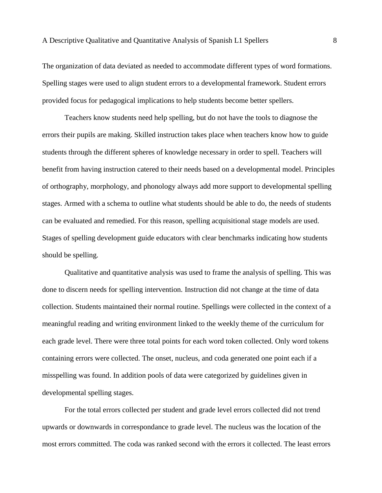The organization of data deviated as needed to accommodate different types of word formations. Spelling stages were used to align student errors to a developmental framework. Student errors provided focus for pedagogical implications to help students become better spellers.

Teachers know students need help spelling, but do not have the tools to diagnose the errors their pupils are making. Skilled instruction takes place when teachers know how to guide students through the different spheres of knowledge necessary in order to spell. Teachers will benefit from having instruction catered to their needs based on a developmental model. Principles of orthography, morphology, and phonology always add more support to developmental spelling stages. Armed with a schema to outline what students should be able to do, the needs of students can be evaluated and remedied. For this reason, spelling acquisitional stage models are used. Stages of spelling development guide educators with clear benchmarks indicating how students should be spelling.

Qualitative and quantitative analysis was used to frame the analysis of spelling. This was done to discern needs for spelling intervention. Instruction did not change at the time of data collection. Students maintained their normal routine. Spellings were collected in the context of a meaningful reading and writing environment linked to the weekly theme of the curriculum for each grade level. There were three total points for each word token collected. Only word tokens containing errors were collected. The onset, nucleus, and coda generated one point each if a misspelling was found. In addition pools of data were categorized by guidelines given in developmental spelling stages.

For the total errors collected per student and grade level errors collected did not trend upwards or downwards in correspondance to grade level. The nucleus was the location of the most errors committed. The coda was ranked second with the errors it collected. The least errors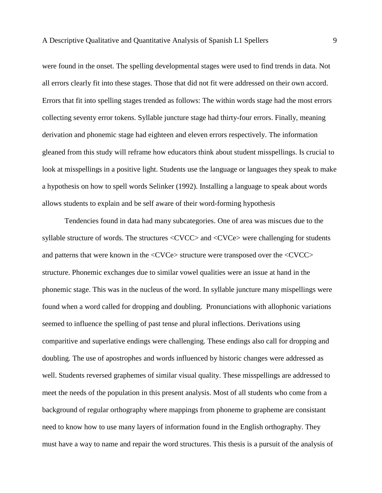were found in the onset. The spelling developmental stages were used to find trends in data. Not all errors clearly fit into these stages. Those that did not fit were addressed on their own accord. Errors that fit into spelling stages trended as follows: The within words stage had the most errors collecting seventy error tokens. Syllable juncture stage had thirty-four errors. Finally, meaning derivation and phonemic stage had eighteen and eleven errors respectively. The information gleaned from this study will reframe how educators think about student misspellings. Is crucial to look at misspellings in a positive light. Students use the language or languages they speak to make a hypothesis on how to spell words Selinker (1992). Installing a language to speak about words allows students to explain and be self aware of their word-forming hypothesis

Tendencies found in data had many subcategories. One of area was miscues due to the syllable structure of words. The structures <CVCC> and <CVCe> were challenging for students and patterns that were known in the <CVCe> structure were transposed over the <CVCC> structure. Phonemic exchanges due to similar vowel qualities were an issue at hand in the phonemic stage. This was in the nucleus of the word. In syllable juncture many mispellings were found when a word called for dropping and doubling. Pronunciations with allophonic variations seemed to influence the spelling of past tense and plural inflections. Derivations using comparitive and superlative endings were challenging. These endings also call for dropping and doubling. The use of apostrophes and words influenced by historic changes were addressed as well. Students reversed graphemes of similar visual quality. These misspellings are addressed to meet the needs of the population in this present analysis. Most of all students who come from a background of regular orthography where mappings from phoneme to grapheme are consistant need to know how to use many layers of information found in the English orthography. They must have a way to name and repair the word structures. This thesis is a pursuit of the analysis of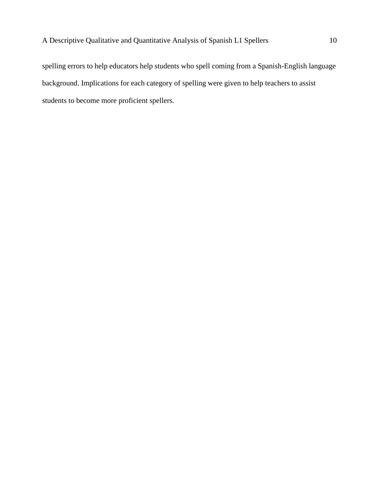spelling errors to help educators help students who spell coming from a Spanish-English language background. Implications for each category of spelling were given to help teachers to assist students to become more proficient spellers.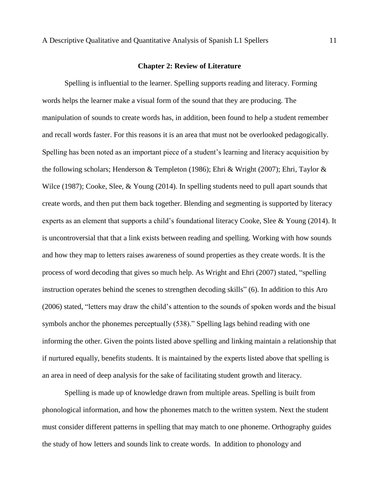#### **Chapter 2: Review of Literature**

Spelling is influential to the learner. Spelling supports reading and literacy. Forming words helps the learner make a visual form of the sound that they are producing. The manipulation of sounds to create words has, in addition, been found to help a student remember and recall words faster. For this reasons it is an area that must not be overlooked pedagogically. Spelling has been noted as an important piece of a student's learning and literacy acquisition by the following scholars; Henderson & Templeton (1986); Ehri & Wright (2007); Ehri, Taylor & Wilce (1987); Cooke, Slee, & Young (2014). In spelling students need to pull apart sounds that create words, and then put them back together. Blending and segmenting is supported by literacy experts as an element that supports a child's foundational literacy Cooke, Slee & Young (2014). It is uncontroversial that that a link exists between reading and spelling. Working with how sounds and how they map to letters raises awareness of sound properties as they create words. It is the process of word decoding that gives so much help. As Wright and Ehri (2007) stated, "spelling instruction operates behind the scenes to strengthen decoding skills" (6). In addition to this Aro (2006) stated, "letters may draw the child's attention to the sounds of spoken words and the bisual symbols anchor the phonemes perceptually (538)." Spelling lags behind reading with one informing the other. Given the points listed above spelling and linking maintain a relationship that if nurtured equally, benefits students. It is maintained by the experts listed above that spelling is an area in need of deep analysis for the sake of facilitating student growth and literacy.

Spelling is made up of knowledge drawn from multiple areas. Spelling is built from phonological information, and how the phonemes match to the written system. Next the student must consider different patterns in spelling that may match to one phoneme. Orthography guides the study of how letters and sounds link to create words. In addition to phonology and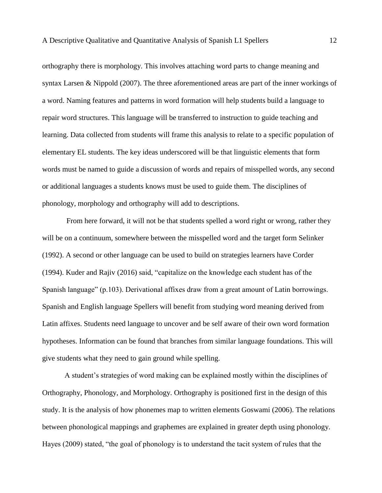orthography there is morphology. This involves attaching word parts to change meaning and syntax Larsen & Nippold (2007). The three aforementioned areas are part of the inner workings of a word. Naming features and patterns in word formation will help students build a language to repair word structures. This language will be transferred to instruction to guide teaching and learning. Data collected from students will frame this analysis to relate to a specific population of elementary EL students. The key ideas underscored will be that linguistic elements that form words must be named to guide a discussion of words and repairs of misspelled words, any second or additional languages a students knows must be used to guide them. The disciplines of phonology, morphology and orthography will add to descriptions.

From here forward, it will not be that students spelled a word right or wrong, rather they will be on a continuum, somewhere between the misspelled word and the target form Selinker (1992). A second or other language can be used to build on strategies learners have Corder (1994). Kuder and Rajiv (2016) said, "capitalize on the knowledge each student has of the Spanish language" (p.103). Derivational affixes draw from a great amount of Latin borrowings. Spanish and English language Spellers will benefit from studying word meaning derived from Latin affixes. Students need language to uncover and be self aware of their own word formation hypotheses. Information can be found that branches from similar language foundations. This will give students what they need to gain ground while spelling.

A student's strategies of word making can be explained mostly within the disciplines of Orthography, Phonology, and Morphology. Orthography is positioned first in the design of this study. It is the analysis of how phonemes map to written elements Goswami (2006). The relations between phonological mappings and graphemes are explained in greater depth using phonology. Hayes (2009) stated, "the goal of phonology is to understand the tacit system of rules that the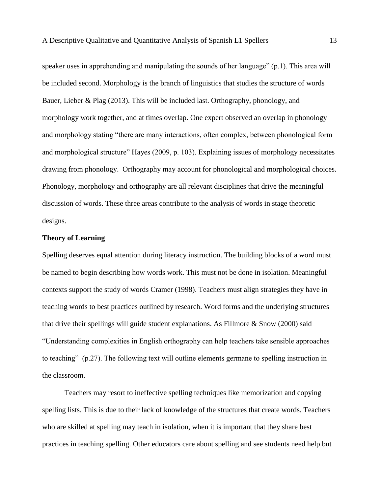speaker uses in apprehending and manipulating the sounds of her language" (p.1). This area will be included second. Morphology is the branch of linguistics that studies the structure of words Bauer, Lieber & Plag (2013). This will be included last. Orthography, phonology, and morphology work together, and at times overlap. One expert observed an overlap in phonology and morphology stating "there are many interactions, often complex, between phonological form and morphological structure" Hayes (2009, p. 103). Explaining issues of morphology necessitates drawing from phonology. Orthography may account for phonological and morphological choices. Phonology, morphology and orthography are all relevant disciplines that drive the meaningful discussion of words. These three areas contribute to the analysis of words in stage theoretic designs.

#### **Theory of Learning**

Spelling deserves equal attention during literacy instruction. The building blocks of a word must be named to begin describing how words work. This must not be done in isolation. Meaningful contexts support the study of words Cramer (1998). Teachers must align strategies they have in teaching words to best practices outlined by research. Word forms and the underlying structures that drive their spellings will guide student explanations. As Fillmore & Snow (2000) said "Understanding complexities in English orthography can help teachers take sensible approaches to teaching" (p.27). The following text will outline elements germane to spelling instruction in the classroom.

Teachers may resort to ineffective spelling techniques like memorization and copying spelling lists. This is due to their lack of knowledge of the structures that create words. Teachers who are skilled at spelling may teach in isolation, when it is important that they share best practices in teaching spelling. Other educators care about spelling and see students need help but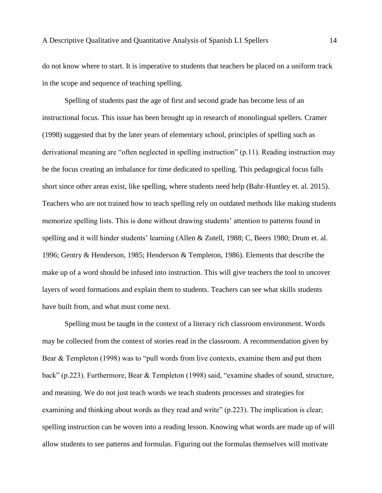do not know where to start. It is imperative to students that teachers be placed on a uniform track in the scope and sequence of teaching spelling.

Spelling of students past the age of first and second grade has become less of an instructional focus. This issue has been brought up in research of monolingual spellers. Cramer (1998) suggested that by the later years of elementary school, principles of spelling such as derivational meaning are "often neglected in spelling instruction" (p.11). Reading instruction may be the focus creating an imbalance for time dedicated to spelling. This pedagogical focus falls short since other areas exist, like spelling, where students need help (Bahr-Huntley et. al. 2015). Teachers who are not trained how to teach spelling rely on outdated methods like making students memorize spelling lists. This is done without drawing students' attention to patterns found in spelling and it will hinder students' learning (Allen & Zutell, 1988; C, Beers 1980; Drum et. al. 1996; Gentry & Henderson, 1985; Henderson & Templeton, 1986). Elements that describe the make up of a word should be infused into instruction. This will give teachers the tool to uncover layers of word formations and explain them to students. Teachers can see what skills students have built from, and what must come next.

Spelling must be taught in the context of a literacy rich classroom environment. Words may be collected from the context of stories read in the classroom. A recommendation given by Bear & Templeton (1998) was to "pull words from live contexts, examine them and put them back" (p.223). Furthermore, Bear & Templeton (1998) said, "examine shades of sound, structure, and meaning. We do not just teach words we teach students processes and strategies for examining and thinking about words as they read and write" (p.223). The implication is clear; spelling instruction can be woven into a reading lesson. Knowing what words are made up of will allow students to see patterns and formulas. Figuring out the formulas themselves will motivate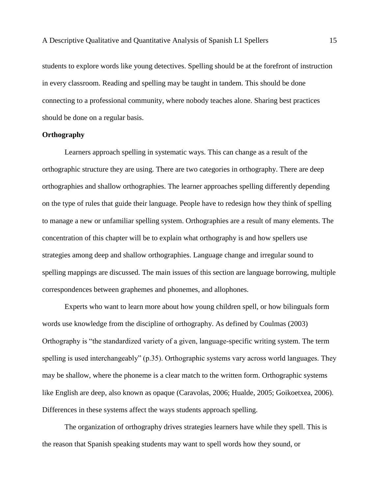students to explore words like young detectives. Spelling should be at the forefront of instruction in every classroom. Reading and spelling may be taught in tandem. This should be done connecting to a professional community, where nobody teaches alone. Sharing best practices should be done on a regular basis.

#### **Orthography**

Learners approach spelling in systematic ways. This can change as a result of the orthographic structure they are using. There are two categories in orthography. There are deep orthographies and shallow orthographies. The learner approaches spelling differently depending on the type of rules that guide their language. People have to redesign how they think of spelling to manage a new or unfamiliar spelling system. Orthographies are a result of many elements. The concentration of this chapter will be to explain what orthography is and how spellers use strategies among deep and shallow orthographies. Language change and irregular sound to spelling mappings are discussed. The main issues of this section are language borrowing, multiple correspondences between graphemes and phonemes, and allophones.

Experts who want to learn more about how young children spell, or how bilinguals form words use knowledge from the discipline of orthography. As defined by Coulmas (2003) Orthography is "the standardized variety of a given, language-specific writing system. The term spelling is used interchangeably" (p.35). Orthographic systems vary across world languages. They may be shallow, where the phoneme is a clear match to the written form. Orthographic systems like English are deep, also known as opaque (Caravolas, 2006; Hualde, 2005; Goikoetxea, 2006). Differences in these systems affect the ways students approach spelling.

The organization of orthography drives strategies learners have while they spell. This is the reason that Spanish speaking students may want to spell words how they sound, or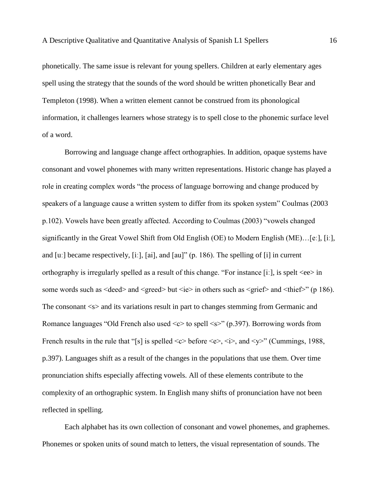phonetically. The same issue is relevant for young spellers. Children at early elementary ages spell using the strategy that the sounds of the word should be written phonetically Bear and Templeton (1998). When a written element cannot be construed from its phonological information, it challenges learners whose strategy is to spell close to the phonemic surface level of a word.

Borrowing and language change affect orthographies. In addition, opaque systems have consonant and vowel phonemes with many written representations. Historic change has played a role in creating complex words "the process of language borrowing and change produced by speakers of a language cause a written system to differ from its spoken system" Coulmas (2003 p.102). Vowels have been greatly affected. According to Coulmas (2003) "vowels changed significantly in the Great Vowel Shift from Old English (OE) to Modern English (ME)…[eː], [iː], and  $[u:]$  became respectively,  $[i:]$ ,  $[ai]$ , and  $[au]$ " (p. 186). The spelling of  $[i]$  in current orthography is irregularly spelled as a result of this change. "For instance [iː], is spelt <ee> in some words such as  $\langle$  deed $>$  and  $\langle$  greed $>$  but  $\langle$  ie $>$  in others such as  $\langle$  grief $>$  and  $\langle$  thief $>$ " (p 186). The consonant  $\langle s \rangle$  and its variations result in part to changes stemming from Germanic and Romance languages "Old French also used  $\ll$  to spell  $\ll$  (p.397). Borrowing words from French results in the rule that "[s] is spelled  $\langle c \rangle$  before  $\langle e \rangle$ ,  $\langle i \rangle$ , and  $\langle v \rangle$ " (Cummings, 1988, p.397). Languages shift as a result of the changes in the populations that use them. Over time pronunciation shifts especially affecting vowels. All of these elements contribute to the complexity of an orthographic system. In English many shifts of pronunciation have not been reflected in spelling.

Each alphabet has its own collection of consonant and vowel phonemes, and graphemes. Phonemes or spoken units of sound match to letters, the visual representation of sounds. The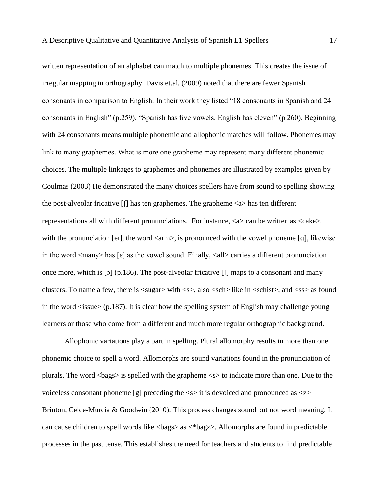written representation of an alphabet can match to multiple phonemes. This creates the issue of irregular mapping in orthography. Davis et.al. (2009) noted that there are fewer Spanish consonants in comparison to English. In their work they listed "18 consonants in Spanish and 24 consonants in English" (p.259). "Spanish has five vowels. English has eleven" (p.260). Beginning with 24 consonants means multiple phonemic and allophonic matches will follow. Phonemes may link to many graphemes. What is more one grapheme may represent many different phonemic choices. The multiple linkages to graphemes and phonemes are illustrated by examples given by Coulmas (2003) He demonstrated the many choices spellers have from sound to spelling showing the post-alveolar fricative  $\iint$  has ten graphemes. The grapheme  $\langle a \rangle$  has ten different representations all with different pronunciations. For instance, <a> can be written as <cake>, with the pronunciation [ei], the word  $\langle \text{arm} \rangle$ , is pronounced with the vowel phoneme [a], likewise in the word  $\langle \text{many} \rangle$  has [ɛ] as the vowel sound. Finally,  $\langle \text{all} \rangle$  carries a different pronunciation once more, which is [5] (p.186). The post-alveolar fricative  $\iint$  maps to a consonant and many clusters. To name a few, there is <sugar> with <s>, also <sch> like in <schist>, and <ss> as found in the word  $\langle$ issue $\rangle$  (p.187). It is clear how the spelling system of English may challenge young learners or those who come from a different and much more regular orthographic background.

Allophonic variations play a part in spelling. Plural allomorphy results in more than one phonemic choice to spell a word. Allomorphs are sound variations found in the pronunciation of plurals. The word  $\langle$ bags $\rangle$  is spelled with the grapheme  $\langle s \rangle$  to indicate more than one. Due to the voiceless consonant phoneme [g] preceding the  $\langle s \rangle$  it is devoiced and pronounced as  $\langle z \rangle$ Brinton, Celce-Murcia & Goodwin (2010). This process changes sound but not word meaning. It can cause children to spell words like <bags> as <\*bagz>. Allomorphs are found in predictable processes in the past tense. This establishes the need for teachers and students to find predictable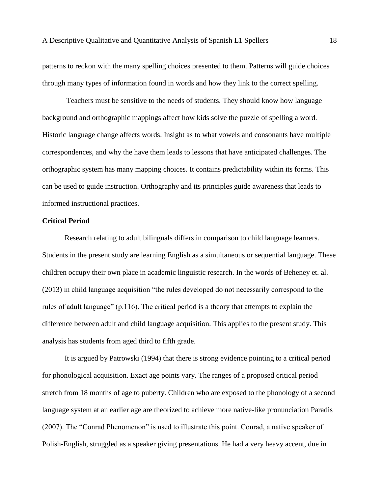patterns to reckon with the many spelling choices presented to them. Patterns will guide choices through many types of information found in words and how they link to the correct spelling.

Teachers must be sensitive to the needs of students. They should know how language background and orthographic mappings affect how kids solve the puzzle of spelling a word. Historic language change affects words. Insight as to what vowels and consonants have multiple correspondences, and why the have them leads to lessons that have anticipated challenges. The orthographic system has many mapping choices. It contains predictability within its forms. This can be used to guide instruction. Orthography and its principles guide awareness that leads to informed instructional practices.

#### **Critical Period**

Research relating to adult bilinguals differs in comparison to child language learners. Students in the present study are learning English as a simultaneous or sequential language. These children occupy their own place in academic linguistic research. In the words of Beheney et. al. (2013) in child language acquisition "the rules developed do not necessarily correspond to the rules of adult language" (p.116). The critical period is a theory that attempts to explain the difference between adult and child language acquisition. This applies to the present study. This analysis has students from aged third to fifth grade.

It is argued by Patrowski (1994) that there is strong evidence pointing to a critical period for phonological acquisition. Exact age points vary. The ranges of a proposed critical period stretch from 18 months of age to puberty. Children who are exposed to the phonology of a second language system at an earlier age are theorized to achieve more native-like pronunciation Paradis (2007). The "Conrad Phenomenon" is used to illustrate this point. Conrad, a native speaker of Polish-English, struggled as a speaker giving presentations. He had a very heavy accent, due in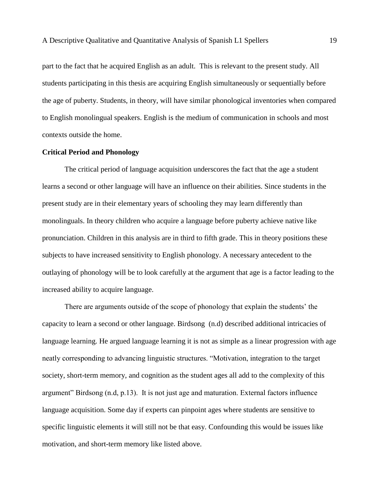part to the fact that he acquired English as an adult. This is relevant to the present study. All students participating in this thesis are acquiring English simultaneously or sequentially before the age of puberty. Students, in theory, will have similar phonological inventories when compared to English monolingual speakers. English is the medium of communication in schools and most contexts outside the home.

#### **Critical Period and Phonology**

The critical period of language acquisition underscores the fact that the age a student learns a second or other language will have an influence on their abilities. Since students in the present study are in their elementary years of schooling they may learn differently than monolinguals. In theory children who acquire a language before puberty achieve native like pronunciation. Children in this analysis are in third to fifth grade. This in theory positions these subjects to have increased sensitivity to English phonology. A necessary antecedent to the outlaying of phonology will be to look carefully at the argument that age is a factor leading to the increased ability to acquire language.

There are arguments outside of the scope of phonology that explain the students' the capacity to learn a second or other language. Birdsong (n.d) described additional intricacies of language learning. He argued language learning it is not as simple as a linear progression with age neatly corresponding to advancing linguistic structures. "Motivation, integration to the target society, short-term memory, and cognition as the student ages all add to the complexity of this argument" Birdsong (n.d, p.13). It is not just age and maturation. External factors influence language acquisition. Some day if experts can pinpoint ages where students are sensitive to specific linguistic elements it will still not be that easy. Confounding this would be issues like motivation, and short-term memory like listed above.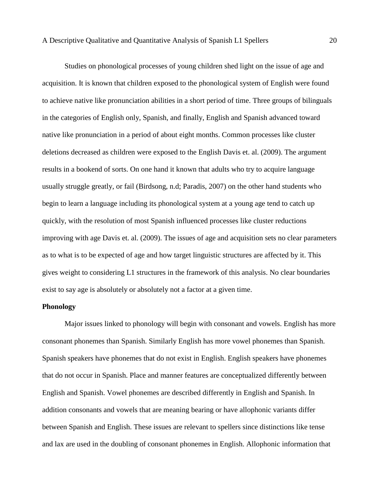Studies on phonological processes of young children shed light on the issue of age and acquisition. It is known that children exposed to the phonological system of English were found to achieve native like pronunciation abilities in a short period of time. Three groups of bilinguals in the categories of English only, Spanish, and finally, English and Spanish advanced toward native like pronunciation in a period of about eight months. Common processes like cluster deletions decreased as children were exposed to the English Davis et. al. (2009). The argument results in a bookend of sorts. On one hand it known that adults who try to acquire language usually struggle greatly, or fail (Birdsong, n.d; Paradis, 2007) on the other hand students who begin to learn a language including its phonological system at a young age tend to catch up quickly, with the resolution of most Spanish influenced processes like cluster reductions improving with age Davis et. al. (2009). The issues of age and acquisition sets no clear parameters as to what is to be expected of age and how target linguistic structures are affected by it. This gives weight to considering L1 structures in the framework of this analysis. No clear boundaries exist to say age is absolutely or absolutely not a factor at a given time.

#### **Phonology**

Major issues linked to phonology will begin with consonant and vowels. English has more consonant phonemes than Spanish. Similarly English has more vowel phonemes than Spanish. Spanish speakers have phonemes that do not exist in English. English speakers have phonemes that do not occur in Spanish. Place and manner features are conceptualized differently between English and Spanish. Vowel phonemes are described differently in English and Spanish. In addition consonants and vowels that are meaning bearing or have allophonic variants differ between Spanish and English. These issues are relevant to spellers since distinctions like tense and lax are used in the doubling of consonant phonemes in English. Allophonic information that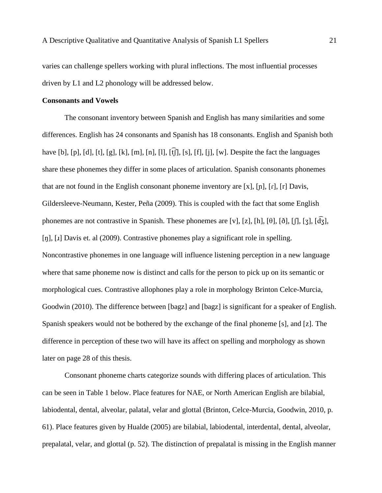varies can challenge spellers working with plural inflections. The most influential processes driven by L1 and L2 phonology will be addressed below.

#### **Consonants and Vowels**

The consonant inventory between Spanish and English has many similarities and some differences. English has 24 consonants and Spanish has 18 consonants. English and Spanish both have [b], [p], [d], [t], [g], [k], [m], [n], [l],  $\widehat{f}$ [f], [s], [f], [j], [w]. Despite the fact the languages share these phonemes they differ in some places of articulation. Spanish consonants phonemes that are not found in the English consonant phoneme inventory are [x], [n], [r], [r] Davis, Gildersleeve-Neumann, Kester, Peña (2009). This is coupled with the fact that some English phonemes are not contrastive in Spanish. These phonemes are [v], [z], [h], [θ], [ð], [ʃ], [ʒ], [d͡ʒ], [n], [1] Davis et. al (2009). Contrastive phonemes play a significant role in spelling. Noncontrastive phonemes in one language will influence listening perception in a new language where that same phoneme now is distinct and calls for the person to pick up on its semantic or morphological cues. Contrastive allophones play a role in morphology Brinton Celce-Murcia, Goodwin (2010). The difference between [bagz] and [bagz] is significant for a speaker of English. Spanish speakers would not be bothered by the exchange of the final phoneme [s], and [z]. The difference in perception of these two will have its affect on spelling and morphology as shown later on page 28 of this thesis.

Consonant phoneme charts categorize sounds with differing places of articulation. This can be seen in Table 1 below. Place features for NAE, or North American English are bilabial, labiodental, dental, alveolar, palatal, velar and glottal (Brinton, Celce-Murcia, Goodwin, 2010, p. 61). Place features given by Hualde (2005) are bilabial, labiodental, interdental, dental, alveolar, prepalatal, velar, and glottal (p. 52). The distinction of prepalatal is missing in the English manner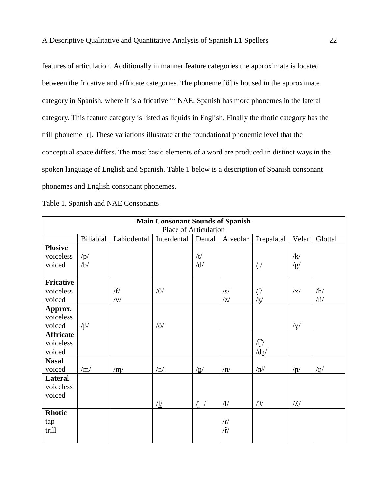features of articulation. Additionally in manner feature categories the approximate is located between the fricative and affricate categories. The phoneme [ð] is housed in the approximate category in Spanish, where it is a fricative in NAE. Spanish has more phonemes in the lateral category. This feature category is listed as liquids in English. Finally the rhotic category has the trill phoneme [r]. These variations illustrate at the foundational phonemic level that the conceptual space differs. The most basic elements of a word are produced in distinct ways in the spoken language of English and Spanish. Table 1 below is a description of Spanish consonant phonemes and English consonant phonemes.

|  |  |  | Table 1. Spanish and NAE Consonants |
|--|--|--|-------------------------------------|
|--|--|--|-------------------------------------|

| <b>Main Consonant Sounds of Spanish</b> |                  |                |                        |                   |                          |               |             |                          |
|-----------------------------------------|------------------|----------------|------------------------|-------------------|--------------------------|---------------|-------------|--------------------------|
| Place of Articulation                   |                  |                |                        |                   |                          |               |             |                          |
|                                         | <b>Biliabial</b> | Labiodental    | Interdental            | Dental            | Alveolar                 | Prepalatal    | Velar       | Glottal                  |
| <b>Plosive</b>                          |                  |                |                        |                   |                          |               |             |                          |
| voiceless                               | /p/              |                |                        | /t/               |                          |               | /k/         |                          |
| voiced                                  | /b/              |                |                        | /d/               |                          | $\sqrt{1}$    | /g/         |                          |
|                                         |                  |                |                        |                   |                          |               |             |                          |
| <b>Fricative</b>                        |                  |                |                        |                   |                          |               |             |                          |
| voiceless                               |                  | /f/            | $/\theta$              |                   | $\sqrt{s}$               | $\int \int$   | $\sqrt{x}$  | /h/                      |
| voiced                                  |                  | $/\mathrm{v}/$ |                        |                   | Z                        | $\sqrt{3}/$   |             | $/\mathrm{f}/\mathrm{f}$ |
| Approx.                                 |                  |                |                        |                   |                          |               |             |                          |
| voiceless                               |                  |                |                        |                   |                          |               |             |                          |
| voiced                                  | $/\beta/$        |                | $\partial$             |                   |                          |               | $/\gamma/$  |                          |
| <b>Affricate</b>                        |                  |                |                        |                   |                          |               |             |                          |
| voiceless                               |                  |                |                        |                   |                          | $\sqrt{t}$    |             |                          |
| voiced                                  |                  |                |                        |                   |                          | /dz/          |             |                          |
| <b>Nasal</b>                            |                  |                |                        |                   |                          |               |             |                          |
| voiced                                  | /m/              | /m/            | $\sqrt{\underline{n}}$ | $/\underline{n}/$ | /n/                      | $/n^{j}$      | $/ \eta /$  | $/ \eta/$                |
| Lateral                                 |                  |                |                        |                   |                          |               |             |                          |
| voiceless                               |                  |                |                        |                   |                          |               |             |                          |
| voiced                                  |                  |                |                        |                   |                          |               |             |                          |
|                                         |                  |                | $\Lambda$ /            | $\frac{1}{2}$     | $\sqrt{1/2}$             | $\frac{1}{2}$ | $/\Lambda/$ |                          |
| <b>Rhotic</b>                           |                  |                |                        |                   |                          |               |             |                          |
| tap                                     |                  |                |                        |                   | $\Gamma$                 |               |             |                          |
| trill                                   |                  |                |                        |                   | $\widetilde{\mathbf{r}}$ |               |             |                          |
|                                         |                  |                |                        |                   |                          |               |             |                          |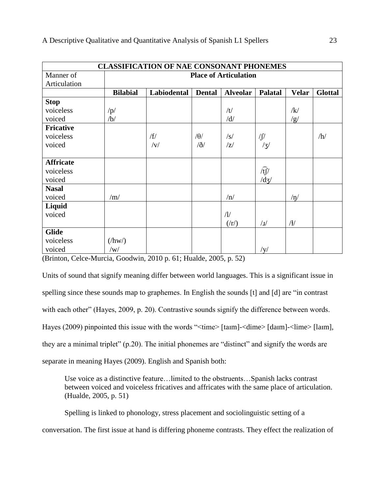| <b>CLASSIFICATION OF NAE CONSONANT PHONEMES</b> |                              |                |               |                       |                                      |              |                |
|-------------------------------------------------|------------------------------|----------------|---------------|-----------------------|--------------------------------------|--------------|----------------|
| Manner of                                       | <b>Place of Articulation</b> |                |               |                       |                                      |              |                |
| Articulation                                    |                              |                |               |                       |                                      |              |                |
|                                                 | <b>Bilabial</b>              | Labiodental    | <b>Dental</b> | <b>Alveolar</b>       | <b>Palatal</b>                       | <b>Velar</b> | <b>Glottal</b> |
| <b>Stop</b>                                     |                              |                |               |                       |                                      |              |                |
| voiceless                                       | $\sqrt{p/2}$                 |                |               | /t/                   |                                      | $\sqrt{k}$   |                |
| voiced                                          | /b/                          |                |               | /d/                   |                                      | /g/          |                |
| <b>Fricative</b>                                |                              |                |               |                       |                                      |              |                |
| voiceless                                       |                              | /f/            | $\theta$ /    | $\sqrt{s}$            | $\int \int$                          |              | /h/            |
| voiced                                          |                              | $/\mathrm{V}/$ | $\partial$    | z                     | /3/                                  |              |                |
|                                                 |                              |                |               |                       |                                      |              |                |
| <b>Affricate</b>                                |                              |                |               |                       |                                      |              |                |
| voiceless                                       |                              |                |               |                       | $\widehat{\mathfrak{t}\mathfrak{f}}$ |              |                |
| voiced                                          |                              |                |               |                       | $\frac{d}{d}$                        |              |                |
| <b>Nasal</b>                                    |                              |                |               |                       |                                      |              |                |
| voiced                                          | /m/                          |                |               | /n/                   |                                      | $/\eta/$     |                |
| Liquid                                          |                              |                |               |                       |                                      |              |                |
| voiced                                          |                              |                |               | $\sqrt{l}$            |                                      |              |                |
|                                                 |                              |                |               | $(\langle r \rangle)$ | $\sqrt{1}$                           | /            |                |
| <b>Glide</b>                                    |                              |                |               |                       |                                      |              |                |
| voiceless                                       | $(\frac{h}{W})$              |                |               |                       |                                      |              |                |
| voiced                                          | $\sqrt{W}$                   |                |               |                       | /y/                                  |              |                |

(Brinton, Celce-Murcia, Goodwin, 2010 p. 61; Hualde, 2005, p. 52)

Units of sound that signify meaning differ between world languages. This is a significant issue in spelling since these sounds map to graphemes. In English the sounds [t] and [d] are "in contrast with each other" (Hayes, 2009, p. 20). Contrastive sounds signify the difference between words. Hayes (2009) pinpointed this issue with the words "<time> [taɪm]-<dime> [daɪm]-<lime> [laɪm], they are a minimal triplet" (p.20). The initial phonemes are "distinct" and signify the words are separate in meaning Hayes (2009). English and Spanish both:

 Use voice as a distinctive feature…limited to the obstruents…Spanish lacks contrast between voiced and voiceless fricatives and affricates with the same place of articulation. (Hualde, 2005, p. 51)

Spelling is linked to phonology, stress placement and sociolinguistic setting of a conversation. The first issue at hand is differing phoneme contrasts. They effect the realization of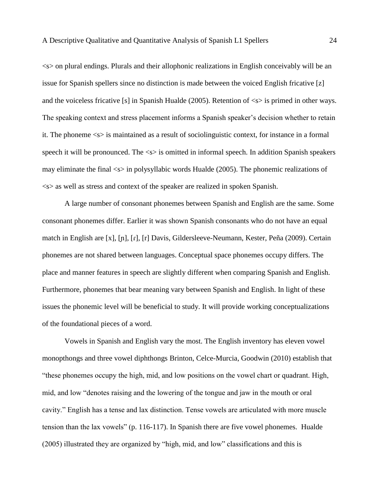<s> on plural endings. Plurals and their allophonic realizations in English conceivably will be an issue for Spanish spellers since no distinction is made between the voiced English fricative [z] and the voiceless fricative [s] in Spanish Hualde (2005). Retention of  $\langle s \rangle$  is primed in other ways. The speaking context and stress placement informs a Spanish speaker's decision whether to retain it. The phoneme <s> is maintained as a result of sociolinguistic context, for instance in a formal speech it will be pronounced. The  $\ll$  is omitted in informal speech. In addition Spanish speakers may eliminate the final <s> in polysyllabic words Hualde (2005). The phonemic realizations of <s> as well as stress and context of the speaker are realized in spoken Spanish.

A large number of consonant phonemes between Spanish and English are the same. Some consonant phonemes differ. Earlier it was shown Spanish consonants who do not have an equal match in English are [x], [ɲ], [ɾ], [r] Davis, Gildersleeve-Neumann, Kester, Peña (2009). Certain phonemes are not shared between languages. Conceptual space phonemes occupy differs. The place and manner features in speech are slightly different when comparing Spanish and English. Furthermore, phonemes that bear meaning vary between Spanish and English. In light of these issues the phonemic level will be beneficial to study. It will provide working conceptualizations of the foundational pieces of a word.

Vowels in Spanish and English vary the most. The English inventory has eleven vowel monopthongs and three vowel diphthongs Brinton, Celce-Murcia, Goodwin (2010) establish that "these phonemes occupy the high, mid, and low positions on the vowel chart or quadrant. High, mid, and low "denotes raising and the lowering of the tongue and jaw in the mouth or oral cavity." English has a tense and lax distinction. Tense vowels are articulated with more muscle tension than the lax vowels" (p. 116-117). In Spanish there are five vowel phonemes. Hualde (2005) illustrated they are organized by "high, mid, and low" classifications and this is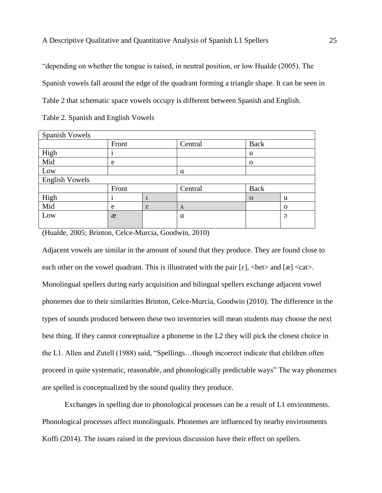"depending on whether the tongue is raised, in neutral position, or low Hualde (2005). The Spanish vowels fall around the edge of the quadrant forming a triangle shape. It can be seen in Table 2 that schematic space vowels occupy is different between Spanish and English.

| Spanish Vowels        |       |   |           |          |                |
|-----------------------|-------|---|-----------|----------|----------------|
|                       | Front |   | Central   | Back     |                |
| High                  |       |   |           | u        |                |
| Mid                   | e     |   |           | $\Omega$ |                |
| Low                   |       |   | a         |          |                |
| <b>English Vowels</b> |       |   |           |          |                |
|                       | Front |   | Central   | Back     |                |
| High                  |       |   |           | U        | u              |
| Mid                   | e     | ε | $\Lambda$ |          | $\mathbf 0$    |
| Low                   | æ     |   | $\alpha$  |          | $\mathfrak{O}$ |
|                       |       |   |           |          |                |

(Hualde, 2005; Brinton, Celce-Murcia, Goodwin, 2010)

Adjacent vowels are similar in the amount of sound that they produce. They are found close to each other on the vowel quadrant. This is illustrated with the pair  $[\epsilon]$ ,  $\text{det}\geq \text{and } [\epsilon] \leq \text{cat}\geq$ . Monolingual spellers during early acquisition and bilingual spellers exchange adjacent vowel phonemes due to their similarities Brinton, Celce-Murcia, Goodwin (2010). The difference in the types of sounds produced between these two inventories will mean students may choose the next best thing. If they cannot conceptualize a phoneme in the L2 they will pick the closest choice in the L1. Allen and Zutell (1988) said, "Spellings…though incorrect indicate that children often proceed in quite systematic, reasonable, and phonologically predictable ways" The way phonemes are spelled is conceptualized by the sound quality they produce.

Exchanges in spelling due to phonological processes can be a result of L1 environments. Phonological processes affect monolinguals. Phonemes are influenced by nearby environments Koffi (2014). The issues raised in the previous discussion have their effect on spellers.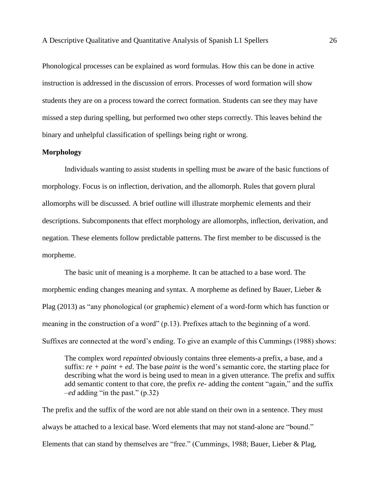Phonological processes can be explained as word formulas. How this can be done in active instruction is addressed in the discussion of errors. Processes of word formation will show students they are on a process toward the correct formation. Students can see they may have missed a step during spelling, but performed two other steps correctly. This leaves behind the binary and unhelpful classification of spellings being right or wrong.

### **Morphology**

Individuals wanting to assist students in spelling must be aware of the basic functions of morphology. Focus is on inflection, derivation, and the allomorph. Rules that govern plural allomorphs will be discussed. A brief outline will illustrate morphemic elements and their descriptions. Subcomponents that effect morphology are allomorphs, inflection, derivation, and negation. These elements follow predictable patterns. The first member to be discussed is the morpheme.

The basic unit of meaning is a morpheme. It can be attached to a base word. The morphemic ending changes meaning and syntax. A morpheme as defined by Bauer, Lieber & Plag (2013) as "any phonological (or graphemic) element of a word-form which has function or meaning in the construction of a word" (p.13). Prefixes attach to the beginning of a word. Suffixes are connected at the word's ending. To give an example of this Cummings (1988) shows:

The complex word *repainted* obviously contains three elements-a prefix, a base, and a suffix: *re + paint + ed*. The base *paint* is the word's semantic core, the starting place for describing what the word is being used to mean in a given utterance. The prefix and suffix add semantic content to that core, the prefix *re-* adding the content "again," and the suffix *–ed* adding "in the past." (p.32)

The prefix and the suffix of the word are not able stand on their own in a sentence. They must always be attached to a lexical base. Word elements that may not stand-alone are "bound." Elements that can stand by themselves are "free." (Cummings, 1988; Bauer, Lieber & Plag,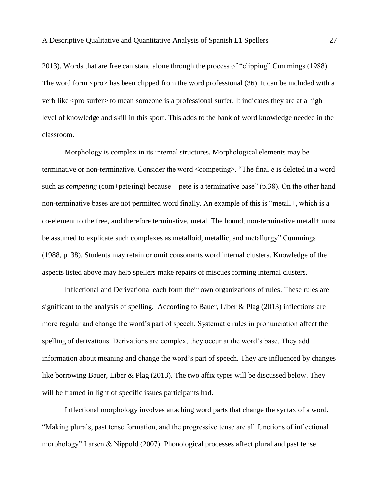2013). Words that are free can stand alone through the process of "clipping" Cummings (1988). The word form  $<$ pro $>$  has been clipped from the word professional (36). It can be included with a verb like <pro surfer> to mean someone is a professional surfer. It indicates they are at a high level of knowledge and skill in this sport. This adds to the bank of word knowledge needed in the classroom.

Morphology is complex in its internal structures. Morphological elements may be terminative or non-terminative. Consider the word <competing>. "The final *e* is deleted in a word such as *competing* (com+pete)ing) because + pete is a terminative base" (p.38). On the other hand non-terminative bases are not permitted word finally. An example of this is "metall+, which is a co-element to the free, and therefore terminative, metal. The bound, non-terminative metall+ must be assumed to explicate such complexes as metalloid, metallic, and metallurgy" Cummings (1988, p. 38). Students may retain or omit consonants word internal clusters. Knowledge of the aspects listed above may help spellers make repairs of miscues forming internal clusters.

Inflectional and Derivational each form their own organizations of rules. These rules are significant to the analysis of spelling. According to Bauer, Liber & Plag (2013) inflections are more regular and change the word's part of speech. Systematic rules in pronunciation affect the spelling of derivations. Derivations are complex, they occur at the word's base. They add information about meaning and change the word's part of speech. They are influenced by changes like borrowing Bauer, Liber & Plag (2013). The two affix types will be discussed below. They will be framed in light of specific issues participants had.

Inflectional morphology involves attaching word parts that change the syntax of a word. "Making plurals, past tense formation, and the progressive tense are all functions of inflectional morphology" Larsen & Nippold (2007). Phonological processes affect plural and past tense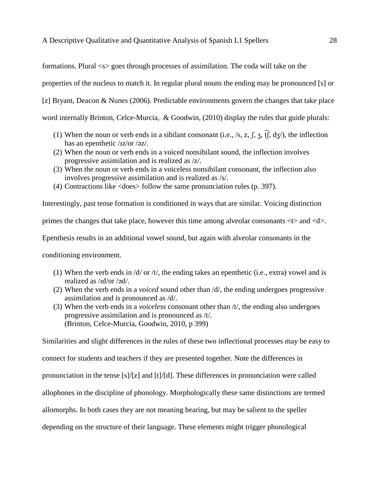formations. Plural <s> goes through processes of assimilation. The coda will take on the

properties of the nucleus to match it. In regular plural nouns the ending may be pronounced [s] or

[z] Bryant, Deacon & Nunes (2006). Predictable environments govern the changes that take place

word internally Brinton, Celce-Murcia, & Goodwin, (2010) display the rules that guide plurals:

- (1) When the noun or verb ends in a sibilant consonant (i.e., /s, z,  $\int$ ,  $\frac{1}{3}$ ,  $\int$ ,  $\int$ ,  $\frac{1}{3}$ ,  $\int$ ), the inflection has an epenthetic /ɪz/or /əz/.
- (2) When the noun or verb ends in a voiced nonsibilant sound, the inflection involves progressive assimilation and is realized as /z/.
- (3) When the noun or verb ends in a voiceless nonsibilant consonant, the inflection also involves progressive assimilation and is realized as /s/.
- (4) Contractions like <does> follow the same pronunciation rules (p. 397).

Interestingly, past tense formation is conditioned in ways that are similar. Voicing distinction primes the changes that take place, however this time among alveolar consonants <t> and <d>. Epenthesis results in an additional vowel sound, but again with alveolar consonants in the conditioning environment.

- (1) When the verb ends in  $\frac{d}{dr}$  or  $\frac{dt}{dr}$ , the ending takes an epenthetic (i.e., extra) vowel and is realized as /ɪd/or /əd/.
- (2) When the verb ends in a *voiced* sound other than /d/, the ending undergoes progressive assimilation and is pronounced as /d/.
- (3) When the verb ends in a *voiceless* consonant other than /t/, the ending also undergoes progressive assimilation and is pronounced as /t/. (Brinton, Celce-Murcia, Goodwin, 2010, p 399)

Similarities and slight differences in the rules of these two inflectional processes may be easy to connect for students and teachers if they are presented together. Note the differences in pronunciation in the tense [s]/[z] and [t]/[d]. These differences in pronunciation were called allophones in the discipline of phonology. Morphologically these same distinctions are termed allomorphs. In both cases they are not meaning bearing, but may be salient to the speller depending on the structure of their language. These elements might trigger phonological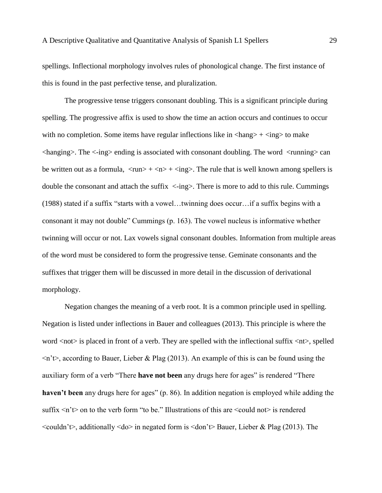spellings. Inflectional morphology involves rules of phonological change. The first instance of this is found in the past perfective tense, and pluralization.

The progressive tense triggers consonant doubling. This is a significant principle during spelling. The progressive affix is used to show the time an action occurs and continues to occur with no completion. Some items have regular inflections like in  $\langle \text{hang} \rangle + \langle \text{ing} \rangle$  to make  $\langle$ hanging $\rangle$ . The  $\langle$ -ing $\rangle$  ending is associated with consonant doubling. The word  $\langle$  running $\rangle$  can be written out as a formula,  $\langle \text{run} \rangle + \langle \text{nn} \rangle + \langle \text{inp} \rangle$ . The rule that is well known among spellers is double the consonant and attach the suffix  $\langle -\text{ing}\rangle$ . There is more to add to this rule. Cummings (1988) stated if a suffix "starts with a vowel…twinning does occur…if a suffix begins with a consonant it may not double" Cummings (p. 163). The vowel nucleus is informative whether twinning will occur or not. Lax vowels signal consonant doubles. Information from multiple areas of the word must be considered to form the progressive tense. Geminate consonants and the suffixes that trigger them will be discussed in more detail in the discussion of derivational morphology.

Negation changes the meaning of a verb root. It is a common principle used in spelling. Negation is listed under inflections in Bauer and colleagues (2013). This principle is where the word <not> is placed in front of a verb. They are spelled with the inflectional suffix <nt>, spelled  $\langle n \rangle$  according to Bauer, Lieber & Plag (2013). An example of this is can be found using the auxiliary form of a verb "There **have not been** any drugs here for ages" is rendered "There **haven't been** any drugs here for ages" (p. 86). In addition negation is employed while adding the suffix  $\leq n'$  to the verb form "to be." Illustrations of this are  $\leq$  could not is rendered  $\le$ couldn't $\ge$ , additionally  $\le$ do $\ge$  in negated form is  $\le$ don't $\ge$  Bauer, Lieber & Plag (2013). The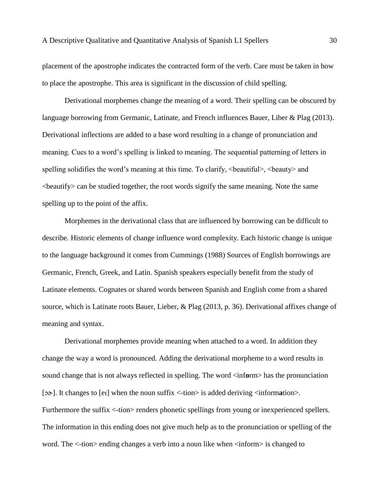placement of the apostrophe indicates the contracted form of the verb. Care must be taken in how to place the apostrophe. This area is significant in the discussion of child spelling.

Derivational morphemes change the meaning of a word. Their spelling can be obscured by language borrowing from Germanic, Latinate, and French influences Bauer, Liber & Plag (2013). Derivational inflections are added to a base word resulting in a change of pronunciation and meaning. Cues to a word's spelling is linked to meaning. The sequential patterning of letters in spelling solidifies the word's meaning at this time. To clarify,  $\triangle$ beautiful $\ge$ ,  $\triangle$ beauty $\ge$  and <beautify> can be studied together, the root words signify the same meaning. Note the same spelling up to the point of the affix.

Morphemes in the derivational class that are influenced by borrowing can be difficult to describe. Historic elements of change influence word complexity. Each historic change is unique to the language background it comes from Cummings (1988) Sources of English borrowings are Germanic, French, Greek, and Latin. Spanish speakers especially benefit from the study of Latinate elements. Cognates or shared words between Spanish and English come from a shared source, which is Latinate roots Bauer, Lieber, & Plag (2013, p. 36). Derivational affixes change of meaning and syntax.

Derivational morphemes provide meaning when attached to a word. In addition they change the way a word is pronounced. Adding the derivational morpheme to a word results in sound change that is not always reflected in spelling. The word <inf**o**rm> has the pronunciation [ɔɚ]. It changes to [eɪ] when the noun suffix <-tion> is added deriving <inform**a**tion>. Furthermore the suffix  $\lt$ -tion $\gt$  renders phonetic spellings from young or inexperienced spellers. The information in this ending does not give much help as to the pronunciation or spelling of the word. The <-tion> ending changes a verb into a noun like when <inform> is changed to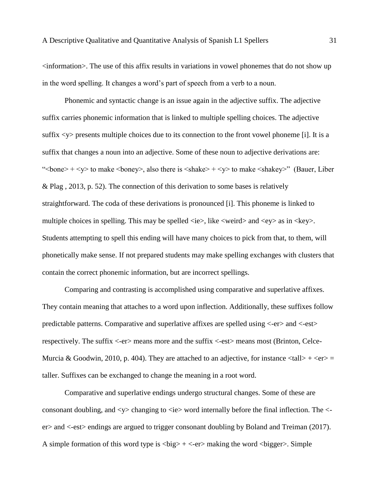$\leq$ information $\geq$ . The use of this affix results in variations in vowel phonemes that do not show up in the word spelling. It changes a word's part of speech from a verb to a noun.

Phonemic and syntactic change is an issue again in the adjective suffix. The adjective suffix carries phonemic information that is linked to multiple spelling choices. The adjective suffix  $\langle y \rangle$  presents multiple choices due to its connection to the front vowel phoneme [i]. It is a suffix that changes a noun into an adjective. Some of these noun to adjective derivations are: "  $\text{Kone}\rightarrow \text{Ky}\rightarrow \text{to make}$   $\text{Hence}$ , also there is  $\text{Kshake}\rightarrow \text{Ky}\rightarrow \text{to make}$   $\text{Hake}\rightarrow \text{Hence}$  (Bauer, Liber & Plag , 2013, p. 52). The connection of this derivation to some bases is relatively straightforward. The coda of these derivations is pronounced [i]. This phoneme is linked to multiple choices in spelling. This may be spelled  $\langle ie \rangle$ , like  $\langle weird \rangle$  and  $\langle ey \rangle$  as in  $\langle key \rangle$ . Students attempting to spell this ending will have many choices to pick from that, to them, will phonetically make sense. If not prepared students may make spelling exchanges with clusters that contain the correct phonemic information, but are incorrect spellings.

Comparing and contrasting is accomplished using comparative and superlative affixes. They contain meaning that attaches to a word upon inflection. Additionally, these suffixes follow predictable patterns. Comparative and superlative affixes are spelled using <-er> and <-est> respectively. The suffix <-er> means more and the suffix <-est> means most (Brinton, Celce-Murcia & Goodwin, 2010, p. 404). They are attached to an adjective, for instance  $\langle \text{tall} \rangle + \langle \text{er} \rangle =$ taller. Suffixes can be exchanged to change the meaning in a root word.

Comparative and superlative endings undergo structural changes. Some of these are consonant doubling, and  $\langle y \rangle$  changing to  $\langle ie \rangle$  word internally before the final inflection. The  $\langle$ er> and <-est> endings are argued to trigger consonant doubling by Boland and Treiman (2017). A simple formation of this word type is  $\langle big \rangle + \langle -er \rangle$  making the word  $\langle bigger \rangle$ . Simple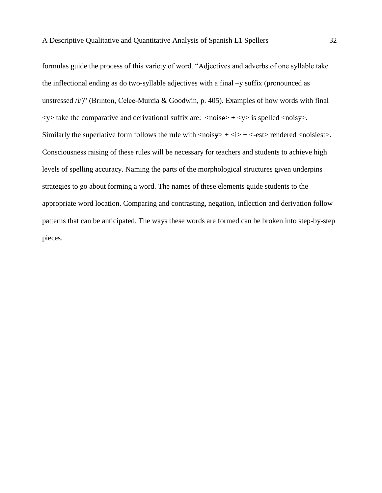formulas guide the process of this variety of word. "Adjectives and adverbs of one syllable take the inflectional ending as do two-syllable adjectives with a final –y suffix (pronounced as unstressed  $\langle i \rangle$ " (Brinton, Celce-Murcia & Goodwin, p. 405). Examples of how words with final  $\langle y \rangle$  take the comparative and derivational suffix are:  $\langle \text{noise} \rangle + \langle y \rangle$  is spelled  $\langle \text{noisy} \rangle$ . Similarly the superlative form follows the rule with  $\langle \text{noisy} \rangle + \langle \text{1} \rangle + \langle \text{-est} \rangle$  rendered  $\langle \text{noisiest} \rangle$ . Consciousness raising of these rules will be necessary for teachers and students to achieve high levels of spelling accuracy. Naming the parts of the morphological structures given underpins strategies to go about forming a word. The names of these elements guide students to the appropriate word location. Comparing and contrasting, negation, inflection and derivation follow patterns that can be anticipated. The ways these words are formed can be broken into step-by-step pieces.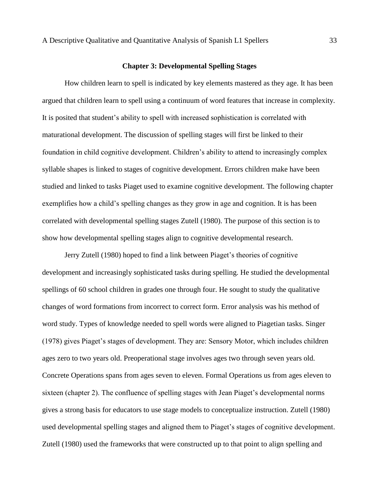#### **Chapter 3: Developmental Spelling Stages**

How children learn to spell is indicated by key elements mastered as they age. It has been argued that children learn to spell using a continuum of word features that increase in complexity. It is posited that student's ability to spell with increased sophistication is correlated with maturational development. The discussion of spelling stages will first be linked to their foundation in child cognitive development. Children's ability to attend to increasingly complex syllable shapes is linked to stages of cognitive development. Errors children make have been studied and linked to tasks Piaget used to examine cognitive development. The following chapter exemplifies how a child's spelling changes as they grow in age and cognition. It is has been correlated with developmental spelling stages Zutell (1980). The purpose of this section is to show how developmental spelling stages align to cognitive developmental research.

Jerry Zutell (1980) hoped to find a link between Piaget's theories of cognitive development and increasingly sophisticated tasks during spelling. He studied the developmental spellings of 60 school children in grades one through four. He sought to study the qualitative changes of word formations from incorrect to correct form. Error analysis was his method of word study. Types of knowledge needed to spell words were aligned to Piagetian tasks. Singer (1978) gives Piaget's stages of development. They are: Sensory Motor, which includes children ages zero to two years old. Preoperational stage involves ages two through seven years old. Concrete Operations spans from ages seven to eleven. Formal Operations us from ages eleven to sixteen (chapter 2). The confluence of spelling stages with Jean Piaget's developmental norms gives a strong basis for educators to use stage models to conceptualize instruction. Zutell (1980) used developmental spelling stages and aligned them to Piaget's stages of cognitive development. Zutell (1980) used the frameworks that were constructed up to that point to align spelling and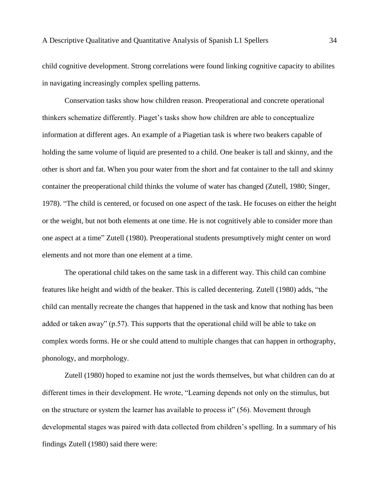child cognitive development. Strong correlations were found linking cognitive capacity to abilites in navigating increasingly complex spelling patterns.

Conservation tasks show how children reason. Preoperational and concrete operational thinkers schematize differently. Piaget's tasks show how children are able to conceptualize information at different ages. An example of a Piagetian task is where two beakers capable of holding the same volume of liquid are presented to a child. One beaker is tall and skinny, and the other is short and fat. When you pour water from the short and fat container to the tall and skinny container the preoperational child thinks the volume of water has changed (Zutell, 1980; Singer, 1978). "The child is centered, or focused on one aspect of the task. He focuses on either the height or the weight, but not both elements at one time. He is not cognitively able to consider more than one aspect at a time" Zutell (1980). Preoperational students presumptively might center on word elements and not more than one element at a time.

The operational child takes on the same task in a different way. This child can combine features like height and width of the beaker. This is called decentering. Zutell (1980) adds, "the child can mentally recreate the changes that happened in the task and know that nothing has been added or taken away" (p.57). This supports that the operational child will be able to take on complex words forms. He or she could attend to multiple changes that can happen in orthography, phonology, and morphology.

Zutell (1980) hoped to examine not just the words themselves, but what children can do at different times in their development. He wrote, "Learning depends not only on the stimulus, but on the structure or system the learner has available to process it" (56). Movement through developmental stages was paired with data collected from children's spelling. In a summary of his findings Zutell (1980) said there were: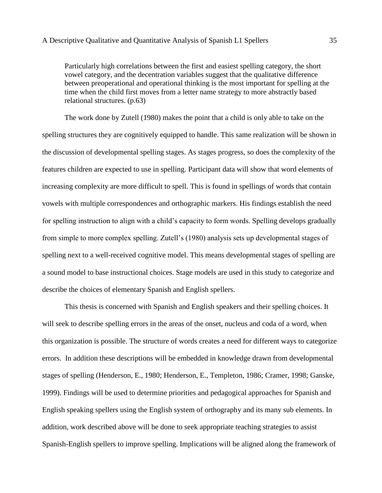Particularly high correlations between the first and easiest spelling category, the short vowel category, and the decentration variables suggest that the qualitative difference between preoperational and operational thinking is the most important for spelling at the time when the child first moves from a letter name strategy to more abstractly based relational structures. (p.63)

The work done by Zutell (1980) makes the point that a child is only able to take on the spelling structures they are cognitively equipped to handle. This same realization will be shown in the discussion of developmental spelling stages. As stages progress, so does the complexity of the features children are expected to use in spelling. Participant data will show that word elements of increasing complexity are more difficult to spell. This is found in spellings of words that contain vowels with multiple correspondences and orthographic markers. His findings establish the need for spelling instruction to align with a child's capacity to form words. Spelling develops gradually from simple to more complex spelling. Zutell's (1980) analysis sets up developmental stages of spelling next to a well-received cognitive model. This means developmental stages of spelling are a sound model to base instructional choices. Stage models are used in this study to categorize and describe the choices of elementary Spanish and English spellers.

This thesis is concerned with Spanish and English speakers and their spelling choices. It will seek to describe spelling errors in the areas of the onset, nucleus and coda of a word, when this organization is possible. The structure of words creates a need for different ways to categorize errors. In addition these descriptions will be embedded in knowledge drawn from developmental stages of spelling (Henderson, E., 1980; Henderson, E., Templeton, 1986; Cramer, 1998; Ganske, 1999). Findings will be used to determine priorities and pedagogical approaches for Spanish and English speaking spellers using the English system of orthography and its many sub elements. In addition, work described above will be done to seek appropriate teaching strategies to assist Spanish-English spellers to improve spelling. Implications will be aligned along the framework of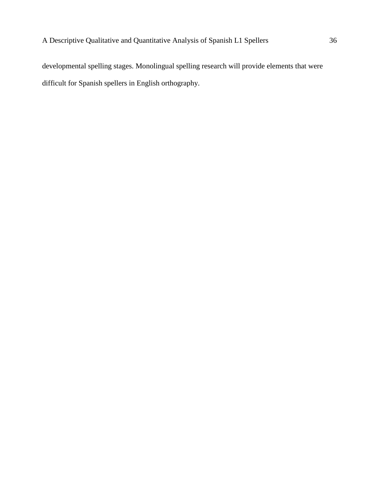developmental spelling stages. Monolingual spelling research will provide elements that were difficult for Spanish spellers in English orthography.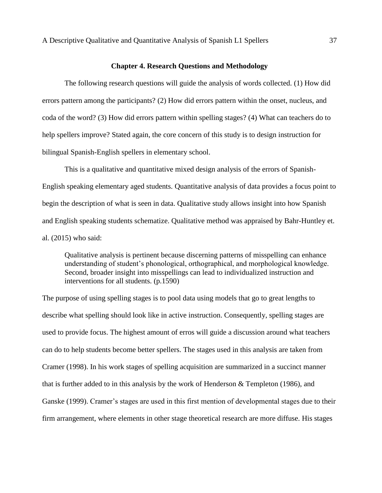# **Chapter 4. Research Questions and Methodology**

The following research questions will guide the analysis of words collected. (1) How did errors pattern among the participants? (2) How did errors pattern within the onset, nucleus, and coda of the word? (3) How did errors pattern within spelling stages? (4) What can teachers do to help spellers improve? Stated again, the core concern of this study is to design instruction for bilingual Spanish-English spellers in elementary school.

This is a qualitative and quantitative mixed design analysis of the errors of Spanish-English speaking elementary aged students. Quantitative analysis of data provides a focus point to begin the description of what is seen in data. Qualitative study allows insight into how Spanish and English speaking students schematize. Qualitative method was appraised by Bahr-Huntley et. al. (2015) who said:

Qualitative analysis is pertinent because discerning patterns of misspelling can enhance understanding of student's phonological, orthographical, and morphological knowledge. Second, broader insight into misspellings can lead to individualized instruction and interventions for all students. (p.1590)

The purpose of using spelling stages is to pool data using models that go to great lengths to describe what spelling should look like in active instruction. Consequently, spelling stages are used to provide focus. The highest amount of erros will guide a discussion around what teachers can do to help students become better spellers. The stages used in this analysis are taken from Cramer (1998). In his work stages of spelling acquisition are summarized in a succinct manner that is further added to in this analysis by the work of Henderson & Templeton (1986), and Ganske (1999). Cramer's stages are used in this first mention of developmental stages due to their firm arrangement, where elements in other stage theoretical research are more diffuse. His stages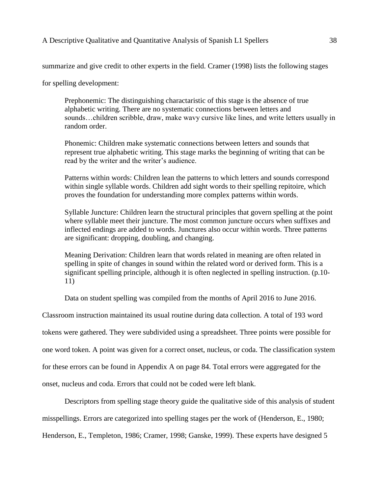summarize and give credit to other experts in the field. Cramer (1998) lists the following stages

for spelling development:

Prephonemic: The distinguishing charactaristic of this stage is the absence of true alphabetic writing. There are no systematic connections between letters and sounds…children scribble, draw, make wavy cursive like lines, and write letters usually in random order.

Phonemic: Children make systematic connections between letters and sounds that represent true alphabetic writing. This stage marks the beginning of writing that can be read by the writer and the writer's audience.

Patterns within words: Children lean the patterns to which letters and sounds correspond within single syllable words. Children add sight words to their spelling repitoire, which proves the foundation for understanding more complex patterns within words.

Syllable Juncture: Children learn the structural principles that govern spelling at the point where syllable meet their juncture. The most common juncture occurs when suffixes and inflected endings are added to words. Junctures also occur within words. Three patterns are significant: dropping, doubling, and changing.

Meaning Derivation: Children learn that words related in meaning are often related in spelling in spite of changes in sound within the related word or derived form. This is a significant spelling principle, although it is often neglected in spelling instruction. (p.10- 11)

Data on student spelling was compiled from the months of April 2016 to June 2016.

Classroom instruction maintained its usual routine during data collection. A total of 193 word

tokens were gathered. They were subdivided using a spreadsheet. Three points were possible for

one word token. A point was given for a correct onset, nucleus, or coda. The classification system

for these errors can be found in Appendix A on page 84. Total errors were aggregated for the

onset, nucleus and coda. Errors that could not be coded were left blank.

Descriptors from spelling stage theory guide the qualitative side of this analysis of student

misspellings. Errors are categorized into spelling stages per the work of (Henderson, E., 1980;

Henderson, E., Templeton, 1986; Cramer, 1998; Ganske, 1999). These experts have designed 5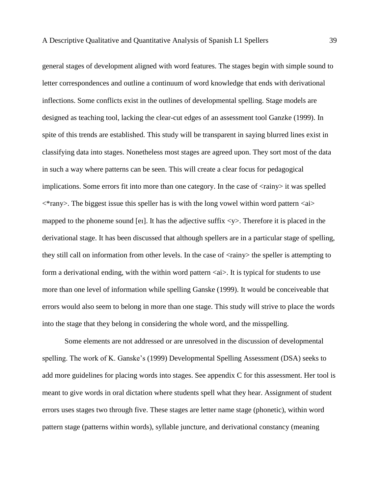general stages of development aligned with word features. The stages begin with simple sound to letter correspondences and outline a continuum of word knowledge that ends with derivational inflections. Some conflicts exist in the outlines of developmental spelling. Stage models are designed as teaching tool, lacking the clear-cut edges of an assessment tool Ganzke (1999). In spite of this trends are established. This study will be transparent in saying blurred lines exist in classifying data into stages. Nonetheless most stages are agreed upon. They sort most of the data in such a way where patterns can be seen. This will create a clear focus for pedagogical implications. Some errors fit into more than one category. In the case of  $\langle$ rainy $\rangle$  it was spelled  $\langle\$ irany>. The biggest issue this speller has is with the long vowel within word pattern  $\langle\alpha\rangle$ mapped to the phoneme sound [ei]. It has the adjective suffix  $\langle y \rangle$ . Therefore it is placed in the derivational stage. It has been discussed that although spellers are in a particular stage of spelling, they still call on information from other levels. In the case of <rainy> the speller is attempting to form a derivational ending, with the within word pattern  $\langle ai \rangle$ . It is typical for students to use more than one level of information while spelling Ganske (1999). It would be conceiveable that errors would also seem to belong in more than one stage. This study will strive to place the words into the stage that they belong in considering the whole word, and the misspelling.

Some elements are not addressed or are unresolved in the discussion of developmental spelling. The work of K. Ganske's (1999) Developmental Spelling Assessment (DSA) seeks to add more guidelines for placing words into stages. See appendix C for this assessment. Her tool is meant to give words in oral dictation where students spell what they hear. Assignment of student errors uses stages two through five. These stages are letter name stage (phonetic), within word pattern stage (patterns within words), syllable juncture, and derivational constancy (meaning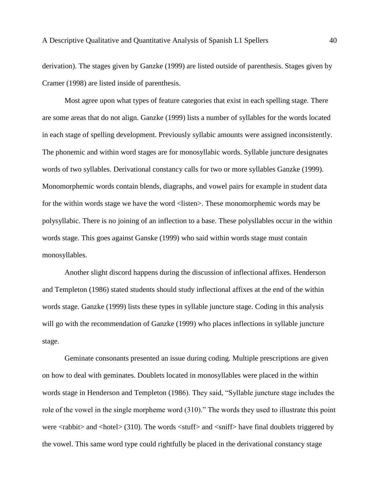derivation). The stages given by Ganzke (1999) are listed outside of parenthesis. Stages given by Cramer (1998) are listed inside of parenthesis.

Most agree upon what types of feature categories that exist in each spelling stage. There are some areas that do not align. Ganzke (1999) lists a number of syllables for the words located in each stage of spelling development. Previously syllabic amounts were assigned inconsistently. The phonemic and within word stages are for monosyllabic words. Syllable juncture designates words of two syllables. Derivational constancy calls for two or more syllables Ganzke (1999). Monomorphemic words contain blends, diagraphs, and vowel pairs for example in student data for the within words stage we have the word <listen>. These monomorphemic words may be polysyllabic. There is no joining of an inflection to a base. These polysllables occur in the within words stage. This goes against Ganske (1999) who said within words stage must contain monosyllables.

Another slight discord happens during the discussion of inflectional affixes. Henderson and Templeton (1986) stated students should study inflectional affixes at the end of the within words stage. Ganzke (1999) lists these types in syllable juncture stage. Coding in this analysis will go with the recommendation of Ganzke (1999) who places inflections in syllable juncture stage.

Geminate consonants presented an issue during coding. Multiple prescriptions are given on how to deal with geminates. Doublets located in monosyllables were placed in the within words stage in Henderson and Templeton (1986). They said, "Syllable juncture stage includes the role of the vowel in the single morpheme word (310)." The words they used to illustrate this point were  $\langle$  rabbit $\rangle$  and  $\langle$ hotel $\rangle$  (310). The words  $\langle$  stuff $\rangle$  and  $\langle$  sniff $\rangle$  have final doublets triggered by the vowel. This same word type could rightfully be placed in the derivational constancy stage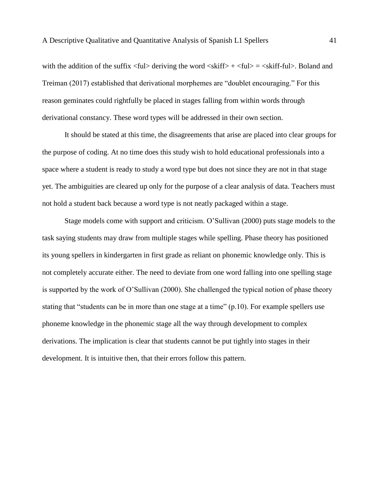with the addition of the suffix  $\langle \text{ful}\rangle$  deriving the word  $\langle \text{skiff}\rangle$  +  $\langle \text{ful}\rangle$  =  $\langle \text{skiff-flul}\rangle$ . Boland and Treiman (2017) established that derivational morphemes are "doublet encouraging." For this reason geminates could rightfully be placed in stages falling from within words through derivational constancy. These word types will be addressed in their own section.

It should be stated at this time, the disagreements that arise are placed into clear groups for the purpose of coding. At no time does this study wish to hold educational professionals into a space where a student is ready to study a word type but does not since they are not in that stage yet. The ambiguities are cleared up only for the purpose of a clear analysis of data. Teachers must not hold a student back because a word type is not neatly packaged within a stage.

Stage models come with support and criticism. O'Sullivan (2000) puts stage models to the task saying students may draw from multiple stages while spelling. Phase theory has positioned its young spellers in kindergarten in first grade as reliant on phonemic knowledge only. This is not completely accurate either. The need to deviate from one word falling into one spelling stage is supported by the work of O'Sullivan (2000). She challenged the typical notion of phase theory stating that "students can be in more than one stage at a time" (p.10). For example spellers use phoneme knowledge in the phonemic stage all the way through development to complex derivations. The implication is clear that students cannot be put tightly into stages in their development. It is intuitive then, that their errors follow this pattern.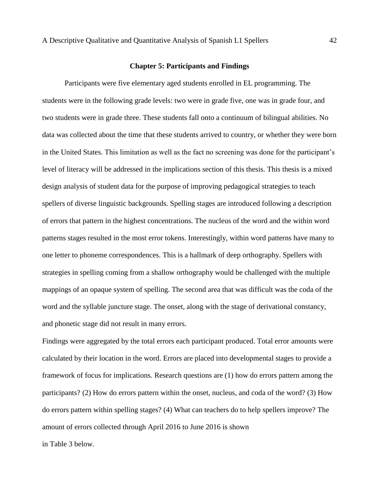# **Chapter 5: Participants and Findings**

Participants were five elementary aged students enrolled in EL programming. The students were in the following grade levels: two were in grade five, one was in grade four, and two students were in grade three. These students fall onto a continuum of bilingual abilities. No data was collected about the time that these students arrived to country, or whether they were born in the United States. This limitation as well as the fact no screening was done for the participant's level of literacy will be addressed in the implications section of this thesis. This thesis is a mixed design analysis of student data for the purpose of improving pedagogical strategies to teach spellers of diverse linguistic backgrounds. Spelling stages are introduced following a description of errors that pattern in the highest concentrations. The nucleus of the word and the within word patterns stages resulted in the most error tokens. Interestingly, within word patterns have many to one letter to phoneme correspondences. This is a hallmark of deep orthography. Spellers with strategies in spelling coming from a shallow orthography would be challenged with the multiple mappings of an opaque system of spelling. The second area that was difficult was the coda of the word and the syllable juncture stage. The onset, along with the stage of derivational constancy, and phonetic stage did not result in many errors.

Findings were aggregated by the total errors each participant produced. Total error amounts were calculated by their location in the word. Errors are placed into developmental stages to provide a framework of focus for implications. Research questions are (1) how do errors pattern among the participants? (2) How do errors pattern within the onset, nucleus, and coda of the word? (3) How do errors pattern within spelling stages? (4) What can teachers do to help spellers improve? The amount of errors collected through April 2016 to June 2016 is shown

in Table 3 below.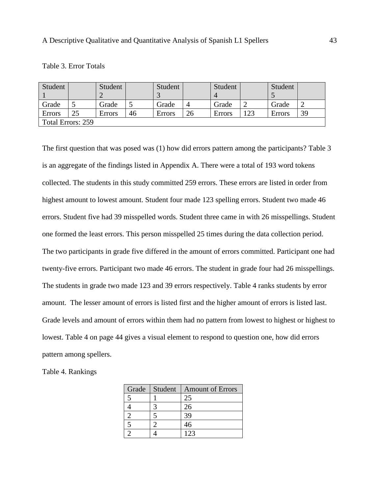| Table 3. Error Totals |  |  |
|-----------------------|--|--|
|-----------------------|--|--|

| Student           | Student       |    | Student/ |    | Student       |     | Student |    |
|-------------------|---------------|----|----------|----|---------------|-----|---------|----|
|                   |               |    |          |    |               |     |         |    |
| Grade             | Grade         |    | Grade    |    | Grade         |     | Grade   |    |
| <b>Errors</b>     | <b>Errors</b> | 46 | Errors   | 26 | <b>Errors</b> | 123 | Errors  | 39 |
| Total Errors: 259 |               |    |          |    |               |     |         |    |

The first question that was posed was (1) how did errors pattern among the participants? Table 3 is an aggregate of the findings listed in Appendix A. There were a total of 193 word tokens collected. The students in this study committed 259 errors. These errors are listed in order from highest amount to lowest amount. Student four made 123 spelling errors. Student two made 46 errors. Student five had 39 misspelled words. Student three came in with 26 misspellings. Student one formed the least errors. This person misspelled 25 times during the data collection period. The two participants in grade five differed in the amount of errors committed. Participant one had twenty-five errors. Participant two made 46 errors. The student in grade four had 26 misspellings. The students in grade two made 123 and 39 errors respectively. Table 4 ranks students by error amount. The lesser amount of errors is listed first and the higher amount of errors is listed last. Grade levels and amount of errors within them had no pattern from lowest to highest or highest to lowest. Table 4 on page 44 gives a visual element to respond to question one, how did errors pattern among spellers.

|  | Table 4. Rankings |
|--|-------------------|
|  |                   |

| Grade | Student | <b>Amount of Errors</b> |
|-------|---------|-------------------------|
|       |         |                         |
|       |         | 26                      |
|       |         |                         |
|       |         | 46                      |
|       |         | 123                     |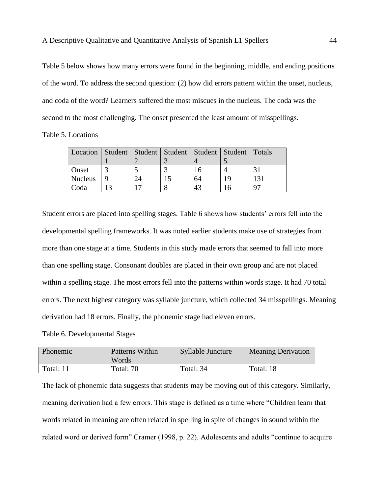Table 5 below shows how many errors were found in the beginning, middle, and ending positions of the word. To address the second question: (2) how did errors pattern within the onset, nucleus, and coda of the word? Learners suffered the most miscues in the nucleus. The coda was the second to the most challenging. The onset presented the least amount of misspellings.

Table 5. Locations

| Location   Student   Student   Student   Student   Student   Totals |  |    |                 |
|---------------------------------------------------------------------|--|----|-----------------|
|                                                                     |  |    |                 |
| Onset                                                               |  |    |                 |
| <b>Nucleus</b>                                                      |  | 64 | 13 <sup>7</sup> |
| Coda                                                                |  |    |                 |

Student errors are placed into spelling stages. Table 6 shows how students' errors fell into the developmental spelling frameworks. It was noted earlier students make use of strategies from more than one stage at a time. Students in this study made errors that seemed to fall into more than one spelling stage. Consonant doubles are placed in their own group and are not placed within a spelling stage. The most errors fell into the patterns within words stage. It had 70 total errors. The next highest category was syllable juncture, which collected 34 misspellings. Meaning derivation had 18 errors. Finally, the phonemic stage had eleven errors.

Table 6. Developmental Stages

| Phonemic  | Patterns Within<br>Words | Syllable Juncture | <b>Meaning Derivation</b> |
|-----------|--------------------------|-------------------|---------------------------|
| Total: 11 | Total: 70                | Total: 34         | Total: 18                 |

The lack of phonemic data suggests that students may be moving out of this category. Similarly, meaning derivation had a few errors. This stage is defined as a time where "Children learn that words related in meaning are often related in spelling in spite of changes in sound within the related word or derived form" Cramer (1998, p. 22). Adolescents and adults "continue to acquire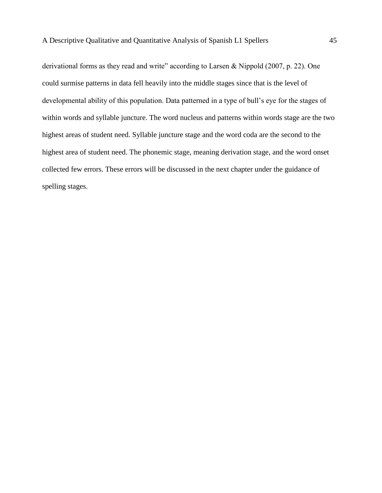derivational forms as they read and write" according to Larsen & Nippold (2007, p. 22). One could surmise patterns in data fell heavily into the middle stages since that is the level of developmental ability of this population. Data patterned in a type of bull's eye for the stages of within words and syllable juncture. The word nucleus and patterns within words stage are the two highest areas of student need. Syllable juncture stage and the word coda are the second to the highest area of student need. The phonemic stage, meaning derivation stage, and the word onset collected few errors. These errors will be discussed in the next chapter under the guidance of spelling stages.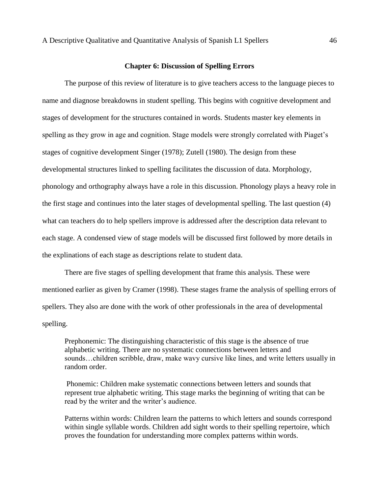### **Chapter 6: Discussion of Spelling Errors**

The purpose of this review of literature is to give teachers access to the language pieces to name and diagnose breakdowns in student spelling. This begins with cognitive development and stages of development for the structures contained in words. Students master key elements in spelling as they grow in age and cognition. Stage models were strongly correlated with Piaget's stages of cognitive development Singer (1978); Zutell (1980). The design from these developmental structures linked to spelling facilitates the discussion of data. Morphology, phonology and orthography always have a role in this discussion. Phonology plays a heavy role in the first stage and continues into the later stages of developmental spelling. The last question (4) what can teachers do to help spellers improve is addressed after the description data relevant to each stage. A condensed view of stage models will be discussed first followed by more details in the explinations of each stage as descriptions relate to student data.

There are five stages of spelling development that frame this analysis. These were mentioned earlier as given by Cramer (1998). These stages frame the analysis of spelling errors of spellers. They also are done with the work of other professionals in the area of developmental spelling.

Prephonemic: The distinguishing characteristic of this stage is the absence of true alphabetic writing. There are no systematic connections between letters and sounds…children scribble, draw, make wavy cursive like lines, and write letters usually in random order.

Phonemic: Children make systematic connections between letters and sounds that represent true alphabetic writing. This stage marks the beginning of writing that can be read by the writer and the writer's audience.

Patterns within words: Children learn the patterns to which letters and sounds correspond within single syllable words. Children add sight words to their spelling repertoire, which proves the foundation for understanding more complex patterns within words.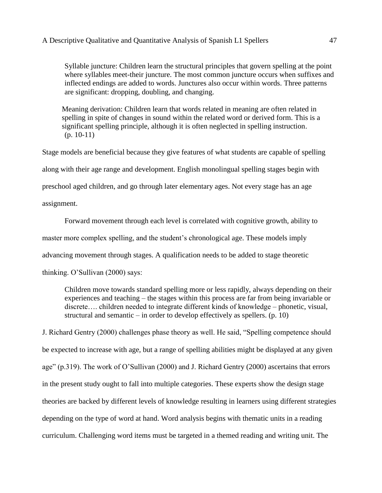Syllable juncture: Children learn the structural principles that govern spelling at the point where syllables meet-their juncture. The most common juncture occurs when suffixes and inflected endings are added to words. Junctures also occur within words. Three patterns are significant: dropping, doubling, and changing.

Meaning derivation: Children learn that words related in meaning are often related in spelling in spite of changes in sound within the related word or derived form. This is a significant spelling principle, although it is often neglected in spelling instruction.  $(p. 10-11)$ 

Stage models are beneficial because they give features of what students are capable of spelling along with their age range and development. English monolingual spelling stages begin with preschool aged children, and go through later elementary ages. Not every stage has an age assignment.

Forward movement through each level is correlated with cognitive growth, ability to master more complex spelling, and the student's chronological age. These models imply advancing movement through stages. A qualification needs to be added to stage theoretic thinking. O'Sullivan (2000) says:

Children move towards standard spelling more or less rapidly, always depending on their experiences and teaching – the stages within this process are far from being invariable or discrete…. children needed to integrate different kinds of knowledge – phonetic, visual, structural and semantic  $-$  in order to develop effectively as spellers. (p. 10)

J. Richard Gentry (2000) challenges phase theory as well. He said, "Spelling competence should be expected to increase with age, but a range of spelling abilities might be displayed at any given age" (p.319). The work of O'Sullivan (2000) and J. Richard Gentry (2000) ascertains that errors in the present study ought to fall into multiple categories. These experts show the design stage theories are backed by different levels of knowledge resulting in learners using different strategies depending on the type of word at hand. Word analysis begins with thematic units in a reading curriculum. Challenging word items must be targeted in a themed reading and writing unit. The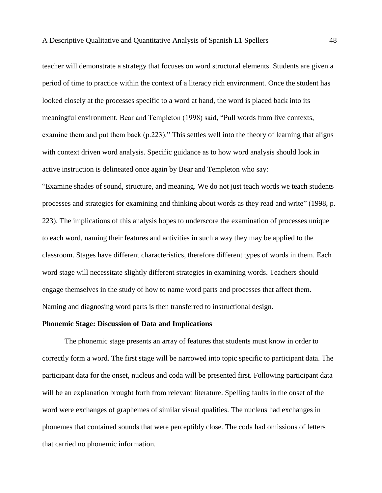teacher will demonstrate a strategy that focuses on word structural elements. Students are given a period of time to practice within the context of a literacy rich environment. Once the student has looked closely at the processes specific to a word at hand, the word is placed back into its meaningful environment. Bear and Templeton (1998) said, "Pull words from live contexts, examine them and put them back (p.223)." This settles well into the theory of learning that aligns with context driven word analysis. Specific guidance as to how word analysis should look in active instruction is delineated once again by Bear and Templeton who say:

"Examine shades of sound, structure, and meaning. We do not just teach words we teach students processes and strategies for examining and thinking about words as they read and write" (1998, p. 223). The implications of this analysis hopes to underscore the examination of processes unique to each word, naming their features and activities in such a way they may be applied to the classroom. Stages have different characteristics, therefore different types of words in them. Each word stage will necessitate slightly different strategies in examining words. Teachers should engage themselves in the study of how to name word parts and processes that affect them. Naming and diagnosing word parts is then transferred to instructional design.

### **Phonemic Stage: Discussion of Data and Implications**

The phonemic stage presents an array of features that students must know in order to correctly form a word. The first stage will be narrowed into topic specific to participant data. The participant data for the onset, nucleus and coda will be presented first. Following participant data will be an explanation brought forth from relevant literature. Spelling faults in the onset of the word were exchanges of graphemes of similar visual qualities. The nucleus had exchanges in phonemes that contained sounds that were perceptibly close. The coda had omissions of letters that carried no phonemic information.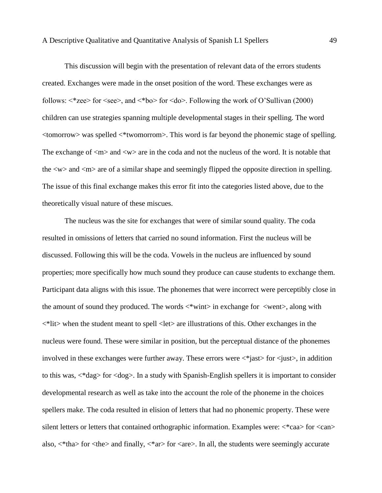This discussion will begin with the presentation of relevant data of the errors students created. Exchanges were made in the onset position of the word. These exchanges were as follows:  $\langle$ \*zee> for  $\langle$ see>, and  $\langle$ \*bo> for  $\langle$ do>. Following the work of O'Sullivan (2000) children can use strategies spanning multiple developmental stages in their spelling. The word <tomorrow> was spelled <\*twomorrom>. This word is far beyond the phonemic stage of spelling. The exchange of  $\langle m \rangle$  and  $\langle w \rangle$  are in the coda and not the nucleus of the word. It is notable that the <w> and <m> are of a similar shape and seemingly flipped the opposite direction in spelling. The issue of this final exchange makes this error fit into the categories listed above, due to the theoretically visual nature of these miscues.

The nucleus was the site for exchanges that were of similar sound quality. The coda resulted in omissions of letters that carried no sound information. First the nucleus will be discussed. Following this will be the coda. Vowels in the nucleus are influenced by sound properties; more specifically how much sound they produce can cause students to exchange them. Participant data aligns with this issue. The phonemes that were incorrect were perceptibly close in the amount of sound they produced. The words  $\langle \text{wint} \rangle$  in exchange for  $\langle \text{went} \rangle$ , along with  $\langle\hat{\mathbf{r}}\rangle$  when the student meant to spell  $\langle$  let  $\rangle$  are illustrations of this. Other exchanges in the nucleus were found. These were similar in position, but the perceptual distance of the phonemes involved in these exchanges were further away. These errors were  $\langle$  ast $\rangle$  for  $\langle$  just $\rangle$ , in addition to this was, <\*dag> for <dog>. In a study with Spanish-English spellers it is important to consider developmental research as well as take into the account the role of the phoneme in the choices spellers make. The coda resulted in elision of letters that had no phonemic property. These were silent letters or letters that contained orthographic information. Examples were:  $\langle$ \*caa> for  $\langle$ can> also,  $\langle *$ tha $>$  for  $\langle$ the $>$  and finally,  $\langle *$ ar $>$  for  $\langle$ are $>$ . In all, the students were seemingly accurate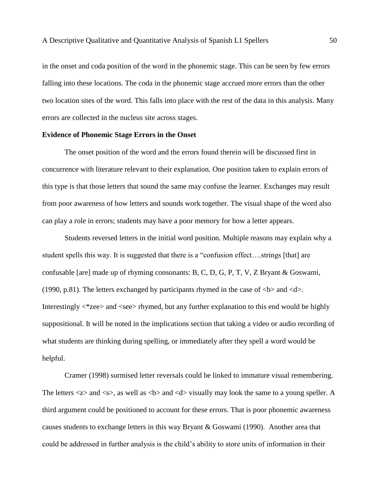in the onset and coda position of the word in the phonemic stage. This can be seen by few errors falling into these locations. The coda in the phonemic stage accrued more errors than the other two location sites of the word. This falls into place with the rest of the data in this analysis. Many errors are collected in the nucleus site across stages.

### **Evidence of Phonemic Stage Errors in the Onset**

The onset position of the word and the errors found therein will be discussed first in concurrence with literature relevant to their explanation. One position taken to explain errors of this type is that those letters that sound the same may confuse the learner. Exchanges may result from poor awareness of how letters and sounds work together. The visual shape of the word also can play a role in errors; students may have a poor memory for how a letter appears.

Students reversed letters in the initial word position. Multiple reasons may explain why a student spells this way. It is suggested that there is a "confusion effect….strings [that] are confusable [are] made up of rhyming consonants: B, C, D, G, P, T, V, Z Bryant & Goswami, (1990, p.81). The letters exchanged by participants rhymed in the case of  $\langle$ b $\rangle$  and  $\langle$ d $\rangle$ . Interestingly <\*zee> and <see> rhymed, but any further explanation to this end would be highly suppositional. It will be noted in the implications section that taking a video or audio recording of what students are thinking during spelling, or immediately after they spell a word would be helpful.

Cramer (1998) surmised letter reversals could be linked to immature visual remembering. The letters  $\langle z \rangle$  and  $\langle s \rangle$ , as well as  $\langle b \rangle$  and  $\langle d \rangle$  visually may look the same to a young speller. A third argument could be positioned to account for these errors. That is poor phonemic awareness causes students to exchange letters in this way Bryant & Goswami (1990). Another area that could be addressed in further analysis is the child's ability to store units of information in their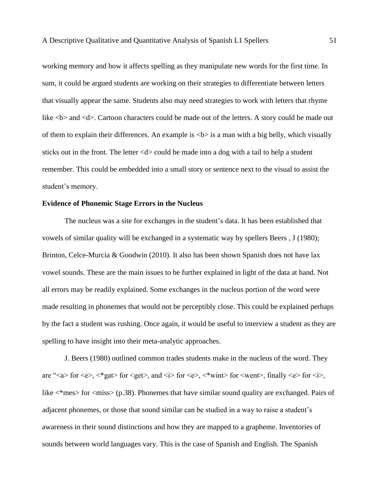working memory and how it affects spelling as they manipulate new words for the first time. In sum, it could be argued students are working on their strategies to differentiate between letters that visually appear the same. Students also may need strategies to work with letters that rhyme like  **and**  $**4**$ **. Cartoon characters could be made out of the letters. A story could be made out** of them to explain their differences. An example is  $\langle b \rangle$  is a man with a big belly, which visually sticks out in the front. The letter  $\langle d \rangle$  could be made into a dog with a tail to help a student remember. This could be embedded into a small story or sentence next to the visual to assist the student's memory.

# **Evidence of Phonemic Stage Errors in the Nucleus**

The nucleus was a site for exchanges in the student's data. It has been established that vowels of similar quality will be exchanged in a systematic way by spellers Beers , J (1980); Brinton, Celce-Murcia & Goodwin (2010). It also has been shown Spanish does not have lax vowel sounds. These are the main issues to be further explained in light of the data at hand. Not all errors may be readily explained. Some exchanges in the nucleus portion of the word were made resulting in phonemes that would not be perceptibly close. This could be explained perhaps by the fact a student was rushing. Once again, it would be useful to interview a student as they are spelling to have insight into their meta-analytic approaches.

J. Beers (1980) outlined common trades students make in the nucleus of the word. They are "<a> for <e>, <\*gat> for <get>, and <i> for <e>, <\*wint> for <went>, finally <e> for <i>, like  $\langle$ \*mes> for  $\langle$ miss> (p.38). Phonemes that have similar sound quality are exchanged. Pairs of adjacent phonemes, or those that sound similar can be studied in a way to raise a student's awareness in their sound distinctions and how they are mapped to a grapheme. Inventories of sounds between world languages vary. This is the case of Spanish and English. The Spanish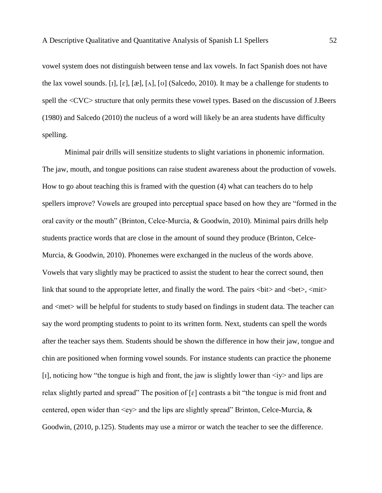vowel system does not distinguish between tense and lax vowels. In fact Spanish does not have the lax vowel sounds. [1],  $[\varepsilon]$ ,  $[\alpha]$ ,  $[\alpha]$ ,  $[\sigma]$  (Salcedo, 2010). It may be a challenge for students to spell the <CVC> structure that only permits these vowel types. Based on the discussion of J.Beers (1980) and Salcedo (2010) the nucleus of a word will likely be an area students have difficulty spelling.

Minimal pair drills will sensitize students to slight variations in phonemic information. The jaw, mouth, and tongue positions can raise student awareness about the production of vowels. How to go about teaching this is framed with the question (4) what can teachers do to help spellers improve? Vowels are grouped into perceptual space based on how they are "formed in the oral cavity or the mouth" (Brinton, Celce-Murcia, & Goodwin, 2010). Minimal pairs drills help students practice words that are close in the amount of sound they produce (Brinton, Celce-Murcia, & Goodwin, 2010). Phonemes were exchanged in the nucleus of the words above. Vowels that vary slightly may be practiced to assist the student to hear the correct sound, then link that sound to the appropriate letter, and finally the word. The pairs  $\langle \text{bit}\rangle$  and  $\langle \text{bet}\rangle$ ,  $\langle \text{mit}\rangle$ and <met> will be helpful for students to study based on findings in student data. The teacher can say the word prompting students to point to its written form. Next, students can spell the words after the teacher says them. Students should be shown the difference in how their jaw, tongue and chin are positioned when forming vowel sounds. For instance students can practice the phoneme [1], noticing how "the tongue is high and front, the jaw is slightly lower than  $\langle iy \rangle$  and lips are relax slightly parted and spread" The position of  $\lceil \varepsilon \rceil$  contrasts a bit "the tongue is mid front and centered, open wider than  $\langle ey \rangle$  and the lips are slightly spread" Brinton, Celce-Murcia, & Goodwin, (2010, p.125). Students may use a mirror or watch the teacher to see the difference.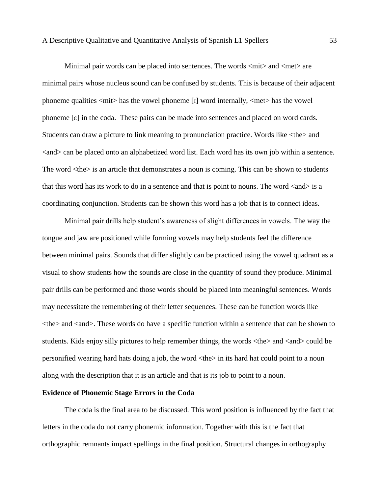Minimal pair words can be placed into sentences. The words  $\langle \text{mit}\rangle$  and  $\langle \text{met}\rangle$  are minimal pairs whose nucleus sound can be confused by students. This is because of their adjacent phoneme qualities  $\langle \text{mit}\rangle$  has the vowel phoneme [1] word internally,  $\langle \text{met}\rangle$  has the vowel phoneme  $\lceil \varepsilon \rceil$  in the coda. These pairs can be made into sentences and placed on word cards. Students can draw a picture to link meaning to pronunciation practice. Words like <the> and <and> can be placed onto an alphabetized word list. Each word has its own job within a sentence. The word  $\langle$ the $>$  is an article that demonstrates a noun is coming. This can be shown to students that this word has its work to do in a sentence and that is point to nouns. The word  $\langle$  and $\rangle$  is a coordinating conjunction. Students can be shown this word has a job that is to connect ideas.

Minimal pair drills help student's awareness of slight differences in vowels. The way the tongue and jaw are positioned while forming vowels may help students feel the difference between minimal pairs. Sounds that differ slightly can be practiced using the vowel quadrant as a visual to show students how the sounds are close in the quantity of sound they produce. Minimal pair drills can be performed and those words should be placed into meaningful sentences. Words may necessitate the remembering of their letter sequences. These can be function words like <the> and <and>. These words do have a specific function within a sentence that can be shown to students. Kids enjoy silly pictures to help remember things, the words  $\langle$ the $\rangle$  and  $\langle$  and $\rangle$  could be personified wearing hard hats doing a job, the word <the> in its hard hat could point to a noun along with the description that it is an article and that is its job to point to a noun.

## **Evidence of Phonemic Stage Errors in the Coda**

The coda is the final area to be discussed. This word position is influenced by the fact that letters in the coda do not carry phonemic information. Together with this is the fact that orthographic remnants impact spellings in the final position. Structural changes in orthography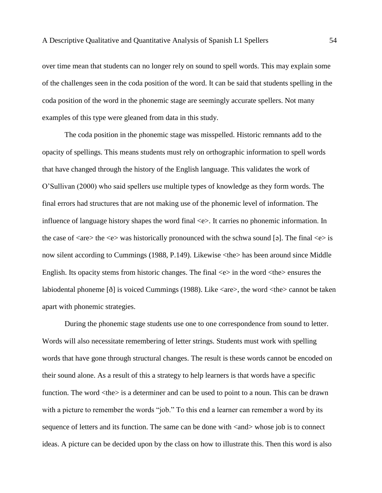over time mean that students can no longer rely on sound to spell words. This may explain some of the challenges seen in the coda position of the word. It can be said that students spelling in the coda position of the word in the phonemic stage are seemingly accurate spellers. Not many examples of this type were gleaned from data in this study.

The coda position in the phonemic stage was misspelled. Historic remnants add to the opacity of spellings. This means students must rely on orthographic information to spell words that have changed through the history of the English language. This validates the work of O'Sullivan (2000) who said spellers use multiple types of knowledge as they form words. The final errors had structures that are not making use of the phonemic level of information. The influence of language history shapes the word final <e>. It carries no phonemic information. In the case of  $\langle$ are $\rangle$  the  $\langle$ e $\rangle$  was historically pronounced with the schwa sound [ə]. The final  $\langle$ e $\rangle$  is now silent according to Cummings (1988, P.149). Likewise <the> has been around since Middle English. Its opacity stems from historic changes. The final  $\langle e \rangle$  in the word  $\langle$ the $\rangle$  ensures the labiodental phoneme [ $\delta$ ] is voiced Cummings (1988). Like <are>, the word <the> cannot be taken apart with phonemic strategies.

During the phonemic stage students use one to one correspondence from sound to letter. Words will also necessitate remembering of letter strings. Students must work with spelling words that have gone through structural changes. The result is these words cannot be encoded on their sound alone. As a result of this a strategy to help learners is that words have a specific function. The word  $\langle \text{the} \rangle$  is a determiner and can be used to point to a noun. This can be drawn with a picture to remember the words "job." To this end a learner can remember a word by its sequence of letters and its function. The same can be done with  $\langle$  and  $\rangle$  whose job is to connect ideas. A picture can be decided upon by the class on how to illustrate this. Then this word is also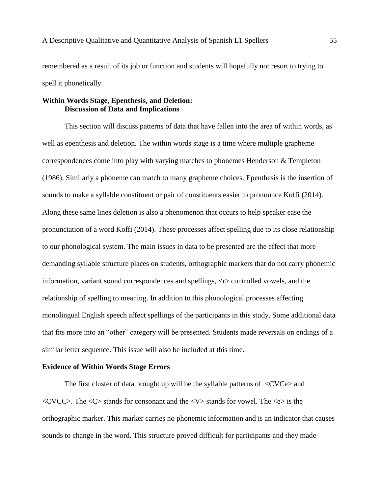remembered as a result of its job or function and students will hopefully not resort to trying to spell it phonetically.

# **Within Words Stage, Epenthesis, and Deletion: Discussion of Data and Implications**

This section will discuss patterns of data that have fallen into the area of within words, as well as epenthesis and deletion. The within words stage is a time where multiple grapheme correspondences come into play with varying matches to phonemes Henderson & Templeton (1986). Similarly a phoneme can match to many grapheme choices. Epenthesis is the insertion of sounds to make a syllable constituent or pair of constituents easier to pronounce Koffi (2014). Along these same lines deletion is also a phenomenon that occurs to help speaker ease the pronunciation of a word Koffi (2014). These processes affect spelling due to its close relationship to our phonological system. The main issues in data to be presented are the effect that more demanding syllable structure places on students, orthographic markers that do not carry phonemic information, variant sound correspondences and spellings, <r> controlled vowels, and the relationship of spelling to meaning. In addition to this phonological processes affecting monolingual English speech affect spellings of the participants in this study. Some additional data that fits more into an "other" category will be presented. Students made reversals on endings of a similar letter sequence. This issue will also be included at this time.

## **Evidence of Within Words Stage Errors**

The first cluster of data brought up will be the syllable patterns of  $\langle$ CVCe $>$  and  $\langle$  CVCC>. The  $\langle$ C> stands for consonant and the  $\langle$ V> stands for vowel. The  $\langle$ e> is the orthographic marker. This marker carries no phonemic information and is an indicator that causes sounds to change in the word. This structure proved difficult for participants and they made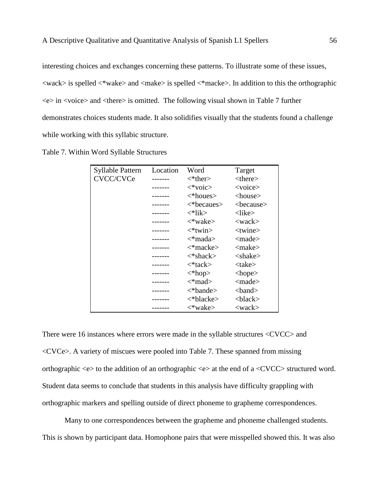interesting choices and exchanges concerning these patterns. To illustrate some of these issues,  $\langle \text{wack}\rangle$  is spelled  $\langle \text{wake}\rangle$  and  $\langle \text{make}\rangle$  is spelled  $\langle \text{wake}\rangle$ . In addition to this the orthographic  $\langle e \rangle$  in  $\langle \text{voice} \rangle$  and  $\langle \text{there} \rangle$  is omitted. The following visual shown in Table 7 further demonstrates choices students made. It also solidifies visually that the students found a challenge while working with this syllabic structure.

|  | Table 7. Within Word Syllable Structures |  |  |
|--|------------------------------------------|--|--|
|--|------------------------------------------|--|--|

| Syllable Pattern | Location | Word                      | Target                   |
|------------------|----------|---------------------------|--------------------------|
| CVCC/CVCe        |          | $\lt^*$ ther $>$          | $<$ there $>$            |
|                  |          | $\langle$ *voic>          | $<$ voice $>$            |
|                  |          | $\langle$ *houes>         | $<$ house $>$            |
|                  |          | $\langle$ *becaues>       | <because></because>      |
|                  |          | <*lik>                    | <like></like>            |
|                  |          | <*wake>                   | $<$ wack $>$             |
|                  |          | $\langle$ *twin $\rangle$ | ltwise                   |
|                  |          | <*mada>                   | $\langle$ made $\rangle$ |
|                  |          | $\langle$ *macke>         | <make></make>            |
|                  |          | <*shack>                  | $<$ shake $>$            |
|                  |          | <*tack>                   | $<$ take $>$             |
|                  |          | $\langle *hop \rangle$    | $<$ hope $>$             |
|                  |          | <*mad>                    | $\langle$ made $\rangle$ |
|                  |          | $\lt^*$ bande $>$         | $<$ band $>$             |
|                  |          | <*blacke>                 | $&$ black $&$            |
|                  |          | <*wake>                   | $<$ wack $>$             |

There were 16 instances where errors were made in the syllable structures <CVCC> and <CVCe>. A variety of miscues were pooled into Table 7. These spanned from missing orthographic  $\langle e \rangle$  to the addition of an orthographic  $\langle e \rangle$  at the end of a  $\langle CVCC \rangle$  structured word. Student data seems to conclude that students in this analysis have difficulty grappling with orthographic markers and spelling outside of direct phoneme to grapheme correspondences.

Many to one correspondences between the grapheme and phoneme challenged students. This is shown by participant data. Homophone pairs that were misspelled showed this. It was also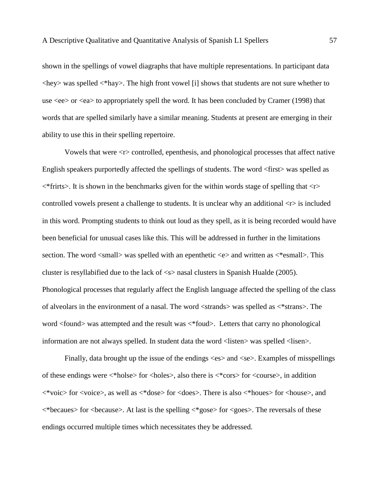shown in the spellings of vowel diagraphs that have multiple representations. In participant data <hey> was spelled <\*hay>. The high front vowel [i] shows that students are not sure whether to use <ee> or <ea> to appropriately spell the word. It has been concluded by Cramer (1998) that words that are spelled similarly have a similar meaning. Students at present are emerging in their ability to use this in their spelling repertoire.

Vowels that were <r> controlled, epenthesis, and phonological processes that affect native English speakers purportedly affected the spellings of students. The word <first> was spelled as  $\langle$ \*frirts>. It is shown in the benchmarks given for the within words stage of spelling that  $\langle r \rangle$ controlled vowels present a challenge to students. It is unclear why an additional  $\langle r \rangle$  is included in this word. Prompting students to think out loud as they spell, as it is being recorded would have been beneficial for unusual cases like this. This will be addressed in further in the limitations section. The word  $\langle \text{small} \rangle$  was spelled with an epenthetic  $\langle e \rangle$  and written as  $\langle \text{result} \rangle$ . This cluster is resyllabified due to the lack of <s> nasal clusters in Spanish Hualde (2005). Phonological processes that regularly affect the English language affected the spelling of the class of alveolars in the environment of a nasal. The word <strands> was spelled as <\*strans>. The word <found> was attempted and the result was <\*foud>. Letters that carry no phonological information are not always spelled. In student data the word <listen> was spelled <lisen>.

Finally, data brought up the issue of the endings  $\langle$ es $\rangle$  and  $\langle$ se $\rangle$ . Examples of misspellings of these endings were <\*holse> for <holes>, also there is <\*cors> for <course>, in addition <\*voic> for <voice>, as well as <\*dose> for <does>. There is also <\*houes> for <house>, and  $\langle$ \*becaues> for  $\langle$ because>. At last is the spelling  $\langle$ \*gose> for  $\langle$ goes>. The reversals of these endings occurred multiple times which necessitates they be addressed.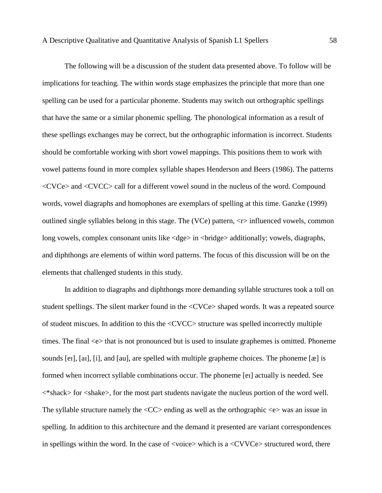The following will be a discussion of the student data presented above. To follow will be implications for teaching. The within words stage emphasizes the principle that more than one spelling can be used for a particular phoneme. Students may switch out orthographic spellings that have the same or a similar phonemic spelling. The phonological information as a result of these spellings exchanges may be correct, but the orthographic information is incorrect. Students should be comfortable working with short vowel mappings. This positions them to work with vowel patterns found in more complex syllable shapes Henderson and Beers (1986). The patterns <CVCe> and <CVCC> call for a different vowel sound in the nucleus of the word. Compound words, vowel diagraphs and homophones are exemplars of spelling at this time. Ganzke (1999) outlined single syllables belong in this stage. The (VCe) pattern,  $\langle r \rangle$  influenced vowels, common long vowels, complex consonant units like <dge> in <br/> <br/>difidently; vowels, diagraphs, and diphthongs are elements of within word patterns. The focus of this discussion will be on the elements that challenged students in this study.

In addition to diagraphs and diphthongs more demanding syllable structures took a toll on student spellings. The silent marker found in the <CVCe> shaped words. It was a repeated source of student miscues. In addition to this the <CVCC> structure was spelled incorrectly multiple times. The final  $\ll$  that is not pronounced but is used to insulate graphemes is omitted. Phoneme sounds [eɪ], [aɪ], [i], and [au], are spelled with multiple grapheme choices. The phoneme  $[\mathcal{R}]$  is formed when incorrect syllable combinations occur. The phoneme [eɪ] actually is needed. See <\*shack> for <shake>, for the most part students navigate the nucleus portion of the word well. The syllable structure namely the  $\langle CC \rangle$  ending as well as the orthographic  $\langle e \rangle$  was an issue in spelling. In addition to this architecture and the demand it presented are variant correspondences in spellings within the word. In the case of  $\langle\text{voice}\rangle$  which is a  $\langle\text{CVVCe}\rangle$  structured word, there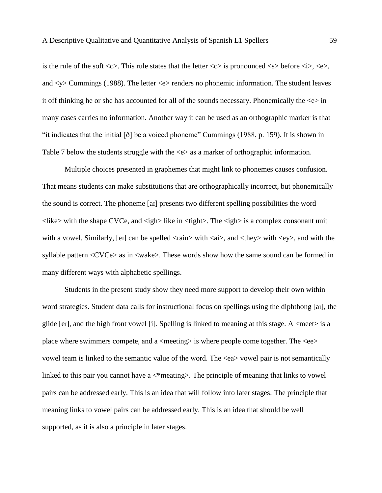is the rule of the soft  $\langle c \rangle$ . This rule states that the letter  $\langle c \rangle$  is pronounced  $\langle s \rangle$  before  $\langle i \rangle$ ,  $\langle e \rangle$ , and <y> Cummings (1988). The letter <e> renders no phonemic information. The student leaves it off thinking he or she has accounted for all of the sounds necessary. Phonemically the  $\ll$  in many cases carries no information. Another way it can be used as an orthographic marker is that "it indicates that the initial [ð] be a voiced phoneme" Cummings (1988, p. 159). It is shown in Table 7 below the students struggle with the  $\ll$  as a marker of orthographic information.

Multiple choices presented in graphemes that might link to phonemes causes confusion. That means students can make substitutions that are orthographically incorrect, but phonemically the sound is correct. The phoneme [aɪ] presents two different spelling possibilities the word  $\langle$ like> with the shape CVCe, and  $\langle$ igh> like in  $\langle$ tight>. The  $\langle$ igh> is a complex consonant unit with a vowel. Similarly, [er] can be spelled  $\langle$ rain $\rangle$  with  $\langle$ ai $\rangle$ , and  $\langle$ they $\rangle$  with  $\langle$ ey $\rangle$ , and with the syllable pattern <CVCe> as in <wake>. These words show how the same sound can be formed in many different ways with alphabetic spellings.

Students in the present study show they need more support to develop their own within word strategies. Student data calls for instructional focus on spellings using the diphthong [aɪ], the glide [eɪ], and the high front vowel [i]. Spelling is linked to meaning at this stage. A  $\langle$  meet $\rangle$  is a place where swimmers compete, and a  $\langle$  meeting $\rangle$  is where people come together. The  $\langle$ ee $\rangle$ vowel team is linked to the semantic value of the word. The <ea> vowel pair is not semantically linked to this pair you cannot have a  $\leq$  meating>. The principle of meaning that links to vowel pairs can be addressed early. This is an idea that will follow into later stages. The principle that meaning links to vowel pairs can be addressed early. This is an idea that should be well supported, as it is also a principle in later stages.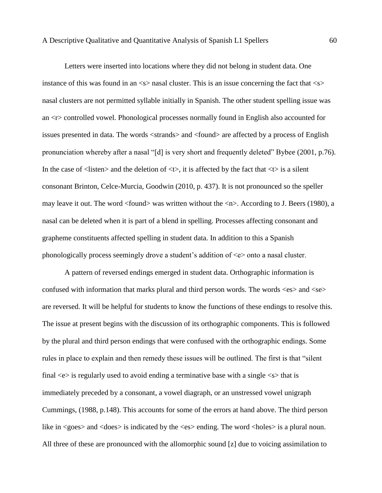Letters were inserted into locations where they did not belong in student data. One instance of this was found in an  $\langle s \rangle$  nasal cluster. This is an issue concerning the fact that  $\langle s \rangle$ nasal clusters are not permitted syllable initially in Spanish. The other student spelling issue was an <r> controlled vowel. Phonological processes normally found in English also accounted for issues presented in data. The words <strands> and <found> are affected by a process of English pronunciation whereby after a nasal "[d] is very short and frequently deleted" Bybee (2001, p.76). In the case of  $\langle$ listen $\rangle$  and the deletion of  $\langle \rangle$ , it is affected by the fact that  $\langle \rangle$  is a silent consonant Brinton, Celce-Murcia, Goodwin (2010, p. 437). It is not pronounced so the speller may leave it out. The word <found> was written without the <n>. According to J. Beers (1980), a nasal can be deleted when it is part of a blend in spelling. Processes affecting consonant and grapheme constituents affected spelling in student data. In addition to this a Spanish phonologically process seemingly drove a student's addition of  $\ll$  > onto a nasal cluster.

A pattern of reversed endings emerged in student data. Orthographic information is confused with information that marks plural and third person words. The words  $\langle es \rangle$  and  $\langle se \rangle$ are reversed. It will be helpful for students to know the functions of these endings to resolve this. The issue at present begins with the discussion of its orthographic components. This is followed by the plural and third person endings that were confused with the orthographic endings. Some rules in place to explain and then remedy these issues will be outlined. The first is that "silent final  $\langle e \rangle$  is regularly used to avoid ending a terminative base with a single  $\langle s \rangle$  that is immediately preceded by a consonant, a vowel diagraph, or an unstressed vowel unigraph Cummings, (1988, p.148). This accounts for some of the errors at hand above. The third person like in  $\langle \text{goes} \rangle$  and  $\langle \text{does} \rangle$  is indicated by the  $\langle \text{es} \rangle$  ending. The word  $\langle \text{holes} \rangle$  is a plural noun. All three of these are pronounced with the allomorphic sound [z] due to voicing assimilation to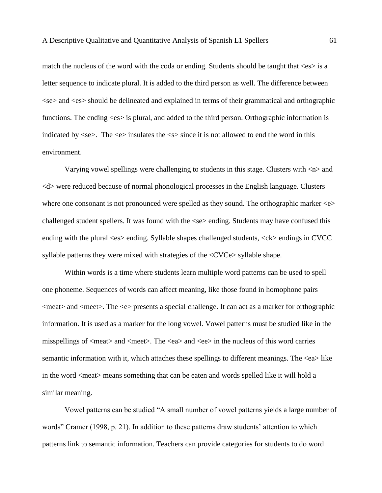match the nucleus of the word with the coda or ending. Students should be taught that  $\langle es \rangle$  is a letter sequence to indicate plural. It is added to the third person as well. The difference between <se> and <es> should be delineated and explained in terms of their grammatical and orthographic functions. The ending  $\langle es \rangle$  is plural, and added to the third person. Orthographic information is indicated by  $\langle$ se $\rangle$ . The  $\langle$ e $\rangle$  insulates the  $\langle$ s $\rangle$  since it is not allowed to end the word in this environment.

Varying vowel spellings were challenging to students in this stage. Clusters with <n> and <d> were reduced because of normal phonological processes in the English language. Clusters where one consonant is not pronounced were spelled as they sound. The orthographic marker  $\langle e \rangle$ challenged student spellers. It was found with the <se> ending. Students may have confused this ending with the plural <es> ending. Syllable shapes challenged students, <ck> endings in CVCC syllable patterns they were mixed with strategies of the <CVCe> syllable shape.

Within words is a time where students learn multiple word patterns can be used to spell one phoneme. Sequences of words can affect meaning, like those found in homophone pairs <meat> and <meet>. The <e> presents a special challenge. It can act as a marker for orthographic information. It is used as a marker for the long vowel. Vowel patterns must be studied like in the misspellings of  $\langle$ meat $\rangle$  and  $\langle$ meet $\rangle$ . The  $\langle$ ea $\rangle$  and  $\langle$ ee $\rangle$  in the nucleus of this word carries semantic information with it, which attaches these spellings to different meanings. The <ea> like in the word <meat> means something that can be eaten and words spelled like it will hold a similar meaning.

Vowel patterns can be studied "A small number of vowel patterns yields a large number of words" Cramer (1998, p. 21). In addition to these patterns draw students' attention to which patterns link to semantic information. Teachers can provide categories for students to do word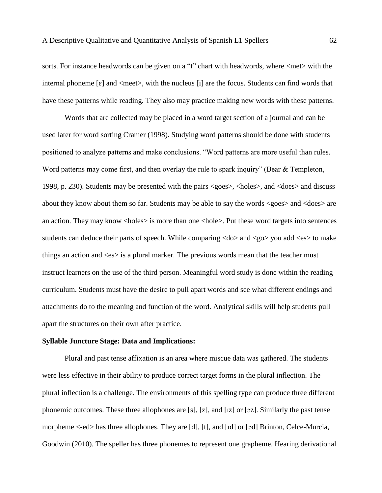sorts. For instance headwords can be given on a "t" chart with headwords, where  $\langle met \rangle$  with the internal phoneme  $\lceil \varepsilon \rceil$  and  $\langle \text{meet} \rangle$ , with the nucleus  $\lceil \iota \rceil$  are the focus. Students can find words that have these patterns while reading. They also may practice making new words with these patterns.

Words that are collected may be placed in a word target section of a journal and can be used later for word sorting Cramer (1998). Studying word patterns should be done with students positioned to analyze patterns and make conclusions. "Word patterns are more useful than rules. Word patterns may come first, and then overlay the rule to spark inquiry" (Bear  $&$  Templeton, 1998, p. 230). Students may be presented with the pairs <goes>, <holes>, and <does> and discuss about they know about them so far. Students may be able to say the words <goes> and <does> are an action. They may know <holes> is more than one <hole>. Put these word targets into sentences students can deduce their parts of speech. While comparing  $\langle$  do $\rangle$  and  $\langle$  go $\rangle$  you add  $\langle$  es $\rangle$  to make things an action and  $\langle$ es $\rangle$  is a plural marker. The previous words mean that the teacher must instruct learners on the use of the third person. Meaningful word study is done within the reading curriculum. Students must have the desire to pull apart words and see what different endings and attachments do to the meaning and function of the word. Analytical skills will help students pull apart the structures on their own after practice.

### **Syllable Juncture Stage: Data and Implications:**

Plural and past tense affixation is an area where miscue data was gathered. The students were less effective in their ability to produce correct target forms in the plural inflection. The plural inflection is a challenge. The environments of this spelling type can produce three different phonemic outcomes. These three allophones are [s], [z], and [ɪz] or [əz]. Similarly the past tense morpheme <-ed> has three allophones. They are [d], [t], and [ɪd] or [əd] Brinton, Celce-Murcia, Goodwin (2010). The speller has three phonemes to represent one grapheme. Hearing derivational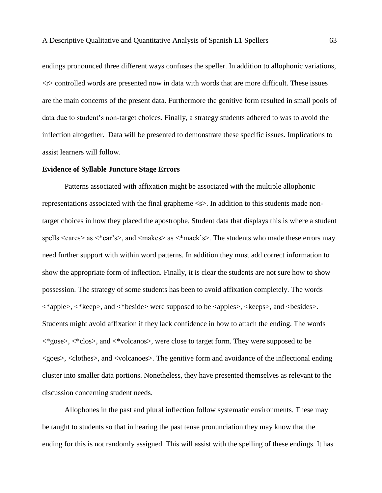endings pronounced three different ways confuses the speller. In addition to allophonic variations, <r> controlled words are presented now in data with words that are more difficult. These issues are the main concerns of the present data. Furthermore the genitive form resulted in small pools of data due to student's non-target choices. Finally, a strategy students adhered to was to avoid the inflection altogether. Data will be presented to demonstrate these specific issues. Implications to assist learners will follow.

### **Evidence of Syllable Juncture Stage Errors**

Patterns associated with affixation might be associated with the multiple allophonic representations associated with the final grapheme <s>. In addition to this students made nontarget choices in how they placed the apostrophe. Student data that displays this is where a student spells  $\langle \text{cares} \rangle$  as  $\langle \text{*car's} \rangle$ , and  $\langle \text{makes} \rangle$  as  $\langle \text{*max's} \rangle$ . The students who made these errors may need further support with within word patterns. In addition they must add correct information to show the appropriate form of inflection. Finally, it is clear the students are not sure how to show possession. The strategy of some students has been to avoid affixation completely. The words <\*apple>, <\*keep>, and <\*beside> were supposed to be <apples>, <keeps>, and <besides>. Students might avoid affixation if they lack confidence in how to attach the ending. The words <\*gose>, <\*clos>, and <\*volcanos>, were close to target form. They were supposed to be <goes>, <clothes>, and <volcanoes>. The genitive form and avoidance of the inflectional ending cluster into smaller data portions. Nonetheless, they have presented themselves as relevant to the discussion concerning student needs.

Allophones in the past and plural inflection follow systematic environments. These may be taught to students so that in hearing the past tense pronunciation they may know that the ending for this is not randomly assigned. This will assist with the spelling of these endings. It has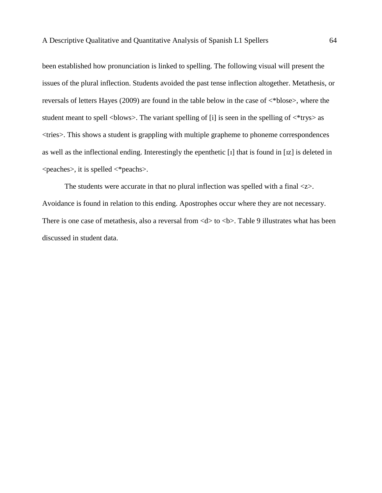been established how pronunciation is linked to spelling. The following visual will present the issues of the plural inflection. Students avoided the past tense inflection altogether. Metathesis, or reversals of letters Hayes (2009) are found in the table below in the case of <\*blose>, where the student meant to spell  $\langle$ blows $\rangle$ . The variant spelling of [i] is seen in the spelling of  $\langle$ \*trys $\rangle$  as <tries>. This shows a student is grappling with multiple grapheme to phoneme correspondences as well as the inflectional ending. Interestingly the epenthetic [ɪ] that is found in [ɪz] is deleted in <peaches>, it is spelled <\*peachs>.

The students were accurate in that no plural inflection was spelled with a final  $\langle z \rangle$ . Avoidance is found in relation to this ending. Apostrophes occur where they are not necessary. There is one case of metathesis, also a reversal from  $\langle d \rangle$  to  $\langle b \rangle$ . Table 9 illustrates what has been discussed in student data.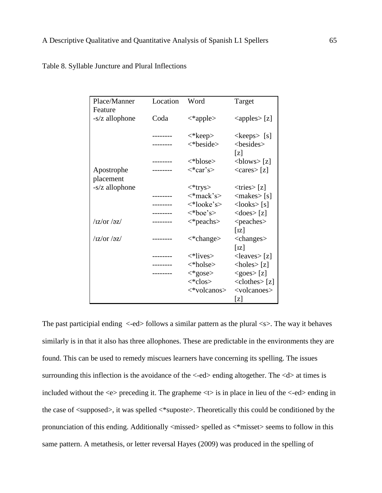|                             | Target                                                                                                                                                                                                                                   |
|-----------------------------|------------------------------------------------------------------------------------------------------------------------------------------------------------------------------------------------------------------------------------------|
|                             |                                                                                                                                                                                                                                          |
|                             |                                                                                                                                                                                                                                          |
|                             | $\langle$ apples $>$ [z]                                                                                                                                                                                                                 |
|                             |                                                                                                                                                                                                                                          |
| <*keep>                     | $\langle keeps>[s]$                                                                                                                                                                                                                      |
| $\langle$ *beside>          | <besides></besides>                                                                                                                                                                                                                      |
|                             | [z]                                                                                                                                                                                                                                      |
|                             |                                                                                                                                                                                                                                          |
|                             | $\langle$ blows> [z]                                                                                                                                                                                                                     |
|                             | $\langle \text{cares} \rangle$ [z]                                                                                                                                                                                                       |
|                             |                                                                                                                                                                                                                                          |
|                             | $\langle$ tries $>[z]$                                                                                                                                                                                                                   |
|                             | $\langle$ makes $>$ [s]                                                                                                                                                                                                                  |
|                             | $<$ looks> $[s]$                                                                                                                                                                                                                         |
|                             |                                                                                                                                                                                                                                          |
|                             | $\langle$ does $>$ [z]                                                                                                                                                                                                                   |
|                             | <peaches></peaches>                                                                                                                                                                                                                      |
|                             | $\lceil \mathrm{IZ} \rceil$                                                                                                                                                                                                              |
| $\langle$ *change $\rangle$ | <changes></changes>                                                                                                                                                                                                                      |
|                             | $\lceil \mathrm{IZ} \rceil$                                                                                                                                                                                                              |
|                             | $\langle leaves \rangle$ [z]                                                                                                                                                                                                             |
|                             | $\langle holes \rangle$ [z]                                                                                                                                                                                                              |
|                             |                                                                                                                                                                                                                                          |
|                             | $<$ goes $>[z]$                                                                                                                                                                                                                          |
|                             |                                                                                                                                                                                                                                          |
| $\langle *clos \rangle$     | $\langle$ clothes $>$ [z]                                                                                                                                                                                                                |
| <*volcanos>                 | <volcanoes></volcanoes>                                                                                                                                                                                                                  |
| Location<br>Coda<br>------  | Word<br>$\langle$ *apple><br><*blose><br>$\langle$ *car's><br>$\langle$ *trys><br>$\langle$ *mack's><br>$\langle$ *looke's><br>$\langle$ *boe's><br>$\langle$ *peachs><br>$\langle$ *lives><br>$\langle *$ holse $>$<br>$\langle$ *gose> |

Table 8. Syllable Juncture and Plural Inflections

The past participial ending  $\langle -ed \rangle$  follows a similar pattern as the plural  $\langle s \rangle$ . The way it behaves similarly is in that it also has three allophones. These are predictable in the environments they are found. This can be used to remedy miscues learners have concerning its spelling. The issues surrounding this inflection is the avoidance of the <-ed> ending altogether. The <d> at times is included without the  $\ll$  preceding it. The grapheme  $\ll$  is in place in lieu of the  $\ll$ -ed > ending in the case of <supposed>, it was spelled <\*suposte>. Theoretically this could be conditioned by the pronunciation of this ending. Additionally <missed> spelled as <\*misset> seems to follow in this same pattern. A metathesis, or letter reversal Hayes (2009) was produced in the spelling of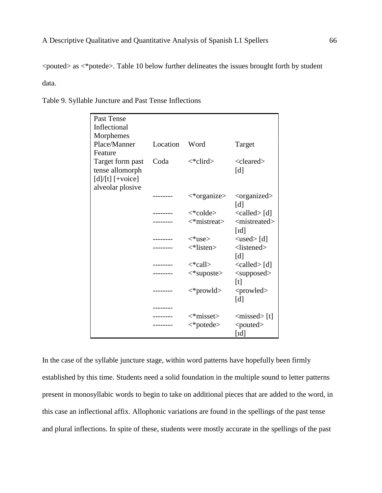<pouted> as <\*potede>. Table 10 below further delineates the issues brought forth by student data.

| <b>Past Tense</b>                                  |          |                                 |                                |
|----------------------------------------------------|----------|---------------------------------|--------------------------------|
| Inflectional                                       |          |                                 |                                |
| Morphemes                                          |          |                                 |                                |
| Place/Manner                                       | Location | Word                            | Target                         |
| Feature                                            |          |                                 |                                |
| Target form past                                   | Coda     | $\langle$ *clird>               | $<$ cleared $>$                |
| tense allomorph                                    |          |                                 | [d]                            |
| $\left[\frac{d}{t}\right]\left[\frac{1}{2}\right]$ |          |                                 |                                |
| alveolar plosive                                   |          |                                 |                                |
|                                                    |          | $\langle$ *organize>            | <organized></organized>        |
|                                                    |          |                                 | [d]                            |
|                                                    |          | $\langle \text{*colde} \rangle$ | $\langle$ called $\rangle$ [d] |
|                                                    |          | $\langle$ *mistreat>            | <mistreated></mistreated>      |
|                                                    |          |                                 | $\lceil \text{Id} \rceil$      |
|                                                    |          | $\langle$ *use>                 | $\langle used \rangle$ [d]     |
|                                                    |          | $\langle$ *listen>              | <listened></listened>          |
|                                                    |          |                                 | [d]                            |
|                                                    |          | $\langle$ *call $\rangle$       | $\langle$ called $\rangle$ [d] |
|                                                    |          | $\langle$ *suposte>             | $<$ supposed $>$               |
|                                                    |          |                                 | [t]                            |
|                                                    |          | $\langle$ *prowld>              | <prowled></prowled>            |
|                                                    |          |                                 | [d]                            |
|                                                    |          |                                 |                                |
|                                                    |          | $\langle$ *misset>              | $\langle$ missed>[t]           |
|                                                    |          | $\langle$ *potede>              | <pouted></pouted>              |
|                                                    |          |                                 | [Id]                           |

Table 9. Syllable Juncture and Past Tense Inflections

In the case of the syllable juncture stage, within word patterns have hopefully been firmly established by this time. Students need a solid foundation in the multiple sound to letter patterns present in monosyllabic words to begin to take on additional pieces that are added to the word, in this case an inflectional affix. Allophonic variations are found in the spellings of the past tense and plural inflections. In spite of these, students were mostly accurate in the spellings of the past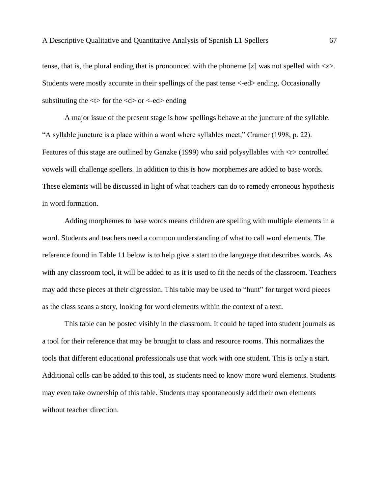tense, that is, the plural ending that is pronounced with the phoneme [z] was not spelled with  $\langle z \rangle$ . Students were mostly accurate in their spellings of the past tense <-ed> ending. Occasionally substituting the  $\lt t$  for the  $\lt d$  or  $\lt$ -ed ending

A major issue of the present stage is how spellings behave at the juncture of the syllable. "A syllable juncture is a place within a word where syllables meet," Cramer (1998, p. 22). Features of this stage are outlined by Ganzke (1999) who said polysyllables with <r> controlled vowels will challenge spellers. In addition to this is how morphemes are added to base words. These elements will be discussed in light of what teachers can do to remedy erroneous hypothesis in word formation.

Adding morphemes to base words means children are spelling with multiple elements in a word. Students and teachers need a common understanding of what to call word elements. The reference found in Table 11 below is to help give a start to the language that describes words. As with any classroom tool, it will be added to as it is used to fit the needs of the classroom. Teachers may add these pieces at their digression. This table may be used to "hunt" for target word pieces as the class scans a story, looking for word elements within the context of a text.

This table can be posted visibly in the classroom. It could be taped into student journals as a tool for their reference that may be brought to class and resource rooms. This normalizes the tools that different educational professionals use that work with one student. This is only a start. Additional cells can be added to this tool, as students need to know more word elements. Students may even take ownership of this table. Students may spontaneously add their own elements without teacher direction.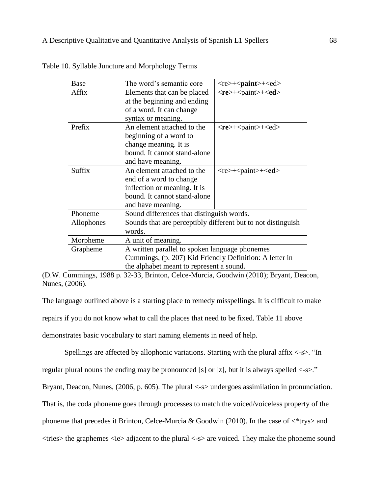| Base       | The word's semantic core                                     | $<$ re>+ $<$ paint>+ $<$ ed> |  |  |
|------------|--------------------------------------------------------------|------------------------------|--|--|
| Affix      | Elements that can be placed                                  | $<$ re>+ $<$ paint>+ $<$ ed> |  |  |
|            | at the beginning and ending                                  |                              |  |  |
|            | of a word. It can change                                     |                              |  |  |
|            | syntax or meaning.                                           |                              |  |  |
| Prefix     | An element attached to the                                   | $<$ re>+ $<$ paint>+ $<$ ed> |  |  |
|            | beginning of a word to                                       |                              |  |  |
|            | change meaning. It is                                        |                              |  |  |
|            | bound. It cannot stand-alone                                 |                              |  |  |
|            | and have meaning.                                            |                              |  |  |
| Suffix     | An element attached to the                                   | $<$ re>+ $<$ paint>+ $<$ ed> |  |  |
|            | end of a word to change                                      |                              |  |  |
|            | inflection or meaning. It is                                 |                              |  |  |
|            | bound. It cannot stand-alone                                 |                              |  |  |
|            | and have meaning.                                            |                              |  |  |
| Phoneme    | Sound differences that distinguish words.                    |                              |  |  |
| Allophones | Sounds that are perceptibly different but to not distinguish |                              |  |  |
|            | words.                                                       |                              |  |  |
| Morpheme   | A unit of meaning.                                           |                              |  |  |
| Grapheme   | A written parallel to spoken language phonemes               |                              |  |  |
|            | Cummings, (p. 207) Kid Friendly Definition: A letter in      |                              |  |  |
|            | the alphabet meant to represent a sound.                     |                              |  |  |

Table 10. Syllable Juncture and Morphology Terms

(D.W. Cummings, 1988 p. 32-33, Brinton, Celce-Murcia, Goodwin (2010); Bryant, Deacon, Nunes, (2006).

The language outlined above is a starting place to remedy misspellings. It is difficult to make repairs if you do not know what to call the places that need to be fixed. Table 11 above demonstrates basic vocabulary to start naming elements in need of help.

Spellings are affected by allophonic variations. Starting with the plural affix  $\langle -s \rangle$ . "In

regular plural nouns the ending may be pronounced [s] or [z], but it is always spelled  $\langle -s \rangle$ ."

Bryant, Deacon, Nunes, (2006, p. 605). The plural <-s> undergoes assimilation in pronunciation.

That is, the coda phoneme goes through processes to match the voiced/voiceless property of the

phoneme that precedes it Brinton, Celce-Murcia & Goodwin (2010). In the case of  $\langle$ \*trys> and

 $\langle$ tries the graphemes  $\langle$ ie adjacent to the plural  $\langle$ -s are voiced. They make the phoneme sound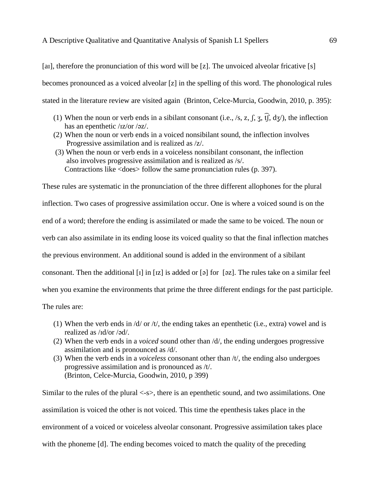## A Descriptive Qualitative and Quantitative Analysis of Spanish L1 Spellers 69

[a], therefore the pronunciation of this word will be [z]. The unvoiced alveolar fricative [s] becomes pronounced as a voiced alveolar [z] in the spelling of this word. The phonological rules stated in the literature review are visited again (Brinton, Celce-Murcia, Goodwin, 2010, p. 395):

- (1) When the noun or verb ends in a sibilant consonant (i.e., /s, z,  $\int$ ,  $\overline{f}$ ,  $\frac{1}{3}$ ,  $\overline{t}$ ), the inflection has an epenthetic /ɪz/or /əz/.
- (2) When the noun or verb ends in a voiced nonsibilant sound, the inflection involves Progressive assimilation and is realized as /z/.
- (3) When the noun or verb ends in a voiceless nonsibilant consonant, the inflection also involves progressive assimilation and is realized as /s/. Contractions like <does> follow the same pronunciation rules (p. 397).

These rules are systematic in the pronunciation of the three different allophones for the plural inflection. Two cases of progressive assimilation occur. One is where a voiced sound is on the end of a word; therefore the ending is assimilated or made the same to be voiced. The noun or verb can also assimilate in its ending loose its voiced quality so that the final inflection matches the previous environment. An additional sound is added in the environment of a sibilant consonant. Then the additional [1] in [1z] is added or [a] for [az]. The rules take on a similar feel when you examine the environments that prime the three different endings for the past participle. The rules are:

- (1) When the verb ends in  $\frac{d}{dx}$  or  $\frac{dt}{dt}$ , the ending takes an epenthetic (i.e., extra) vowel and is realized as /ɪd/or /əd/.
- (2) When the verb ends in a *voiced* sound other than /d/, the ending undergoes progressive assimilation and is pronounced as /d/.
- (3) When the verb ends in a *voiceless* consonant other than /t/, the ending also undergoes progressive assimilation and is pronounced as /t/. (Brinton, Celce-Murcia, Goodwin, 2010, p 399)

Similar to the rules of the plural <-s>, there is an epenthetic sound, and two assimilations. One assimilation is voiced the other is not voiced. This time the epenthesis takes place in the environment of a voiced or voiceless alveolar consonant. Progressive assimilation takes place with the phoneme [d]. The ending becomes voiced to match the quality of the preceding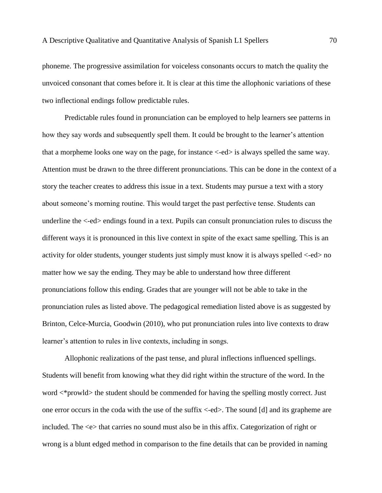phoneme. The progressive assimilation for voiceless consonants occurs to match the quality the unvoiced consonant that comes before it. It is clear at this time the allophonic variations of these two inflectional endings follow predictable rules.

Predictable rules found in pronunciation can be employed to help learners see patterns in how they say words and subsequently spell them. It could be brought to the learner's attention that a morpheme looks one way on the page, for instance <-ed> is always spelled the same way. Attention must be drawn to the three different pronunciations. This can be done in the context of a story the teacher creates to address this issue in a text. Students may pursue a text with a story about someone's morning routine. This would target the past perfective tense. Students can underline the <-ed> endings found in a text. Pupils can consult pronunciation rules to discuss the different ways it is pronounced in this live context in spite of the exact same spelling. This is an activity for older students, younger students just simply must know it is always spelled <-ed> no matter how we say the ending. They may be able to understand how three different pronunciations follow this ending. Grades that are younger will not be able to take in the pronunciation rules as listed above. The pedagogical remediation listed above is as suggested by Brinton, Celce-Murcia, Goodwin (2010), who put pronunciation rules into live contexts to draw learner's attention to rules in live contexts, including in songs.

Allophonic realizations of the past tense, and plural inflections influenced spellings. Students will benefit from knowing what they did right within the structure of the word. In the word  $\lt^*$  prowld> the student should be commended for having the spelling mostly correct. Just one error occurs in the coda with the use of the suffix <-ed>. The sound [d] and its grapheme are included. The  $\ll$  that carries no sound must also be in this affix. Categorization of right or wrong is a blunt edged method in comparison to the fine details that can be provided in naming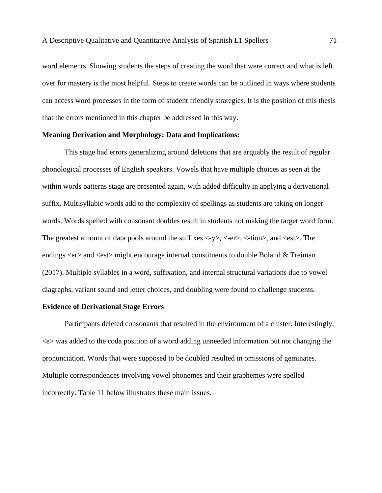word elements. Showing students the steps of creating the word that were correct and what is left over for mastery is the most helpful. Steps to create words can be outlined in ways where students can access word processes in the form of student friendly strategies. It is the position of this thesis that the errors mentioned in this chapter be addressed in this way.

### **Meaning Derivation and Morphology: Data and Implications:**

This stage had errors generalizing around deletions that are arguably the result of regular phonological processes of English speakers. Vowels that have multiple choices as seen at the within words patterns stage are presented again, with added difficulty in applying a derivational suffix. Multisyllabic words add to the complexity of spellings as students are taking on longer words. Words spelled with consonant doubles result in students not making the target word form. The greatest amount of data pools around the suffixes  $\langle -y \rangle$ ,  $\langle -er \rangle$ ,  $\langle -tion \rangle$ , and  $\langle est \rangle$ . The endings <er > and <est > might encourage internal constituents to double Boland & Treiman (2017). Multiple syllables in a word, suffixation, and internal structural variations due to vowel diagraphs, variant sound and letter choices, and doubling were found to challenge students.

# **Evidence of Derivational Stage Errors**

Participants deleted consonants that resulted in the environment of a cluster. Interestingly, <e> was added to the coda position of a word adding unneeded information but not changing the pronunciation. Words that were supposed to be doubled resulted in omissions of geminates. Multiple correspondences involving vowel phonemes and their graphemes were spelled incorrectly. Table 11 below illustrates these main issues.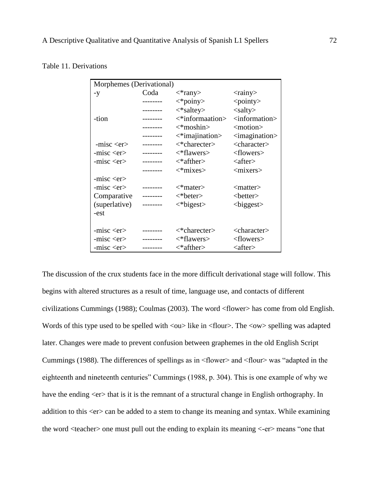|  | Table 11. Derivations |
|--|-----------------------|
|  |                       |

|               | Morphemes (Derivational) |                                  |                                 |  |  |  |
|---------------|--------------------------|----------------------------------|---------------------------------|--|--|--|
| $-y$          | Coda                     | $\langle$ *rany $\rangle$        | $<$ rainy $>$                   |  |  |  |
|               |                          | $\langle * \text{poiny} \rangle$ | $<$ pointy $>$                  |  |  |  |
|               | -------                  | $\langle$ *saltey>               | $\langle$ salty $\rangle$       |  |  |  |
| -tion         | --------                 | $\lt^*$ informaation>            | <information></information>     |  |  |  |
|               | --------                 | $\langle$ *moshin>               | <motion></motion>               |  |  |  |
|               |                          | $\leq$ *imajination>             | $\langle$ imagination $\rangle$ |  |  |  |
| $-misc $      | --------                 | $\langle$ *charecter>            | <character></character>         |  |  |  |
| $-misc $      | -------                  | <*flawers>                       | <flowers></flowers>             |  |  |  |
| $-misc $      | -------                  | $\langle$ *afther>               | $\langle$ after $\rangle$       |  |  |  |
|               |                          | $\langle$ *mixes>                | $<$ mixers $>$                  |  |  |  |
| $-misc $      |                          |                                  |                                 |  |  |  |
| $-misc $      |                          | $\langle$ *mater>                | $\langle$ matter $\rangle$      |  |  |  |
| Comparative   | --------                 | $\langle$ *beter>                | $<$ better $>$                  |  |  |  |
| (superlative) | --------                 | $\langle *bigest \rangle$        | $<$ biggest $>$                 |  |  |  |
| -est          |                          |                                  |                                 |  |  |  |
|               |                          |                                  |                                 |  |  |  |
| $-misc $      | ------                   | $\langle$ *charecter $\rangle$   | <character></character>         |  |  |  |
| $-misc $      |                          | $\langle$ *flawers>              | <flowers></flowers>             |  |  |  |
| $-misc $      |                          | $\langle$ *afther>               | $\langle$ after $\rangle$       |  |  |  |

The discussion of the crux students face in the more difficult derivational stage will follow. This begins with altered structures as a result of time, language use, and contacts of different civilizations Cummings (1988); Coulmas (2003). The word <flower> has come from old English. Words of this type used to be spelled with  $\langle \text{ou} \rangle$  like in  $\langle \text{flow} \rangle$ . The  $\langle \text{ow} \rangle$  spelling was adapted later. Changes were made to prevent confusion between graphemes in the old English Script Cummings (1988). The differences of spellings as in <flower> and <flour> was "adapted in the eighteenth and nineteenth centuries" Cummings (1988, p. 304). This is one example of why we have the ending  $\langle er \rangle$  that is it is the remnant of a structural change in English orthography. In addition to this  $\langle er \rangle$  can be added to a stem to change its meaning and syntax. While examining the word <teacher> one must pull out the ending to explain its meaning <-er> means "one that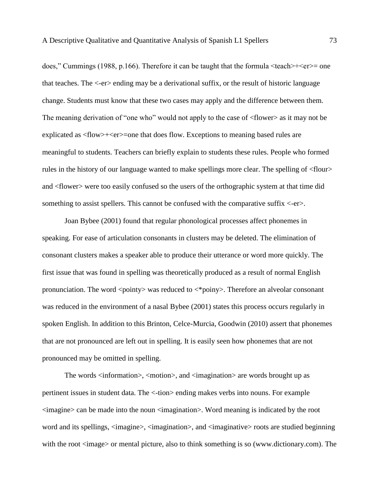does," Cummings (1988, p.166). Therefore it can be taught that the formula  $\text{1}$   $\text{1}$   $\text{1}$   $\text{1}$   $\text{1}$   $\text{1}$ that teaches. The <-er> ending may be a derivational suffix, or the result of historic language change. Students must know that these two cases may apply and the difference between them. The meaning derivation of "one who" would not apply to the case of <flower> as it may not be explicated as <flow>+<er>=one that does flow. Exceptions to meaning based rules are meaningful to students. Teachers can briefly explain to students these rules. People who formed rules in the history of our language wanted to make spellings more clear. The spelling of <flour> and <flower> were too easily confused so the users of the orthographic system at that time did something to assist spellers. This cannot be confused with the comparative suffix  $\langle$ -er $\rangle$ .

Joan Bybee (2001) found that regular phonological processes affect phonemes in speaking. For ease of articulation consonants in clusters may be deleted. The elimination of consonant clusters makes a speaker able to produce their utterance or word more quickly. The first issue that was found in spelling was theoretically produced as a result of normal English pronunciation. The word  $\langle$  pointy $\rangle$  was reduced to  $\langle$ \*poiny $\rangle$ . Therefore an alveolar consonant was reduced in the environment of a nasal Bybee (2001) states this process occurs regularly in spoken English. In addition to this Brinton, Celce-Murcia, Goodwin (2010) assert that phonemes that are not pronounced are left out in spelling. It is easily seen how phonemes that are not pronounced may be omitted in spelling.

The words <information>, <motion>, and <imagination> are words brought up as pertinent issues in student data. The <-tion> ending makes verbs into nouns. For example <imagine> can be made into the noun <imagination>. Word meaning is indicated by the root word and its spellings,  $\langle$ imagine $\rangle$ ,  $\langle$ imagination $\rangle$ , and  $\langle$ imaginative $\rangle$  roots are studied beginning with the root  $\langle$ image> or mental picture, also to think something is so (www.dictionary.com). The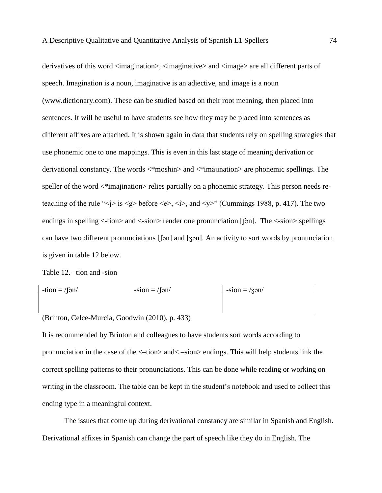derivatives of this word <imagination>, <imaginative> and <image> are all different parts of speech. Imagination is a noun, imaginative is an adjective, and image is a noun (www.dictionary.com). These can be studied based on their root meaning, then placed into sentences. It will be useful to have students see how they may be placed into sentences as different affixes are attached. It is shown again in data that students rely on spelling strategies that use phonemic one to one mappings. This is even in this last stage of meaning derivation or derivational constancy. The words <\*moshin> and <\*imajination> are phonemic spellings. The speller of the word  $\langle\hat{i}$  majination relies partially on a phonemic strategy. This person needs reteaching of the rule " $\langle i \rangle$  is  $\langle g \rangle$  before  $\langle e \rangle$ ,  $\langle i \rangle$ , and  $\langle y \rangle$ " (Cummings 1988, p. 417). The two endings in spelling <-tion> and <-sion> render one pronunciation [[ $\sin$ ]. The <-sion> spellings can have two different pronunciations [ʃən] and [ʒən]. An activity to sort words by pronunciation is given in table 12 below.

Table 12. –tion and -sion

| $-tion = / \frac{5n}{3}$ | $-sion = / \sqrt{5n}$ | $-sion = / \sqrt{3m}$ |
|--------------------------|-----------------------|-----------------------|
|                          |                       |                       |
|                          |                       |                       |

(Brinton, Celce-Murcia, Goodwin (2010), p. 433)

It is recommended by Brinton and colleagues to have students sort words according to pronunciation in the case of the <–tion> and< –sion> endings. This will help students link the correct spelling patterns to their pronunciations. This can be done while reading or working on writing in the classroom. The table can be kept in the student's notebook and used to collect this ending type in a meaningful context.

The issues that come up during derivational constancy are similar in Spanish and English. Derivational affixes in Spanish can change the part of speech like they do in English. The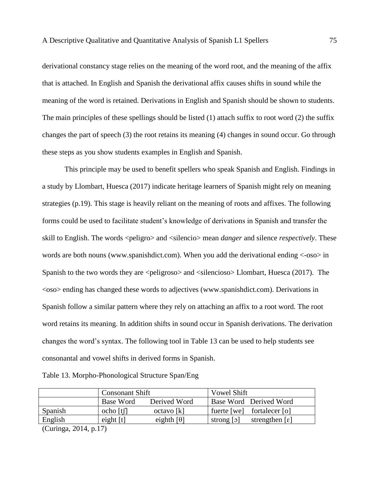derivational constancy stage relies on the meaning of the word root, and the meaning of the affix that is attached. In English and Spanish the derivational affix causes shifts in sound while the meaning of the word is retained. Derivations in English and Spanish should be shown to students. The main principles of these spellings should be listed (1) attach suffix to root word (2) the suffix changes the part of speech (3) the root retains its meaning (4) changes in sound occur. Go through these steps as you show students examples in English and Spanish.

This principle may be used to benefit spellers who speak Spanish and English. Findings in a study by Llombart, Huesca (2017) indicate heritage learners of Spanish might rely on meaning strategies (p.19). This stage is heavily reliant on the meaning of roots and affixes. The following forms could be used to facilitate student's knowledge of derivations in Spanish and transfer the skill to English. The words <peligro> and <silencio> mean *danger* and silence *respectively*. These words are both nouns (www.spanishdict.com). When you add the derivational ending <-oso> in Spanish to the two words they are  $\leq$  peligroso $>$  and  $\leq$  silencioso $>$  Llombart, Huesca (2017). The <oso> ending has changed these words to adjectives [\(www.spanishdict.com\)](http://www.spanishdict.com/). Derivations in Spanish follow a similar pattern where they rely on attaching an affix to a root word. The root word retains its meaning. In addition shifts in sound occur in Spanish derivations. The derivation changes the word's syntax. The following tool in Table 13 can be used to help students see consonantal and vowel shifts in derived forms in Spanish.

|  | Table 13. Morpho-Phonological Structure Span/Eng |  |
|--|--------------------------------------------------|--|
|  |                                                  |  |

|                                       | <b>Consonant Shift</b> |                               | <b>Vowel Shift</b>                                                 |
|---------------------------------------|------------------------|-------------------------------|--------------------------------------------------------------------|
|                                       | Base Word              | Derived Word                  | Base Word Derived Word                                             |
| Spanish                               | $ocho$ [t $\cap$       | octavo[k]                     | fuerte [we] fortalecer [o]                                         |
| English                               | eight $[t]$            | eighth $\lceil \theta \rceil$ | strengthen $\lceil \varepsilon \rceil$<br>strong $\lceil 2 \rceil$ |
| $\sim$<br>$\sim$ $\sim$ $\sim$ $\sim$ | $\rightarrow$          |                               |                                                                    |

(Curinga, 2014, p.17)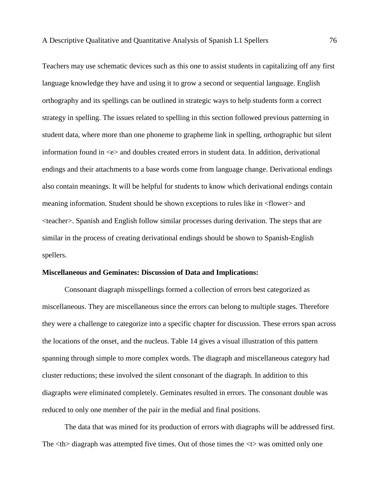Teachers may use schematic devices such as this one to assist students in capitalizing off any first language knowledge they have and using it to grow a second or sequential language. English orthography and its spellings can be outlined in strategic ways to help students form a correct strategy in spelling. The issues related to spelling in this section followed previous patterning in student data, where more than one phoneme to grapheme link in spelling, orthographic but silent information found in <e> and doubles created errors in student data. In addition, derivational endings and their attachments to a base words come from language change. Derivational endings also contain meanings. It will be helpful for students to know which derivational endings contain meaning information. Student should be shown exceptions to rules like in <flower> and <teacher>. Spanish and English follow similar processes during derivation. The steps that are similar in the process of creating derivational endings should be shown to Spanish-English spellers.

#### **Miscellaneous and Geminates: Discussion of Data and Implications:**

Consonant diagraph misspellings formed a collection of errors best categorized as miscellaneous. They are miscellaneous since the errors can belong to multiple stages. Therefore they were a challenge to categorize into a specific chapter for discussion. These errors span across the locations of the onset, and the nucleus. Table 14 gives a visual illustration of this pattern spanning through simple to more complex words. The diagraph and miscellaneous category had cluster reductions; these involved the silent consonant of the diagraph. In addition to this diagraphs were eliminated completely. Geminates resulted in errors. The consonant double was reduced to only one member of the pair in the medial and final positions.

The data that was mined for its production of errors with diagraphs will be addressed first. The  **diagraph was attempted five times. Out of those times the**  $**th**$  **was omitted only one**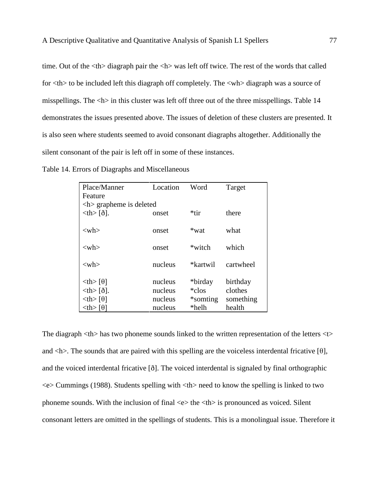time. Out of the  $\langle$ th $>$  diagraph pair the  $\langle$ h $>$  was left off twice. The rest of the words that called for  $\langle$ th $>$  to be included left this diagraph off completely. The  $\langle$ wh $>$  diagraph was a source of misspellings. The <h> in this cluster was left off three out of the three misspellings. Table 14 demonstrates the issues presented above. The issues of deletion of these clusters are presented. It is also seen where students seemed to avoid consonant diagraphs altogether. Additionally the silent consonant of the pair is left off in some of these instances.

|  | Table 14. Errors of Diagraphs and Miscellaneous |  |
|--|-------------------------------------------------|--|
|  |                                                 |  |

| Place/Manner                            | Location | Word      | Target    |
|-----------------------------------------|----------|-----------|-----------|
| Feature                                 |          |           |           |
| $\langle h \rangle$ grapheme is deleted |          |           |           |
| $th$ $\delta$ .                         | onset    | *tir      | there     |
|                                         |          |           |           |
| $<$ wh $>$                              | onset    | *wat      | what      |
|                                         |          |           |           |
| $<$ wh $>$                              | onset    | *witch    | which     |
|                                         |          |           |           |
| $<$ wh $>$                              | nucleus  | *kartwil  | cartwheel |
| $\langle th \rangle$ [ $\theta$ ]       | nucleus  | *birday   | birthday  |
|                                         |          |           |           |
| $th$ $\delta$ .                         | nucleus  | *clos     | clothes   |
| $\langle th \rangle$ [ $\theta$ ]       | nucleus  | *somting* | something |
| $th$ [ $\theta$ ]                       | nucleus  | *helh     | health    |

The diagraph  $\langle th \rangle$  has two phoneme sounds linked to the written representation of the letters  $\langle t \rangle$ and  $\langle h \rangle$ . The sounds that are paired with this spelling are the voiceless interdental fricative [θ], and the voiced interdental fricative [ð]. The voiced interdental is signaled by final orthographic <e> Cummings (1988). Students spelling with <th> need to know the spelling is linked to two phoneme sounds. With the inclusion of final  $\ll$  the  $\lt$ th is pronounced as voiced. Silent consonant letters are omitted in the spellings of students. This is a monolingual issue. Therefore it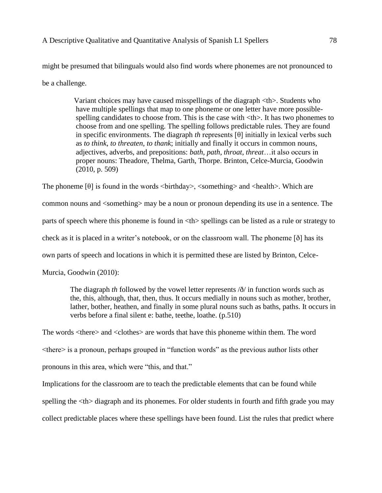might be presumed that bilinguals would also find words where phonemes are not pronounced to be a challenge.

> Variant choices may have caused misspellings of the diagraph <th>. Students who have multiple spellings that map to one phoneme or one letter have more possiblespelling candidates to choose from. This is the case with  $\langle th \rangle$ . It has two phonemes to choose from and one spelling. The spelling follows predictable rules. They are found in specific environments. The diagraph *th* represents [θ] initially in lexical verbs such as *to think*, *to threaten*, *to thank*; initially and finally it occurs in common nouns, adjectives, adverbs, and prepositions: *bath*, *path*, *throat*, *threat*…it also occurs in proper nouns: Theadore, Thelma, Garth, Thorpe. Brinton, Celce-Murcia, Goodwin (2010, p. 509)

The phoneme  $[\theta]$  is found in the words  $\langle$ birthday>,  $\langle$ something> and  $\langle$ health>. Which are common nouns and <something> may be a noun or pronoun depending its use in a sentence. The parts of speech where this phoneme is found in <th> spellings can be listed as a rule or strategy to check as it is placed in a writer's notebook, or on the classroom wall. The phoneme [ð] has its own parts of speech and locations in which it is permitted these are listed by Brinton, Celce-

Murcia, Goodwin (2010):

The diagraph *th* followed by the vowel letter represents /ð/ in function words such as the, this, although, that, then, thus. It occurs medially in nouns such as mother, brother, lather, bother, heathen, and finally in some plural nouns such as baths, paths. It occurs in verbs before a final silent e: bathe, teethe, loathe. (p.510)

The words <there> and <clothes> are words that have this phoneme within them. The word <there> is a pronoun, perhaps grouped in "function words" as the previous author lists other pronouns in this area, which were "this, and that."

Implications for the classroom are to teach the predictable elements that can be found while spelling the  $\langle$ th $\rangle$  diagraph and its phonemes. For older students in fourth and fifth grade you may collect predictable places where these spellings have been found. List the rules that predict where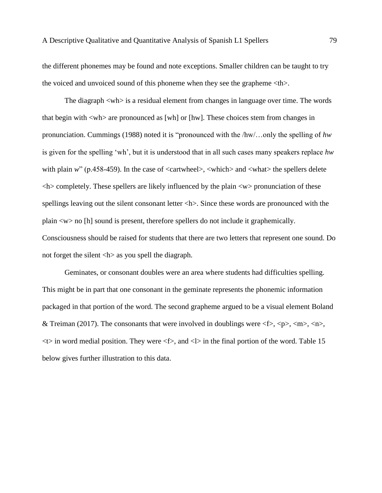the different phonemes may be found and note exceptions. Smaller children can be taught to try the voiced and unvoiced sound of this phoneme when they see the grapheme <th>.

The diagraph <wh> is a residual element from changes in language over time. The words that begin with <wh> are pronounced as [wh] or [hw]. These choices stem from changes in pronunciation. Cummings (1988) noted it is "pronounced with the /hw/…only the spelling of *hw* is given for the spelling 'wh', but it is understood that in all such cases many speakers replace *hw* with plain *w*" (p.458-459). In the case of <cartwheel>, <which> and <what> the spellers delete  $\langle h \rangle$  completely. These spellers are likely influenced by the plain  $\langle w \rangle$  pronunciation of these spellings leaving out the silent consonant letter <h>. Since these words are pronounced with the plain <w> no [h] sound is present, therefore spellers do not include it graphemically. Consciousness should be raised for students that there are two letters that represent one sound. Do not forget the silent <h> as you spell the diagraph.

Geminates, or consonant doubles were an area where students had difficulties spelling. This might be in part that one consonant in the geminate represents the phonemic information packaged in that portion of the word. The second grapheme argued to be a visual element Boland & Treiman (2017). The consonants that were involved in doublings were  $\langle$   $\langle$   $\rangle$ ,  $\langle$   $\rangle$ ,  $\langle$   $\langle$   $n$  $\rangle$ ,  $\langle$   $n$  $\rangle$ ,  $\langle$   $n$  $\rangle$ ,  $\langle$   $n$  $\rangle$ ,  $\langle$   $n$  $\rangle$ ,  $\langle$   $n$  $\rangle$ ,  $\langle$   $n$  $\rangle$ ,  $\langle$   $n$  $\rangle$ ,  $\langle$   $n$  $\lt$ t in word medial position. They were  $\lt$  f  $\gt$ , and  $\lt$  in the final portion of the word. Table 15 below gives further illustration to this data.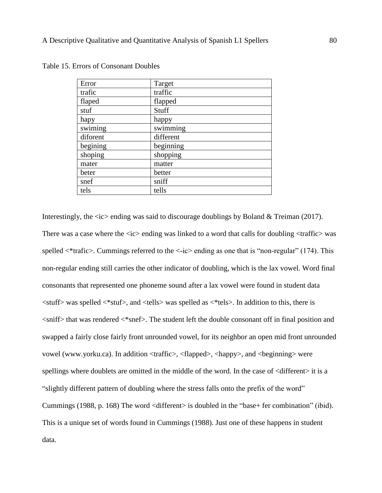| Error    | Target    |
|----------|-----------|
| trafic   | traffic   |
| flaped   | flapped   |
| stuf     | Stuff     |
| hapy     | happy     |
| swiming  | swimming  |
| diforent | different |
| begining | beginning |
| shoping  | shopping  |
| mater    | matter    |
| beter    | better    |
| snef     | sniff     |
| tels     | tells     |

Table 15. Errors of Consonant Doubles

Interestingly, the  $\langle i \rangle$  ending was said to discourage doublings by Boland & Treiman (2017). There was a case where the  $\langle i \rangle$  ending was linked to a word that calls for doubling  $\langle \rangle$  traffic  $\rangle$  was spelled  $\lt^*$ trafic $\gt$ . Cummings referred to the  $\lt$ -ic $\gt$  ending as one that is "non-regular" (174). This non-regular ending still carries the other indicator of doubling, which is the lax vowel. Word final consonants that represented one phoneme sound after a lax vowel were found in student data <stuff> was spelled <\*stuf>, and <tells> was spelled as <\*tels>. In addition to this, there is <sniff> that was rendered <\*snef>. The student left the double consonant off in final position and swapped a fairly close fairly front unrounded vowel, for its neighbor an open mid front unrounded vowel (www.yorku.ca). In addition <traffic>, <flapped>, <happy>, and <beginning> were spellings where doublets are omitted in the middle of the word. In the case of  $\leq$  different $\geq$  it is a "slightly different pattern of doubling where the stress falls onto the prefix of the word" Cummings (1988, p. 168) The word <different> is doubled in the "base+ fer combination" (ibid). This is a unique set of words found in Cummings (1988). Just one of these happens in student data.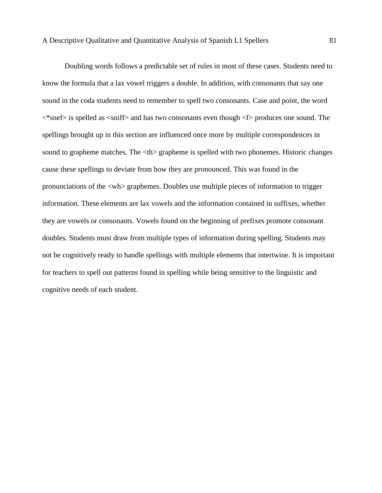Doubling words follows a predictable set of rules in most of these cases. Students need to know the formula that a lax vowel triggers a double. In addition, with consonants that say one sound in the coda students need to remember to spell two consonants. Case and point, the word  $\langle$ snef> is spelled as  $\langle$ sniff> and has two consonants even though  $\langle$ f> produces one sound. The spellings brought up in this section are influenced once more by multiple correspondences in sound to grapheme matches. The  $\langle th \rangle$  grapheme is spelled with two phonemes. Historic changes cause these spellings to deviate from how they are pronounced. This was found in the pronunciations of the <wh> graphemes. Doubles use multiple pieces of information to trigger information. These elements are lax vowels and the information contained in suffixes, whether they are vowels or consonants. Vowels found on the beginning of prefixes promote consonant doubles. Students must draw from multiple types of information during spelling. Students may not be cognitively ready to handle spellings with multiple elements that intertwine. It is important for teachers to spell out patterns found in spelling while being sensitive to the linguistic and cognitive needs of each student.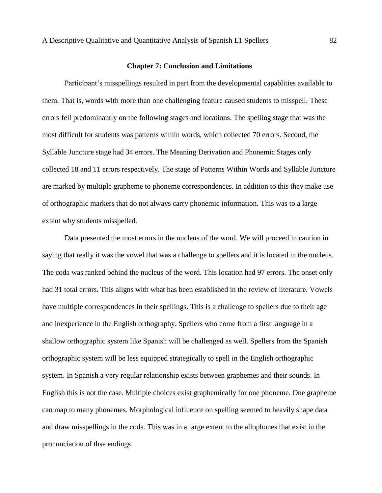#### **Chapter 7: Conclusion and Limitations**

Participant's misspellings resulted in part from the developmental capablities available to them. That is, words with more than one challenging feature caused students to misspell. These errors fell predominantly on the following stages and locations. The spelling stage that was the most difficult for students was patterns within words, which collected 70 errors. Second, the Syllable Juncture stage had 34 errors. The Meaning Derivation and Phonemic Stages only collected 18 and 11 errors respectively. The stage of Patterns Within Words and Syllable Juncture are marked by multiple grapheme to phoneme correspondences. In addition to this they make use of orthographic markers that do not always carry phonemic information. This was to a large extent why students misspelled.

Data presented the most errors in the nucleus of the word. We will proceed in caution in saying that really it was the vowel that was a challenge to spellers and it is located in the nucleus. The coda was ranked behind the nucleus of the word. This location had 97 errors. The onset only had 31 total errors. This aligns with what has been established in the review of literature. Vowels have multiple correspondences in their spellings. This is a challenge to spellers due to their age and inexperience in the English orthography. Spellers who come from a first language in a shallow orthographic system like Spanish will be challenged as well. Spellers from the Spanish orthographic system will be less equipped strategically to spell in the English orthographic system. In Spanish a very regular relationship exists between graphemes and their sounds. In English this is not the case. Multiple choices exist graphemically for one phoneme. One grapheme can map to many phonemes. Morphological influence on spelling seemed to heavily shape data and draw misspellings in the coda. This was in a large extent to the allophones that exist in the pronunciation of thse endings.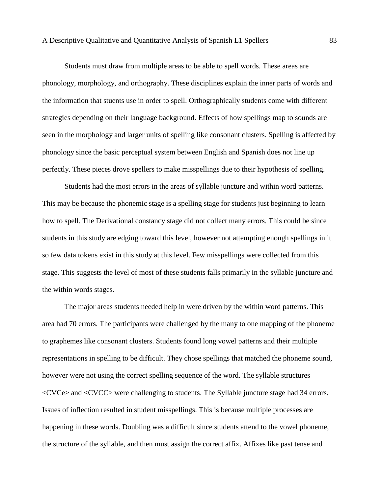Students must draw from multiple areas to be able to spell words. These areas are phonology, morphology, and orthography. These disciplines explain the inner parts of words and the information that stuents use in order to spell. Orthographically students come with different strategies depending on their language background. Effects of how spellings map to sounds are seen in the morphology and larger units of spelling like consonant clusters. Spelling is affected by phonology since the basic perceptual system between English and Spanish does not line up perfectly. These pieces drove spellers to make misspellings due to their hypothesis of spelling.

Students had the most errors in the areas of syllable juncture and within word patterns. This may be because the phonemic stage is a spelling stage for students just beginning to learn how to spell. The Derivational constancy stage did not collect many errors. This could be since students in this study are edging toward this level, however not attempting enough spellings in it so few data tokens exist in this study at this level. Few misspellings were collected from this stage. This suggests the level of most of these students falls primarily in the syllable juncture and the within words stages.

The major areas students needed help in were driven by the within word patterns. This area had 70 errors. The participants were challenged by the many to one mapping of the phoneme to graphemes like consonant clusters. Students found long vowel patterns and their multiple representations in spelling to be difficult. They chose spellings that matched the phoneme sound, however were not using the correct spelling sequence of the word. The syllable structures <CVCe> and <CVCC> were challenging to students. The Syllable juncture stage had 34 errors. Issues of inflection resulted in student misspellings. This is because multiple processes are happening in these words. Doubling was a difficult since students attend to the vowel phoneme, the structure of the syllable, and then must assign the correct affix. Affixes like past tense and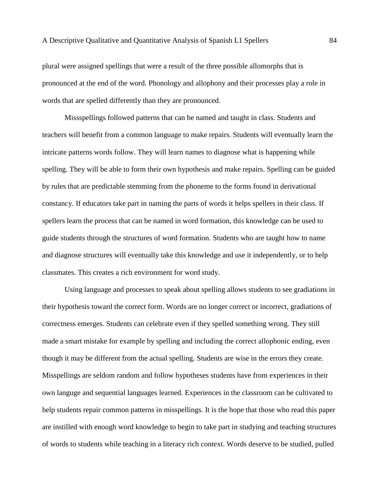plural were assigned spellings that were a result of the three possible allomorphs that is pronounced at the end of the word. Phonology and allophony and their processes play a role in words that are spelled differently than they are pronounced.

Missspellings followed patterns that can be named and taught in class. Students and teachers will benefit from a common language to make repairs. Students will eventually learn the intricate patterns words follow. They will learn names to diagnose what is happening while spelling. They will be able to form their own hypothesis and make repairs. Spelling can be guided by rules that are predictable stemming from the phoneme to the forms found in derivational constancy. If educators take part in naming the parts of words it helps spellers in their class. If spellers learn the process that can be named in word formation, this knowledge can be used to guide students through the structures of word formation. Students who are taught how to name and diagnose structures will eventually take this knowledge and use it independently, or to help classmates. This creates a rich environment for word study.

Using language and processes to speak about spelling allows students to see gradiations in their hypothesis toward the correct form. Words are no longer correct or incorrect, gradiations of correctness emerges. Students can celebrate even if they spelled something wrong. They still made a smart mistake for example by spelling and including the correct allophonic ending, even though it may be different from the actual spelling. Students are wise in the errors they create. Misspellings are seldom random and follow hypotheses students have from experiences in their own languge and sequential languages learned. Experiences in the classroom can be cultivated to help students repair common patterns in misspellings. It is the hope that those who read this paper are instilled with enough word knowledge to begin to take part in studying and teaching structures of words to students while teaching in a literacy rich context. Words deserve to be studied, pulled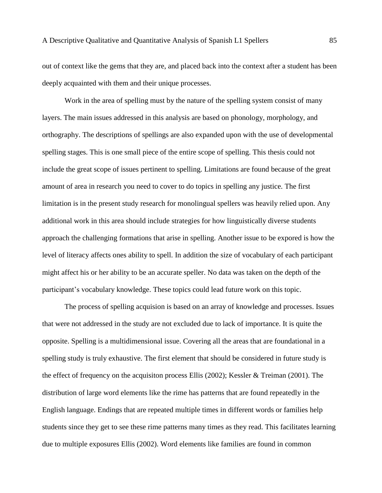out of context like the gems that they are, and placed back into the context after a student has been deeply acquainted with them and their unique processes.

Work in the area of spelling must by the nature of the spelling system consist of many layers. The main issues addressed in this analysis are based on phonology, morphology, and orthography. The descriptions of spellings are also expanded upon with the use of developmental spelling stages. This is one small piece of the entire scope of spelling. This thesis could not include the great scope of issues pertinent to spelling. Limitations are found because of the great amount of area in research you need to cover to do topics in spelling any justice. The first limitation is in the present study research for monolingual spellers was heavily relied upon. Any additional work in this area should include strategies for how linguistically diverse students approach the challenging formations that arise in spelling. Another issue to be expored is how the level of literacy affects ones ability to spell. In addition the size of vocabulary of each participant might affect his or her ability to be an accurate speller. No data was taken on the depth of the participant's vocabulary knowledge. These topics could lead future work on this topic.

The process of spelling acquision is based on an array of knowledge and processes. Issues that were not addressed in the study are not excluded due to lack of importance. It is quite the opposite. Spelling is a multidimensional issue. Covering all the areas that are foundational in a spelling study is truly exhaustive. The first element that should be considered in future study is the effect of frequency on the acquisiton process Ellis (2002); Kessler & Treiman (2001). The distribution of large word elements like the rime has patterns that are found repeatedly in the English language. Endings that are repeated multiple times in different words or families help students since they get to see these rime patterns many times as they read. This facilitates learning due to multiple exposures Ellis (2002). Word elements like families are found in common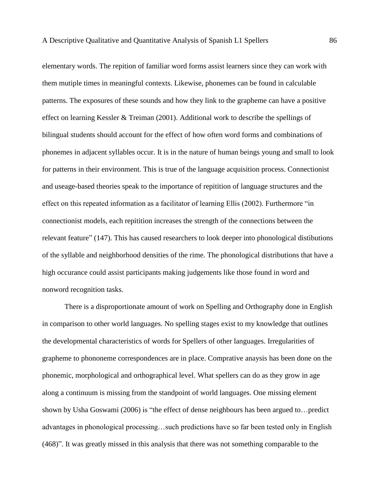elementary words. The repition of familiar word forms assist learners since they can work with them mutiple times in meaningful contexts. Likewise, phonemes can be found in calculable patterns. The exposures of these sounds and how they link to the grapheme can have a positive effect on learning Kessler & Treiman (2001). Additional work to describe the spellings of bilingual students should account for the effect of how often word forms and combinations of phonemes in adjacent syllables occur. It is in the nature of human beings young and small to look for patterns in their environment. This is true of the language acquisition process. Connectionist and useage-based theories speak to the importance of repitition of language structures and the effect on this repeated information as a facilitator of learning Ellis (2002). Furthermore "in connectionist models, each repitition increases the strength of the connections between the relevant feature" (147). This has caused researchers to look deeper into phonological distibutions of the syllable and neighborhood densities of the rime. The phonological distributions that have a high occurance could assist participants making judgements like those found in word and nonword recognition tasks.

There is a disproportionate amount of work on Spelling and Orthography done in English in comparison to other world languages. No spelling stages exist to my knowledge that outlines the developmental characteristics of words for Spellers of other languages. Irregularities of grapheme to phononeme correspondences are in place. Comprative anaysis has been done on the phonemic, morphological and orthographical level. What spellers can do as they grow in age along a continuum is missing from the standpoint of world languages. One missing element shown by Usha Goswami (2006) is "the effect of dense neighbours has been argued to…predict advantages in phonological processing…such predictions have so far been tested only in English (468)". It was greatly missed in this analysis that there was not something comparable to the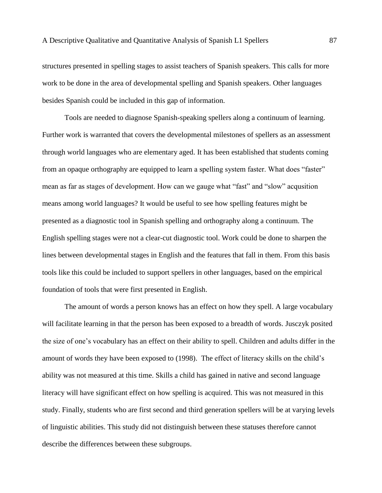structures presented in spelling stages to assist teachers of Spanish speakers. This calls for more work to be done in the area of developmental spelling and Spanish speakers. Other languages besides Spanish could be included in this gap of information.

Tools are needed to diagnose Spanish-speaking spellers along a continuum of learning. Further work is warranted that covers the developmental milestones of spellers as an assessment through world languages who are elementary aged. It has been established that students coming from an opaque orthography are equipped to learn a spelling system faster. What does "faster" mean as far as stages of development. How can we gauge what "fast" and "slow" acqusition means among world languages? It would be useful to see how spelling features might be presented as a diagnostic tool in Spanish spelling and orthography along a continuum. The English spelling stages were not a clear-cut diagnostic tool. Work could be done to sharpen the lines between developmental stages in English and the features that fall in them. From this basis tools like this could be included to support spellers in other languages, based on the empirical foundation of tools that were first presented in English.

The amount of words a person knows has an effect on how they spell. A large vocabulary will facilitate learning in that the person has been exposed to a breadth of words. Jusczyk posited the size of one's vocabulary has an effect on their ability to spell. Children and adults differ in the amount of words they have been exposed to (1998). The effect of literacy skills on the child's ability was not measured at this time. Skills a child has gained in native and second language literacy will have significant effect on how spelling is acquired. This was not measured in this study. Finally, students who are first second and third generation spellers will be at varying levels of linguistic abilities. This study did not distinguish between these statuses therefore cannot describe the differences between these subgroups.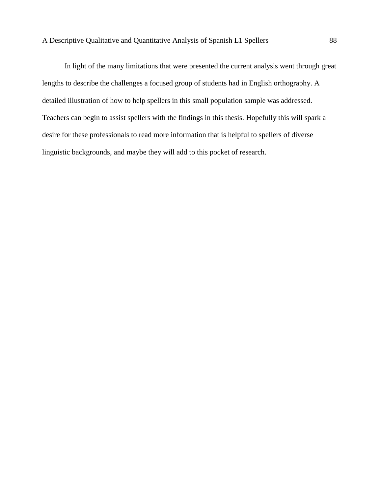In light of the many limitations that were presented the current analysis went through great lengths to describe the challenges a focused group of students had in English orthography. A detailed illustration of how to help spellers in this small population sample was addressed. Teachers can begin to assist spellers with the findings in this thesis. Hopefully this will spark a desire for these professionals to read more information that is helpful to spellers of diverse linguistic backgrounds, and maybe they will add to this pocket of research.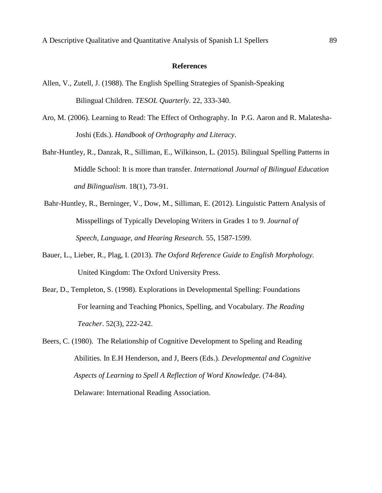#### **References**

- Allen, V., Zutell, J. (1988). The English Spelling Strategies of Spanish-Speaking Bilingual Children. *TESOL Quarterly*. 22, 333-340.
- Aro, M. (2006). Learning to Read: The Effect of Orthography. In P.G. Aaron and R. Malatesha- Joshi (Eds.). *Handbook of Orthography and Literacy*.
- Bahr-Huntley, R., Danzak, R., Silliman, E., Wilkinson, L. (2015). Bilingual Spelling Patterns in Middle School: It is more than transfer. *Internationa*l *Journal of Bilingual Education and Bilingualism*. 18(1), 73-91.
- Bahr-Huntley, R., Berninger, V., Dow, M., Silliman, E. (2012). Linguistic Pattern Analysis of Misspellings of Typically Developing Writers in Grades 1 to 9. *Journal of Speech, Language, and Hearing Research.* 55, 1587-1599.
- Bauer, L., Lieber, R., Plag, I. (2013). *The Oxford Reference Guide to English Morphology.* United Kingdom: The Oxford University Press.
- Bear, D., Templeton, S. (1998). Explorations in Developmental Spelling: Foundations For learning and Teaching Phonics, Spelling, and Vocabulary. *The Reading Teacher*. 52(3), 222-242.
- Beers, C. (1980). The Relationship of Cognitive Development to Speling and Reading Abilities*.* In E.H Henderson, and J, Beers (Eds.). *Developmental and Cognitive Aspects of Learning to Spell A Reflection of Word Knowledge.* (74-84). Delaware: International Reading Association.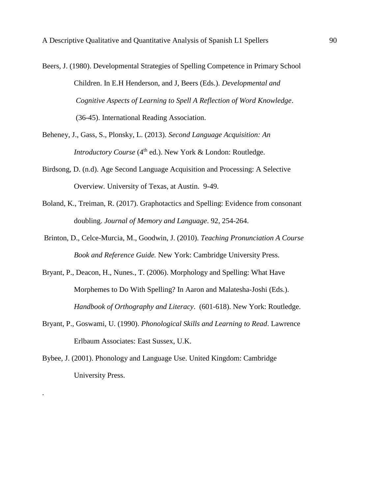- Beers, J. (1980). Developmental Strategies of Spelling Competence in Primary School Children. In E.H Henderson, and J, Beers (Eds.). *Developmental and Cognitive Aspects of Learning to Spell A Reflection of Word Knowledge*. (36-45). International Reading Association.
- Beheney, J., Gass, S., Plonsky, L. (2013). *Second Language Acquisition: An Introductory Course* (4<sup>th</sup> ed.). New York & London: Routledge.
- Birdsong, D. (n.d). Age Second Language Acquisition and Processing: A Selective Overview*.* University of Texas, at Austin. 9-49.
- Boland, K., Treiman, R. (2017). Graphotactics and Spelling: Evidence from consonant doubling. *Journal of Memory and Language*. 92, 254-264.
- Brinton, D., Celce-Murcia, M., Goodwin, J. (2010). *Teaching Pronunciation A Course Book and Reference Guide.* New York: Cambridge University Press.
- Bryant, P., Deacon, H., Nunes., T. (2006). Morphology and Spelling: What Have Morphemes to Do With Spelling? In Aaron and Malatesha-Joshi (Eds.). *Handbook of Orthography and Literacy*. (601-618). New York: Routledge.
- Bryant, P., Goswami, U. (1990). *Phonological Skills and Learning to Read*. Lawrence Erlbaum Associates: East Sussex, U.K.
- Bybee, J. (2001). Phonology and Language Use. United Kingdom: Cambridge University Press.

.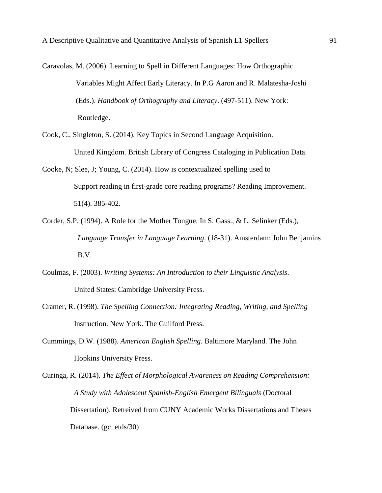- Caravolas, M. (2006). Learning to Spell in Different Languages: How Orthographic Variables Might Affect Early Literacy. In P.G Aaron and R. Malatesha-Joshi (Eds.). *Handbook of Orthography and Literacy*. (497-511). New York: Routledge.
- Cook, C., Singleton, S. (2014). Key Topics in Second Language Acquisition. United Kingdom. British Library of Congress Cataloging in Publication Data.
- Cooke, N; Slee, J; Young, C. (2014). How is contextualized spelling used to Support reading in first-grade core reading programs? Reading Improvement. 51(4). 385-402.
- Corder, S.P. (1994). A Role for the Mother Tongue. In S. Gass., & L. Selinker (Eds.), *Language Transfer in Language Learning*. (18-31). Amsterdam: John Benjamins B.V.
- Coulmas, F. (2003). *Writing Systems: An Introduction to their Linguistic Analysis*. United States: Cambridge University Press.
- Cramer, R. (1998). *The Spelling Connection: Integrating Reading, Writing, and Spelling* Instruction. New York. The Guilford Press.
- Cummings, D.W. (1988). *American English Spelling*. Baltimore Maryland. The John Hopkins University Press.

Curinga, R. (2014). *The Effect of Morphological Awareness on Reading Comprehension: A Study with Adolescent Spanish-English Emergent Bilinguals* (Doctoral Dissertation). Retreived from CUNY Academic Works Dissertations and Theses Database. (gc\_etds/30)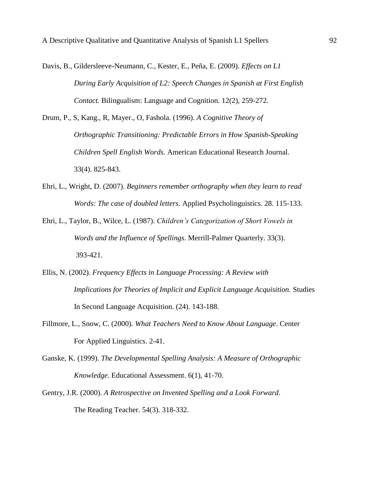- Davis, B., Gildersleeve-Neumann, C., Kester, E., Peña, E. (2009). *Effects on L1 During Early Acquisition of L2: Speech Changes in Spanish at First English Contact.* Bilingualism: Language and Cognition. 12(2), 259-272.
- Drum, P., S, Kang., R, Mayer., O, Fashola. (1996). *A Cognitive Theory of Orthographic Transitioning: Predictable Errors in How Spanish-Speaking Children Spell English Words.* American Educational Research Journal. 33(4). 825-843.
- Ehri, L., Wright, D. (2007). *Beginners remember orthography when they learn to read Words: The case of doubled letters*. Applied Psycholinguistics. 28. 115-133.
- Ehri, L., Taylor, B., Wilce, L. (1987). *Children's Categorization of Short Vowels in Words and the Influence of Spellings*. Merrill-Palmer Quarterly. 33(3). 393-421.
- Ellis, N. (2002). *Frequency Effects in Language Processing: A Review with Implications for Theories of Implicit and Explicit Language Acquisition.* Studies In Second Language Acquisition. (24). 143-188.
- Fillmore, L., Snow, C. (2000). *What Teachers Need to Know About Language*. Center For Applied Linguistics. 2-41.
- Ganske, K. (1999). *The Developmental Spelling Analysis: A Measure of Orthographic Knowledge*. Educational Assessment. 6(1), 41-70.
- Gentry, J.R. (2000). *A Retrospective on Invented Spelling and a Look Forward*. The Reading Teacher. 54(3). 318-332.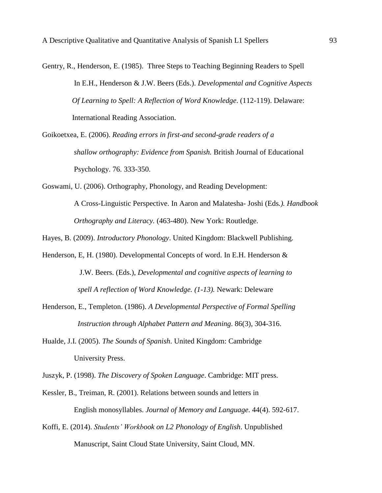- Gentry, R., Henderson, E. (1985). Three Steps to Teaching Beginning Readers to Spell In E.H., Henderson & J.W. Beers (Eds.). *Developmental and Cognitive Aspects Of Learning to Spell: A Reflection of Word Knowledge*. (112-119). Delaware: International Reading Association.
- Goikoetxea, E. (2006). *Reading errors in first-and second-grade readers of a shallow orthography: Evidence from Spanish.* British Journal of Educational Psychology. 76. 333-350.
- Goswami, U. (2006). Orthography, Phonology, and Reading Development: A Cross-Linguistic Perspective. In Aaron and Malatesha- Joshi (Eds*.). Handbook Orthography and Literacy.* (463-480). New York: Routledge.
- Hayes, B. (2009). *Introductory Phonology*. United Kingdom: Blackwell Publishing.
- Henderson, E, H. (1980). Developmental Concepts of word. In E.H. Henderson & J.W. Beers. (Eds.), *Developmental and cognitive aspects of learning to spell A reflection of Word Knowledge. (1-13).* Newark: Deleware
- Henderson, E., Templeton. (1986). *A Developmental Perspective of Formal Spelling Instruction through Alphabet Pattern and Meaning*. 86(3), 304-316.
- Hualde, J.I. (2005). *The Sounds of Spanish*. United Kingdom: Cambridge University Press.
- Juszyk, P. (1998). *The Discovery of Spoken Language*. Cambridge: MIT press.
- Kessler, B., Treiman, R. (2001). Relations between sounds and letters in English monosyllables. *Journal of Memory and Language*. 44(4). 592-617.
- Koffi, E. (2014). *Students' Workbook on L2 Phonology of English*. Unpublished Manuscript, Saint Cloud State University, Saint Cloud, MN.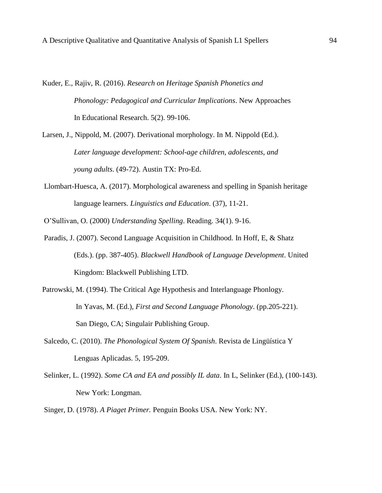- Kuder, E., Rajiv, R. (2016). *Research on Heritage Spanish Phonetics and Phonology: Pedagogical and Curricular Implications*. New Approaches In Educational Research. 5(2). 99-106.
- Larsen, J., Nippold, M. (2007). Derivational morphology. In M. Nippold (Ed.). *Later language development: School-age children, adolescents, and young adults*. (49-72). Austin TX: Pro-Ed.
- Llombart-Huesca, A. (2017). Morphological awareness and spelling in Spanish heritage language learners. *Linguistics and Education*. (37), 11-21.

O'Sullivan, O. (2000) *Understanding Spelling*. Reading. 34(1). 9-16.

- Paradis, J. (2007). Second Language Acquisition in Childhood. In Hoff, E, & Shatz (Eds.). (pp. 387-405). *Blackwell Handbook of Language Development*. United Kingdom: Blackwell Publishing LTD.
- Patrowski, M. (1994). The Critical Age Hypothesis and Interlanguage Phonlogy. In Yavas, M. (Ed.), *First and Second Language Phonology*. (pp.205-221). San Diego, CA; Singulair Publishing Group.
- Salcedo, C. (2010). *The Phonological System Of Spanish*. Revista de Lingüística Y Lenguas Aplicadas. 5, 195-209.
- Selinker, L. (1992). *Some CA and EA and possibly IL data*. In L, Selinker (Ed.), (100-143). New York: Longman.
- Singer, D. (1978). *A Piaget Primer.* Penguin Books USA. New York: NY.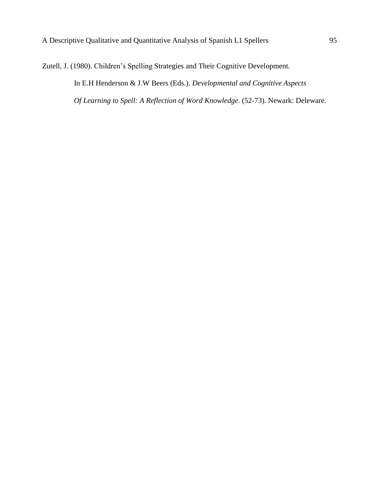Zutell, J. (1980). Children's Spelling Strategies and Their Cognitive Development.

 In E.H Henderson & J.W Beers (Eds.). *Developmental and Cognitive Aspects Of Learning to Spell: A Reflection of Word Knowledge*. (52-73). Newark: Deleware.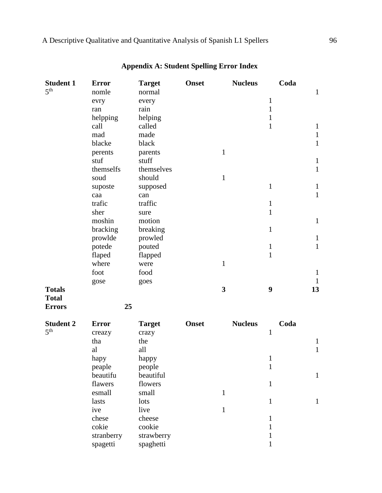| <b>Student 1</b> | <b>Error</b> | <b>Target</b> | <b>Onset</b> | <b>Nucleus</b>          | Coda             |              |
|------------------|--------------|---------------|--------------|-------------------------|------------------|--------------|
| 5 <sup>th</sup>  | nomle        | normal        |              |                         |                  | $\mathbf{1}$ |
|                  | evry         | every         |              |                         | $\mathbf{1}$     |              |
|                  | ran          | rain          |              |                         | 1                |              |
|                  | helpping     | helping       |              |                         | $\mathbf{1}$     |              |
|                  | call         | called        |              |                         | $\mathbf{1}$     | $\mathbf{1}$ |
|                  | mad          | made          |              |                         |                  | $\mathbf{1}$ |
|                  | blacke       | black         |              |                         |                  | $\mathbf{1}$ |
|                  | perents      | parents       |              | $\mathbf{1}$            |                  |              |
|                  | stuf         | stuff         |              |                         |                  | $\mathbf{1}$ |
|                  | themselfs    | themselves    |              |                         |                  | $\mathbf{1}$ |
|                  | soud         | should        |              | $\mathbf{1}$            |                  |              |
|                  | suposte      | supposed      |              |                         | $\mathbf{1}$     | $\mathbf{1}$ |
|                  | caa          | can           |              |                         |                  | $\mathbf{1}$ |
|                  | trafic       | traffic       |              |                         | $\mathbf{1}$     |              |
|                  | sher         | sure          |              |                         | $\mathbf{1}$     |              |
|                  | moshin       | motion        |              |                         |                  | $\mathbf{1}$ |
|                  | bracking     | breaking      |              |                         | $\mathbf{1}$     |              |
|                  | prowlde      | prowled       |              |                         |                  | $\mathbf{1}$ |
|                  | potede       | pouted        |              |                         | $\mathbf{1}$     | $\mathbf{1}$ |
|                  | flaped       | flapped       |              |                         | $\mathbf{1}$     |              |
|                  | where        | were          |              | $\mathbf{1}$            |                  |              |
|                  | foot         | food          |              |                         |                  | $\mathbf{1}$ |
|                  | gose         | goes          |              |                         |                  | $\mathbf{1}$ |
| <b>Totals</b>    |              |               |              | $\overline{\mathbf{3}}$ | $\boldsymbol{9}$ | 13           |
| <b>Total</b>     |              |               |              |                         |                  |              |
| <b>Errors</b>    | 25           |               |              |                         |                  |              |
| <b>Student 2</b> | <b>Error</b> | <b>Target</b> | <b>Onset</b> | <b>Nucleus</b>          | Coda             |              |
| 5 <sup>th</sup>  | creazy       | crazy         |              |                         | $\mathbf{1}$     |              |
|                  | tha          | the           |              |                         |                  | $\mathbf{1}$ |
|                  | al           | all           |              |                         |                  | $\mathbf{1}$ |
|                  | hapy         | happy         |              |                         | $\mathbf{1}$     |              |
|                  | peaple       | people        |              |                         | $\mathbf{1}$     |              |
|                  | beautifu     | beautiful     |              |                         |                  | $\mathbf{1}$ |
|                  | flawers      | flowers       |              |                         | $\mathbf{1}$     |              |
|                  | esmall       | small         |              | $\mathbf{1}$            |                  |              |
|                  | lasts        | lots          |              |                         | $\mathbf{1}$     | $\mathbf{1}$ |
|                  | ive          | live          |              | 1                       |                  |              |
|                  | chese        | cheese        |              |                         | $\mathbf{1}$     |              |
|                  | cokie        | cookie        |              |                         | $\mathbf{1}$     |              |
|                  | stranberry   | strawberry    |              |                         | 1                |              |
|                  | spagetti     | spaghetti     |              |                         |                  |              |

## **Appendix A: Student Spelling Error Index**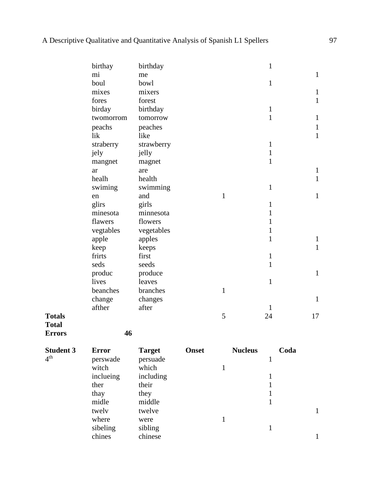|                  | birthay      | birthday      |              |              | $\mathbf{1}$   |      |              |
|------------------|--------------|---------------|--------------|--------------|----------------|------|--------------|
|                  | mi           | me            |              |              |                |      | $\mathbf{1}$ |
|                  | boul         | bowl          |              |              | $\mathbf{1}$   |      |              |
|                  | mixes        | mixers        |              |              |                |      | $\mathbf{1}$ |
|                  | fores        | forest        |              |              |                |      | $\mathbf{1}$ |
|                  | birday       | birthday      |              |              | $\mathbf{1}$   |      |              |
|                  | twomorrom    | tomorrow      |              |              | $\mathbf{1}$   |      | $\mathbf{1}$ |
|                  | peachs       | peaches       |              |              |                |      | $\mathbf{1}$ |
|                  | lik          | like          |              |              |                |      | $\mathbf{1}$ |
|                  | straberry    | strawberry    |              |              | $\mathbf{1}$   |      |              |
|                  | jely         | jelly         |              |              | $\mathbf{1}$   |      |              |
|                  | mangnet      | magnet        |              |              | $\mathbf{1}$   |      |              |
|                  | ar           | are           |              |              |                |      | $\mathbf{1}$ |
|                  | healh        | health        |              |              |                |      | $\mathbf{1}$ |
|                  | swiming      | swimming      |              |              | $\mathbf{1}$   |      |              |
|                  | en           | and           |              | $\mathbf{1}$ |                |      | $\mathbf{1}$ |
|                  | glirs        | girls         |              |              | $\mathbf{1}$   |      |              |
|                  | minesota     | minnesota     |              |              | $\mathbf{1}$   |      |              |
|                  | flawers      | flowers       |              |              | $\mathbf{1}$   |      |              |
|                  | vegtables    | vegetables    |              |              | $\mathbf{1}$   |      |              |
|                  | apple        | apples        |              |              | $\mathbf{1}$   |      | $\mathbf{1}$ |
|                  | keep         | keeps         |              |              |                |      | $\mathbf{1}$ |
|                  | frirts       | first         |              |              | $\mathbf{1}$   |      |              |
|                  | seds         | seeds         |              |              | $\mathbf{1}$   |      |              |
|                  | produc       | produce       |              |              |                |      | $\mathbf{1}$ |
|                  | lives        | leaves        |              |              | $\mathbf{1}$   |      |              |
|                  | beanches     | branches      |              | $\mathbf{1}$ |                |      |              |
|                  | change       | changes       |              |              |                |      | 1            |
|                  | afther       | after         |              |              | 1              |      |              |
| <b>Totals</b>    |              |               |              | 5            | 24             | 17   |              |
| <b>Total</b>     |              |               |              |              |                |      |              |
| <b>Errors</b>    | 46           |               |              |              |                |      |              |
| <b>Student 3</b> | <b>Error</b> | <b>Target</b> | <b>Onset</b> |              | <b>Nucleus</b> | Coda |              |
| 4 <sup>th</sup>  | perswade     | persuade      |              |              | $\mathbf{1}$   |      |              |
|                  | witch        | which         |              | $\mathbf{1}$ |                |      |              |
|                  | inclueing    | including     |              |              | $\mathbf{1}$   |      |              |
|                  | ther         | their         |              |              | $\mathbf{1}$   |      |              |
|                  | thay         | they          |              |              | $\mathbf{1}$   |      |              |
|                  | midle        | middle        |              |              | $\mathbf{1}$   |      |              |
|                  | twely        | twelve        |              |              |                |      | $\mathbf{1}$ |
|                  | where        | were          |              | $\mathbf{1}$ |                |      |              |
|                  | sibeling     | sibling       |              |              | $1\,$          |      |              |
|                  | chines       | chinese       |              |              |                |      | $\mathbf{1}$ |
|                  |              |               |              |              |                |      |              |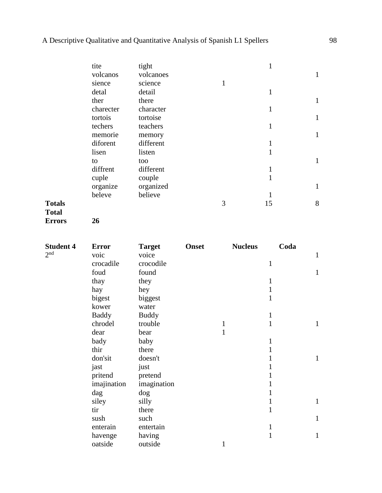|               | tite      | tight     |   |              |   |
|---------------|-----------|-----------|---|--------------|---|
|               | volcanos  | volcanoes |   |              | 1 |
|               | sience    | science   | 1 |              |   |
|               | detal     | detail    |   | $\mathbf{1}$ |   |
|               | ther      | there     |   |              | 1 |
|               | charecter | character |   | 1            |   |
|               | tortois   | tortoise  |   |              | 1 |
|               | techers   | teachers  |   | $\mathbf{1}$ |   |
|               | memorie   | memory    |   |              | 1 |
|               | diforent  | different |   | 1            |   |
|               | lisen     | listen    |   | 1            |   |
|               | to        | too       |   |              |   |
|               | diffrent  | different |   | 1            |   |
|               | cuple     | couple    |   | 1            |   |
|               | organize  | organized |   |              | 1 |
|               | beleve    | believe   |   | 1            |   |
| <b>Totals</b> |           |           | 3 | 15           | 8 |
|               |           |           |   |              |   |

# **Total**

**Errors 26**

| <b>Student 4</b> | <b>Error</b> | <b>Target</b> | <b>Onset</b> | <b>Nucleus</b> | Coda         |              |
|------------------|--------------|---------------|--------------|----------------|--------------|--------------|
| 2 <sup>nd</sup>  | voic         | voice         |              |                |              | $\mathbf{1}$ |
|                  | crocadile    | crocodile     |              |                | $\mathbf{1}$ |              |
|                  | foud         | found         |              |                |              | $\mathbf{1}$ |
|                  | thay         | they          |              |                | 1            |              |
|                  | hay          | hey           |              |                | 1            |              |
|                  | bigest       | biggest       |              |                | 1            |              |
|                  | kower        | water         |              |                |              |              |
|                  | <b>Baddy</b> | <b>Buddy</b>  |              |                | 1            |              |
|                  | chrodel      | trouble       |              | $\mathbf{1}$   | 1            | $\mathbf{1}$ |
|                  | dear         | bear          |              | 1              |              |              |
|                  | bady         | baby          |              |                | $\mathbf{1}$ |              |
|                  | thir         | there         |              |                | 1            |              |
|                  | don'sit      | doesn't       |              |                | 1            | 1            |
|                  | jast         | just          |              |                | 1            |              |
|                  | pritend      | pretend       |              |                | 1            |              |
|                  | imajination  | imagination   |              |                | 1            |              |
|                  | dag          | dog           |              |                | 1            |              |
|                  | siley        | silly         |              |                | 1            | $\mathbf{1}$ |
|                  | tir          | there         |              |                | $\mathbf{1}$ |              |
|                  | sush         | such          |              |                |              | $\mathbf{1}$ |
|                  | enterain     | entertain     |              |                | 1            |              |
|                  | havenge      | having        |              |                | 1            | $\mathbf{1}$ |
|                  | oatside      | outside       |              | $\mathbf{1}$   |              |              |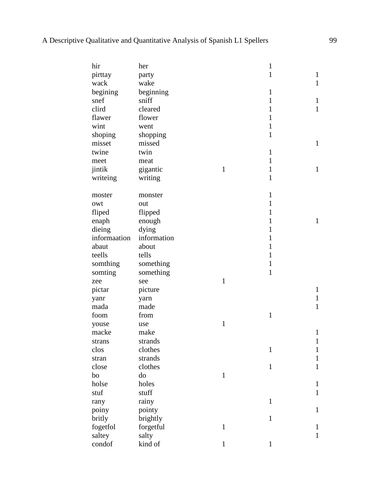| hir          | her         |              | $\mathbf{1}$ |              |
|--------------|-------------|--------------|--------------|--------------|
| pirttay      | party       |              | $\mathbf{1}$ | $\mathbf{1}$ |
| wack         | wake        |              |              | $\mathbf{1}$ |
| begining     | beginning   |              | $\mathbf{1}$ |              |
| snef         | sniff       |              | $\mathbf{1}$ | $\mathbf{1}$ |
| clird        | cleared     |              | $\mathbf{1}$ | $\mathbf{1}$ |
| flawer       | flower      |              | $\mathbf{1}$ |              |
| wint         | went        |              | $\mathbf{1}$ |              |
| shoping      | shopping    |              | $\mathbf{1}$ |              |
| misset       | missed      |              |              | $\mathbf{1}$ |
| twine        | twin        |              | $\mathbf{1}$ |              |
| meet         | meat        |              | $\mathbf{1}$ |              |
| jintik       | gigantic    | $\mathbf{1}$ | $\mathbf{1}$ | $\mathbf{1}$ |
| writeing     | writing     |              | $\mathbf{1}$ |              |
|              |             |              |              |              |
| moster       | monster     |              | $\mathbf{1}$ |              |
| owt          | out         |              | $\mathbf{1}$ |              |
| fliped       | flipped     |              | 1            |              |
| enaph        | enough      |              | 1            | $\mathbf{1}$ |
| dieing       | dying       |              | 1            |              |
| informaation | information |              | 1            |              |
| abaut        | about       |              | 1            |              |
| teells       | tells       |              | $\mathbf{1}$ |              |
| somthing     | something   |              | $\mathbf{1}$ |              |
| somting      | something   |              | $\mathbf{1}$ |              |
| zee          | see         | $\mathbf{1}$ |              |              |
| pictar       | picture     |              |              | $\mathbf{1}$ |
| yanr         | yarn        |              |              | $\mathbf{1}$ |
| mada         | made        |              |              | $\mathbf{1}$ |
| foom         | from        |              | $\mathbf{1}$ |              |
| youse        | use         | $\mathbf{1}$ |              |              |
| macke        | make        |              |              | $\mathbf{1}$ |
| strans       | strands     |              |              | $\mathbf{1}$ |
| clos         | clothes     |              | $\mathbf{1}$ | $\mathbf{1}$ |
| stran        | strands     |              |              | $\mathbf{1}$ |
| close        | clothes     |              | $\mathbf{1}$ | $\mathbf{1}$ |
| bo           | do          | $\mathbf{1}$ |              |              |
| holse        | holes       |              |              | $\mathbf{1}$ |
| stuf         | stuff       |              |              | $\mathbf{1}$ |
| rany         | rainy       |              | $\mathbf{1}$ |              |
| poiny        | pointy      |              |              | $\mathbf{1}$ |
| britly       | brightly    |              | $\mathbf{1}$ |              |
| fogetfol     | forgetful   | $\mathbf{1}$ |              | $\mathbf 1$  |
| saltey       | salty       |              |              | $\mathbf{1}$ |
| condof       | kind of     | $\mathbf{1}$ | 1            |              |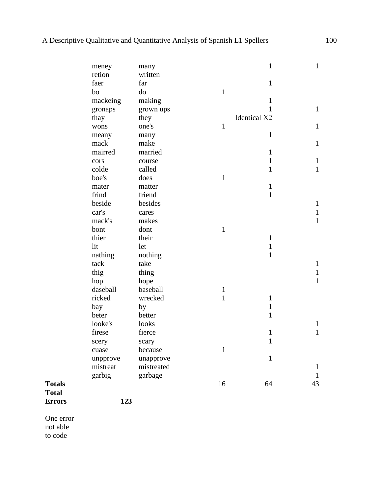|               | meney    | many       |              | $\mathbf{1}$        | $\mathbf{1}$ |
|---------------|----------|------------|--------------|---------------------|--------------|
|               | retion   | written    |              |                     |              |
|               | faer     | far        |              | $\mathbf{1}$        |              |
|               | bo       | do         | $\mathbf{1}$ |                     |              |
|               | mackeing | making     |              | $\mathbf{1}$        |              |
|               | gronaps  | grown ups  |              | $\mathbf{1}$        | $\mathbf{1}$ |
|               | thay     | they       |              | <b>Identical X2</b> |              |
|               | wons     | one's      | $\mathbf{1}$ |                     | $\mathbf{1}$ |
|               | meany    | many       |              | $\mathbf{1}$        |              |
|               | mack     | make       |              |                     | $\mathbf{1}$ |
|               | mairred  | married    |              | $\mathbf{1}$        |              |
|               | cors     | course     |              | $\mathbf{1}$        | $\mathbf{1}$ |
|               | colde    | called     |              | $\mathbf{1}$        | $\mathbf{1}$ |
|               | boe's    | does       | $\mathbf{1}$ |                     |              |
|               | mater    | matter     |              | $\mathbf{1}$        |              |
|               | frind    | friend     |              | $\mathbf{1}$        |              |
|               | beside   | besides    |              |                     | $\mathbf{1}$ |
|               | car's    | cares      |              |                     | $\mathbf{1}$ |
|               | mack's   | makes      |              |                     | $\mathbf{1}$ |
|               | bont     | dont       | $\mathbf{1}$ |                     |              |
|               | thier    | their      |              | $\mathbf{1}$        |              |
|               | lit      | let        |              | $\mathbf{1}$        |              |
|               | nathing  | nothing    |              | $\mathbf{1}$        |              |
|               | tack     | take       |              |                     | $\mathbf{1}$ |
|               | thig     | thing      |              |                     | $\mathbf{1}$ |
|               | hop      | hope       |              |                     | $\mathbf{1}$ |
|               | daseball | baseball   | $\mathbf{1}$ |                     |              |
|               | ricked   | wrecked    | $\mathbf{1}$ | $\mathbf{1}$        |              |
|               | bay      | by         |              | $\mathbf{1}$        |              |
|               | beter    | better     |              | $\mathbf{1}$        |              |
|               | looke's  | looks      |              |                     | $\mathbf{1}$ |
|               | firese   | fierce     |              | $\mathbf{1}$        | 1            |
|               | scery    | scary      |              | $\mathbf{1}$        |              |
|               | cuase    | because    | $\mathbf{1}$ |                     |              |
|               | unpprove | unapprove  |              | $\mathbf{1}$        |              |
|               | mistreat | mistreated |              |                     | $\mathbf{1}$ |
|               | garbig   | garbage    |              |                     | $\mathbf{1}$ |
| <b>Totals</b> |          |            | 16           | 64                  | 43           |
| <b>Total</b>  |          |            |              |                     |              |

**Total Errors 123**

One error not able to code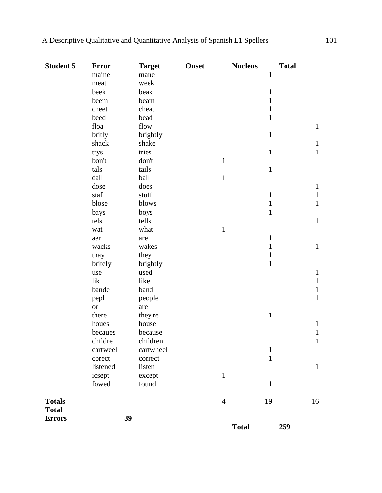| <b>Student 5</b> | <b>Error</b>  | <b>Target</b> | <b>Onset</b> | <b>Nucleus</b> | <b>Total</b> |              |
|------------------|---------------|---------------|--------------|----------------|--------------|--------------|
|                  | maine         | mane          |              |                | $\mathbf{1}$ |              |
|                  | meat          | week          |              |                |              |              |
|                  | beek          | beak          |              |                | $\mathbf{1}$ |              |
|                  | beem          | beam          |              |                | $\mathbf{1}$ |              |
|                  | cheet         | cheat         |              |                | $\mathbf{1}$ |              |
|                  | beed          | bead          |              |                | $\mathbf{1}$ |              |
|                  | floa          | flow          |              |                |              | $\mathbf{1}$ |
|                  | britly        | brightly      |              |                | $\mathbf{1}$ |              |
|                  | shack         | shake         |              |                |              | $\mathbf{1}$ |
|                  | trys          | tries         |              |                | $\mathbf{1}$ | $\mathbf{1}$ |
|                  | bon't         | don't         |              | $\mathbf{1}$   |              |              |
|                  | tals          | tails         |              |                | $\mathbf 1$  |              |
|                  | dall          | ball          |              | $\mathbf{1}$   |              |              |
|                  | dose          | does          |              |                |              | $\mathbf{1}$ |
|                  | staf          | stuff         |              |                | $\mathbf{1}$ | $\mathbf{1}$ |
|                  | blose         | blows         |              |                | $\mathbf{1}$ | $\mathbf{1}$ |
|                  | bays          | boys          |              |                | $\mathbf{1}$ |              |
|                  | tels          | tells         |              |                |              | $\mathbf{1}$ |
|                  | wat           | what          |              | $\mathbf{1}$   |              |              |
|                  | aer           | are           |              |                | $\mathbf{1}$ |              |
|                  | wacks         | wakes         |              |                | $\mathbf{1}$ | $\mathbf{1}$ |
|                  | thay          | they          |              |                | $\mathbf{1}$ |              |
|                  | britely       | brightly      |              |                | $\mathbf{1}$ |              |
|                  | use           | used          |              |                |              | $\mathbf{1}$ |
|                  | lik           | like          |              |                |              | $\mathbf{1}$ |
|                  | bande         | band          |              |                |              | $\mathbf{1}$ |
|                  | pepl          | people        |              |                |              | $\mathbf{1}$ |
|                  | <sub>or</sub> | are           |              |                |              |              |
|                  | there         | they're       |              |                | $\mathbf{1}$ |              |
|                  | houes         | house         |              |                |              | $\mathbf{1}$ |
|                  | becaues       | because       |              |                |              | $\mathbf{1}$ |
|                  | childre       | children      |              |                |              | $\mathbf{1}$ |
|                  | cartweel      | cartwheel     |              |                | $\mathbf{1}$ |              |
|                  | corect        | correct       |              |                | $\mathbf{1}$ |              |
|                  | listened      | listen        |              |                |              | $\mathbf{1}$ |
|                  | icsept        | except        |              | $\mathbf{1}$   |              |              |
|                  | fowed         | found         |              |                | $1\,$        |              |
| <b>Totals</b>    |               |               |              | $\overline{4}$ | 19           | 16           |
| <b>Total</b>     |               |               |              |                |              |              |
| <b>Errors</b>    |               | 39            |              |                |              |              |
|                  |               |               |              | <b>Total</b>   | 259          |              |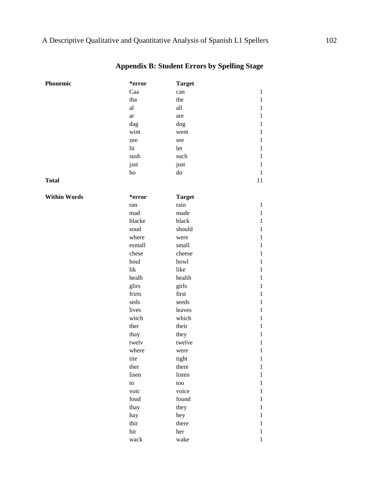| Phonemic            | *error                 | <b>Target</b> |              |
|---------------------|------------------------|---------------|--------------|
|                     | Caa                    | can           | $\mathbf{1}$ |
|                     | tha                    | the           | $\,1$        |
|                     | al                     | all           | $\mathbf{1}$ |
|                     | ar                     | are           | $\mathbf{1}$ |
|                     | dag                    | dog           | $\mathbf{1}$ |
|                     | wint                   | went          | $\mathbf{1}$ |
|                     | zee                    | see           | $\mathbf{1}$ |
|                     | lit                    | let           | $\mathbf{1}$ |
|                     | sush                   | such          | $\mathbf{1}$ |
|                     | jast                   | just          | $\mathbf{1}$ |
|                     | bo                     | ${\rm do}$    | $\mathbf{1}$ |
| <b>Total</b>        |                        |               | 11           |
| <b>Within Words</b> | *error                 | <b>Target</b> |              |
|                     | ran                    | rain          | $\mathbf{1}$ |
|                     | mad                    | made          | $\mathbf{1}$ |
|                     | blacke                 | black         | $\mathbf{1}$ |
|                     | soud                   | should        | $\mathbf{1}$ |
|                     | where                  | were          | $\mathbf{1}$ |
|                     | esmall                 | small         | $\mathbf{1}$ |
|                     | chese                  | cheese        | $\mathbf{1}$ |
|                     | boul                   | bowl          | $\mathbf{1}$ |
|                     | lik                    | like          | $\mathbf{1}$ |
|                     | healh                  | health        | $\mathbf{1}$ |
|                     | glirs                  | girls         | $\mathbf{1}$ |
|                     | frirts                 | first         | $\mathbf{1}$ |
|                     | seds                   | seeds         | $\mathbf{1}$ |
|                     | lives                  | leaves        | $\mathbf{1}$ |
|                     | witch                  | which         | $\mathbf{1}$ |
|                     | ther                   | their         | $\mathbf{1}$ |
|                     | thay                   | they          | $\mathbf{1}$ |
|                     | twelv                  | twelve        | $\mathbf{1}$ |
|                     | where                  | were          | $\mathbf{1}$ |
|                     | tite                   | tight         | $\mathbf{1}$ |
|                     | ther                   | there         | $\mathbf{1}$ |
|                     | lisen                  | listen        | $\mathbf{1}$ |
|                     | $\mathop{\mathrm{to}}$ | too           | $\mathbf{1}$ |
|                     | voic                   | voice         | $\mathbf{1}$ |
|                     | foud                   | found         | $\mathbf{1}$ |
|                     | thay                   | they          | $\mathbf{1}$ |
|                     | hay                    | hey           | $\mathbf{1}$ |
|                     | thir                   | there         | 1            |
|                     | $\operatorname{hir}$   | her           | $\mathbf{1}$ |
|                     | wack                   | wake          | 1            |

## **Appendix B: Student Errors by Spelling Stage**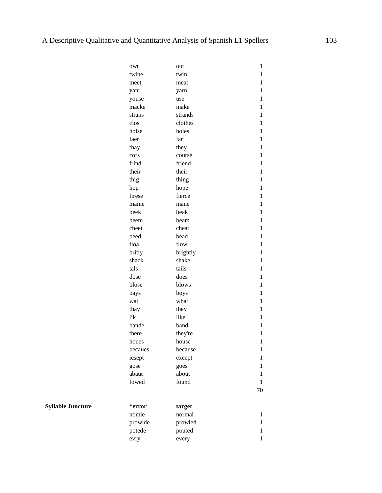| owt     | out      | $\mathbf{1}$ |
|---------|----------|--------------|
| twine   | twin     | 1            |
| meet    | meat     | 1            |
| yanr    | yarn     | 1            |
| youse   | use      | $\mathbf{1}$ |
| macke   | make     | $\mathbf{1}$ |
| strans  | strands  | $\mathbf{1}$ |
| clos    | clothes  | $\mathbf{1}$ |
| holse   | holes    | $\mathbf{1}$ |
| faer    | far      | $\mathbf{1}$ |
| thay    | they     | $\mathbf{1}$ |
| cors    | course   | $\mathbf{1}$ |
| frind   | friend   | $\mathbf{1}$ |
| their   | their    | 1            |
| thig    | thing    | 1            |
| hop     | hope     | 1            |
| firese  | fierce   | $\mathbf{1}$ |
| maine   | mane     | $\mathbf{1}$ |
| beek    | beak     | $\mathbf{1}$ |
| beem    | beam     | $\mathbf{1}$ |
| cheet   | cheat    | $\mathbf{1}$ |
| beed    | bead     | $\mathbf{1}$ |
| floa    | flow     | $\mathbf{1}$ |
| britly  | brightly | $\mathbf{1}$ |
| shack   | shake    | $\mathbf{1}$ |
| tals    | tails    | 1            |
| dose    | does     | 1            |
| blose   | blows    | 1            |
| bays    | boys     | $\mathbf{1}$ |
| wat     | what     | $\mathbf{1}$ |
| thay    | they     | $\mathbf{1}$ |
| lik     | like     | $\mathbf{1}$ |
| bande   | band     | $\mathbf{1}$ |
| there   | they're  | $\mathbf{1}$ |
| houes   | house    | $\mathbf{1}$ |
| becaues | because  | 1            |
| icsept  | except   | $\mathbf{1}$ |
| gose    | goes     | 1            |
| abaut   | about    | 1            |
| fowed   | found    | $\mathbf{1}$ |
|         |          | 70           |
| *error  | target   |              |
| nomle   | normal   | 1            |
| prowlde | prowled  | 1            |
| potede  | pouted   | $\mathbf{1}$ |
| evry    | every    | $\mathbf{1}$ |

**Syllable Juncture**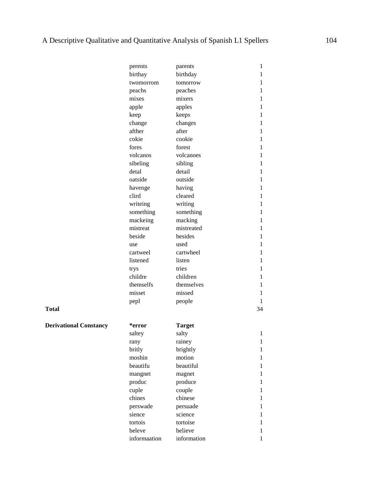|                               | perents      | parents       | 1            |
|-------------------------------|--------------|---------------|--------------|
|                               | birthay      | birthday      | 1            |
|                               | twomorrom    | tomorrow      | 1            |
|                               | peachs       | peaches       | 1            |
|                               | mixes        | mixers        | 1            |
|                               | apple        | apples        | 1            |
|                               | keep         | keeps         | $\mathbf{1}$ |
|                               | change       | changes       | 1            |
|                               | afther       | after         | 1            |
|                               | cokie        | cookie        | 1            |
|                               | fores        | forest        | 1            |
|                               | volcanos     | volcanoes     | 1            |
|                               | sibeling     | sibling       | $\mathbf{1}$ |
|                               | detal        | detail        | 1            |
|                               | oatside      | outside       | 1            |
|                               | havenge      | having        | 1            |
|                               | clird        | cleared       | 1            |
|                               | writeing     | writing       | 1            |
|                               | something    | something     | $\mathbf{1}$ |
|                               | mackeing     | macking       | 1            |
|                               | mistreat     | mistreated    | 1            |
|                               | beside       | besides       | 1            |
|                               | use          | used          | 1            |
|                               | cartweel     | cartwheel     | 1            |
|                               | listened     | listen        | $\mathbf{1}$ |
|                               | trys         | tries         | 1            |
|                               | childre      | children      | 1            |
|                               | themselfs    | themselves    | 1            |
|                               | misset       | missed        | 1            |
|                               | pepl         | people        | 1            |
| <b>Total</b>                  |              |               | 34           |
|                               |              |               |              |
| <b>Derivational Constancy</b> | *error       | <b>Target</b> |              |
|                               | saltey       | salty         | 1            |
|                               | rany         | rainey        | 1            |
|                               | britly       | brightly      | 1            |
|                               | moshin       | motion        | $\mathbf{1}$ |
|                               | beautifu     | beautiful     | 1            |
|                               | mangnet      | magnet        | 1            |
|                               | produc       | produce       | 1            |
|                               | cuple        | couple        | 1            |
|                               | chines       | chinese       | 1            |
|                               | perswade     | persuade      | $\mathbf{1}$ |
|                               | sience       | science       | 1            |
|                               | tortois      | tortoise      | 1            |
|                               | beleve       | believe       | 1            |
|                               | informaation | information   | 1            |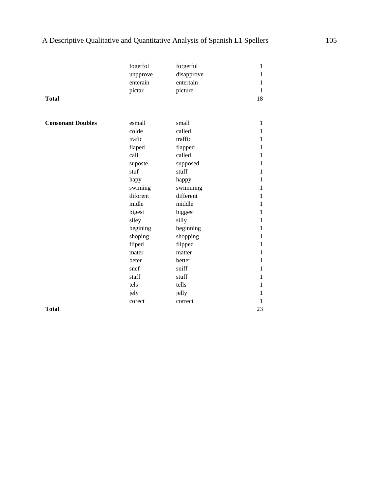|                          | fogetfol | forgetful  | 1            |
|--------------------------|----------|------------|--------------|
|                          | unpprove | disapprove | $\mathbf{1}$ |
|                          | enterain | entertain  | $\mathbf{1}$ |
|                          | pictar   | picture    | $\mathbf{1}$ |
| <b>Total</b>             |          |            | 18           |
|                          |          |            |              |
| <b>Consonant Doubles</b> | esmall   | small      | $\mathbf{1}$ |
|                          | colde    | called     | 1            |
|                          | trafic   | traffic    | 1            |
|                          | flaped   | flapped    | 1            |
|                          | call     | called     | 1            |
|                          | suposte  | supposed   | 1            |
|                          | stuf     | stuff      | 1            |
|                          | hapy     | happy      | 1            |
|                          | swiming  | swimming   | $\mathbf 1$  |
|                          | diforent | different  | 1            |
|                          | midle    | middle     | $\mathbf 1$  |
|                          | bigest   | biggest    | 1            |
|                          | siley    | silly      | 1            |
|                          | begining | beginning  | $\mathbf 1$  |
|                          | shoping  | shopping   | $\mathbf{1}$ |
|                          | fliped   | flipped    | 1            |
|                          | mater    | matter     | $\mathbf 1$  |
|                          | beter    | better     | 1            |
|                          | snef     | sniff      | $\mathbf{1}$ |
|                          | staff    | stuff      | $\mathbf{1}$ |
|                          | tels     | tells      | 1            |
|                          | jely     | jelly      | 1            |
|                          | corect   | correct    | 1            |
| <b>Total</b>             |          |            | 23           |